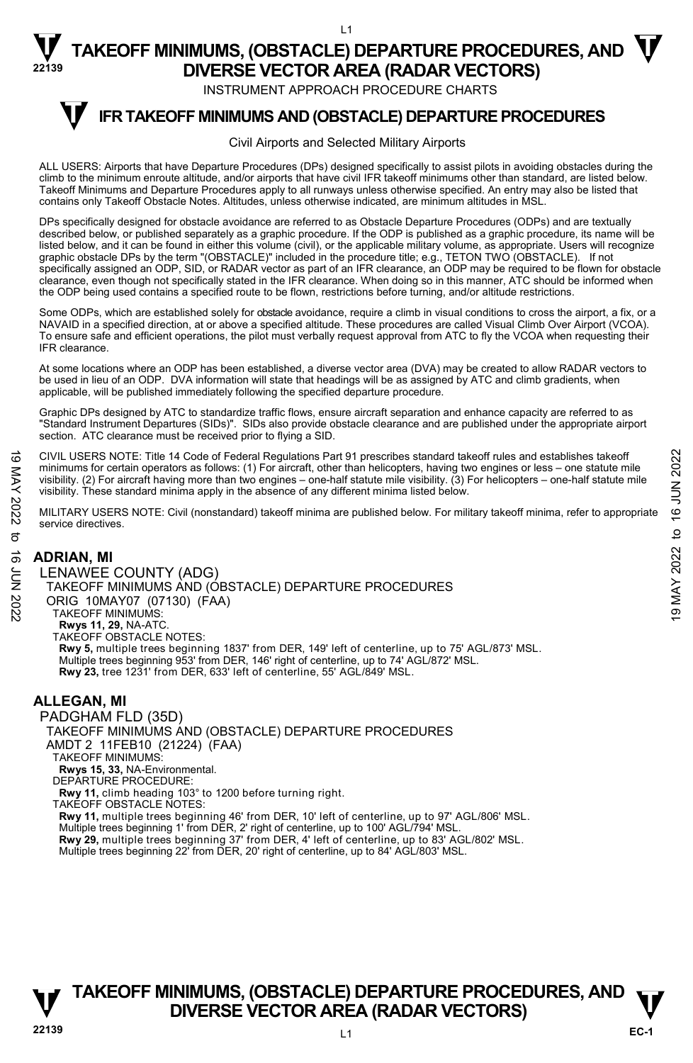INSTRUMENT APPROACH PROCEDURE CHARTS

#### **IFR TAKEOFF MINIMUMS AND (OBSTACLE) DEPARTURE PROCEDURES T**

#### Civil Airports and Selected Military Airports

ALL USERS: Airports that have Departure Procedures (DPs) designed specifically to assist pilots in avoiding obstacles during the climb to the minimum enroute altitude, and/or airports that have civil IFR takeoff minimums other than standard, are listed below. Takeoff Minimums and Departure Procedures apply to all runways unless otherwise specified. An entry may also be listed that contains only Takeoff Obstacle Notes. Altitudes, unless otherwise indicated, are minimum altitudes in MSL.

DPs specifically designed for obstacle avoidance are referred to as Obstacle Departure Procedures (ODPs) and are textually described below, or published separately as a graphic procedure. If the ODP is published as a graphic procedure, its name will be listed below, and it can be found in either this volume (civil), or the applicable military volume, as appropriate. Users will recognize<br>graphic obstacle DPs by the term "(OBSTACLE)" included in the procedure title; e.g., specifically assigned an ODP, SID, or RADAR vector as part of an IFR clearance, an ODP may be required to be flown for obstacle clearance, even though not specifically stated in the IFR clearance. When doing so in this manner, ATC should be informed when<br>the ODP being used contains a specified route to be flown, restrictions before turning, and/or

Some ODPs, which are established solely for obstacle avoidance, require a climb in visual conditions to cross the airport, a fix, or a NAVAID in a specified direction, at or above a specified altitude. These procedures are called Visual Climb Over Airport (VCOA). To ensure safe and efficient operations, the pilot must verbally request approval from ATC to fly the VCOA when requesting their IFR clearance.

At some locations where an ODP has been established, a diverse vector area (DVA) may be created to allow RADAR vectors to be used in lieu of an ODP. DVA information will state that headings will be as assigned by ATC and climb gradients, when applicable, will be published immediately following the specified departure procedure.

Graphic DPs designed by ATC to standardize traffic flows, ensure aircraft separation and enhance capacity are referred to as "Standard Instrument Departures (SIDs)". SIDs also provide obstacle clearance and are published under the appropriate airport section. ATC clearance must be received prior to flying a SID.

CIVIL USERS NOTE: Title 14 Code of Federal Regulations Part 91 prescribes standard takeoff rules and establishes takeoff minimums for certain operators as follows: (1) For aircraft, other than helicopters, having two engines or less – one statute mile<br>visibility. (2) For aircraft having more than two engines – one-half statute mile visibilit visibility. These standard minima apply in the absence of any different minima listed below. CIVIL USERS NOTE: Title 14 Code of Federal Regulations Part 91 prescribes standard takeoff rules and establishes takeoff<br>
minimums for certain operators as follows: (1) For aircraft, other than helicopters, having two eng

MILITARY USERS NOTE: Civil (nonstandard) takeoff minima are published below. For military takeoff minima, refer to appropriate service directives.

### **ADRIAN, MI**

LENAWEE COUNTY (ADG) TAKEOFF MINIMUMS AND (OBSTACLE) DEPARTURE PROCEDURES ORIG 10MAY07 (07130) (FAA) TAKEOFF MINIMUMS: **Rwys 11, 29,** NA-ATC. TAKEOFF OBSTACLE NOTES: **Rwy 5,** multiple trees beginning 1837' from DER, 149' left of centerline, up to 75' AGL/873' MSL. Multiple trees beginning 953' from DER, 146' right of centerline, up to 74' AGL/872' MSL. **Rwy 23,** tree 1231' from DER, 633' left of centerline, 55' AGL/849' MSL.

### **ALLEGAN, MI**

PADGHAM FLD (35D) TAKEOFF MINIMUMS AND (OBSTACLE) DEPARTURE PROCEDURES AMDT 2 11FEB10 (21224) (FAA) TAKEOFF MINIMUMS: **Rwys 15, 33,** NA-Environmental. DEPARTURE PROCEDURE: **Rwy 11,** climb heading 103° to 1200 before turning right. TAKEOFF OBSTACLE NOTES: **Rwy 11,** multiple trees beginning 46' from DER, 10' left of centerline, up to 97' AGL/806' MSL. Multiple trees beginning 1' from DER, 2' right of centerline, up to 100' AGL/794' MSL.<br>**Rwy 29,** multiple trees beginning 37' from DER, 4' left of centerline, up to 83' AGL/802' MSL. Multiple trees beginning 22' from DER, 20' right of centerline, up to 84' AGL/803' MSL.

# **TAKEOFF MINIMUMS, (OBSTACLE) DEPARTURE PROCEDURES, AND**  $\mathbf{\mathbf{\mathbf{\mathbf{V}}}}$ **V** DIVERSE VECTOR AREA (RADAR VECTORS)

**EC-1**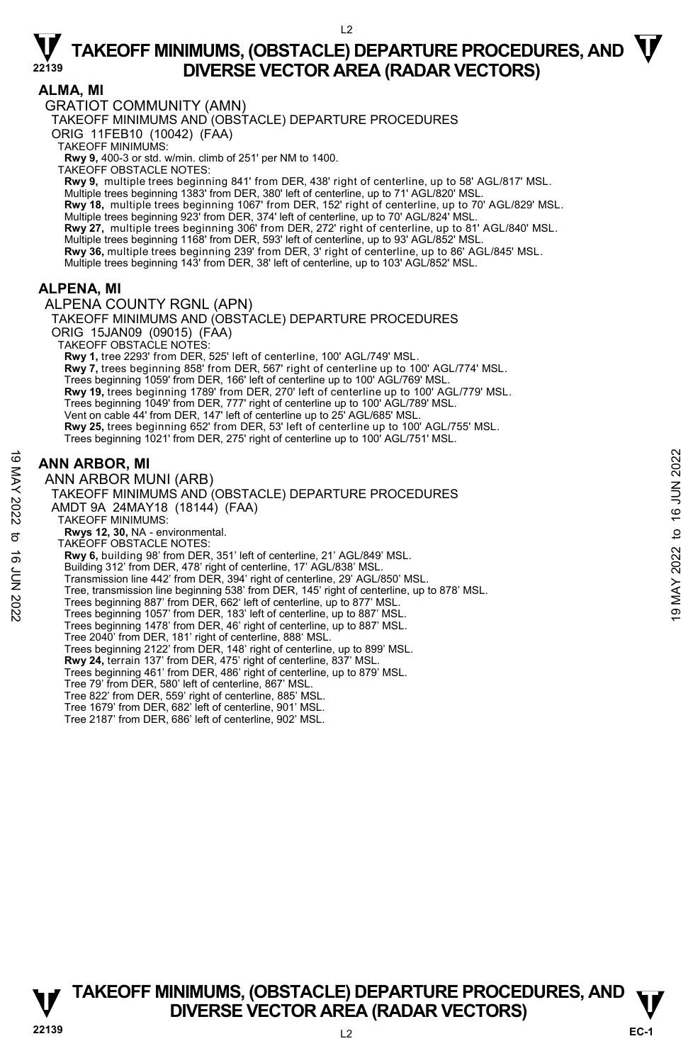#### $\overline{2}$

## $\nabla$  TAKEOFF MINIMUMS, (OBSTACLE) DEPARTURE PROCEDURES, AND  $\nabla$ **DIVERSE VECTOR AREA (RADAR VECTORS)**

### **ALMA, MI**

GRATIOT COMMUNITY (AMN)

TAKEOFF MINIMUMS AND (OBSTACLE) DEPARTURE PROCEDURES

ORIG 11FEB10 (10042) (FAA)

TAKEOFF MINIMUMS:

**Rwy 9,** 400-3 or std. w/min. climb of 251' per NM to 1400.

TAKEOFF OBSTACLE NOTES:

**Rwy 9,** multiple trees beginning 841' from DER, 438' right of centerline, up to 58' AGL/817' MSL.

Multiple trees beginning 1383' from DER, 380' left of centerline, up to 71' AGL/820' MSL. **Rwy 18,** multiple trees beginning 1067' from DER, 152' right of centerline, up to 70' AGL/829' MSL.<br>Multiple trees beginning 923' from DER, 374' left of centerline, up to 70' AGL/824' MSL. **Rwy 27,** multiple trees beginning 306' from DER, 272' right of centerline, up to 81' AGL/840' MSL.

Multiple trees beginning 1168' from DER, 593' left of centerline, up to 93' AGL/852' MSL.

**Rwy 36,** multiple trees beginning 239' from DER, 3' right of centerline, up to 86' AGL/845' MSL.

Multiple trees beginning 143' from DER, 38' left of centerline, up to 103' AGL/852' MSL.

### **ALPENA, MI**

ALPENA COUNTY RGNL (APN)

TAKEOFF MINIMUMS AND (OBSTACLE) DEPARTURE PROCEDURES ORIG 15JAN09 (09015) (FAA) TAKEOFF OBSTACLE NOTES: **Rwy 1,** tree 2293' from DER, 525' left of centerline, 100' AGL/749' MSL. **Rwy 7,** trees beginning 858' from DER, 567' right of centerline up to 100' AGL/774' MSL. Trees beginning 1059' from DER, 166' left of centerline up to 100' AGL/769' MSL. **Rwy 19,** trees beginning 1789' from DER, 270' left of centerline up to 100' AGL/779' MSL. Trees beginning 1049' from DER, 777' right of centerline up to 100' AGL/789' MSL. Vent on cable 44' from DER, 147' left of centerline up to 25' AGL/685' MSL. **Rwy 25,** trees beginning 652' from DER, 53' left of centerline up to 100' AGL/755' MSL. Trees beginning 1021' from DER, 275' right of centerline up to 100' AGL/751' MSL.

### **ANN ARBOR, MI**

ANN ARBOR MUNI (ARB) TAKEOFF MINIMUMS AND (OBSTACLE) DEPARTURE PROCEDURES AMDT 9A 24MAY18 (18144) (FAA) TAKEOFF MINIMUMS: **Rwys 12, 30,** NA - environmental. TAKEOFF OBSTACLE NOTES: **Rwy 6,** building 98' from DER, 351' left of centerline, 21' AGL/849' MSL. Building 312' from DER, 478' right of centerline, 17' AGL/838' MSL. Transmission line 442' from DER, 394' right of centerline, 29' AGL/850' MSL. Tree, transmission line beginning 538' from DER, 145' right of centerline, up to 878' MSL. Trees beginning 887' from DER, 662' left of centerline, up to 877' MSL. Trees beginning 1057' from DER, 183' left of centerline, up to 887' MSL. Trees beginning 1478' from DER, 46' right of centerline, up to 887' MSL. Tree 2040' from DER, 181' right of centerline, 888' MSL. Trees beginning 2122' from DER, 148' right of centerline, up to 899' MSL. **Rwy 24,** terrain 137' from DER, 475' right of centerline, 837' MSL. Trees beginning 461' from DER, 486' right of centerline, up to 879' MSL. Tree 79' from DER, 580' left of centerline, 867' MSL. Tree 822' from DER, 559' right of centerline, 885' MSL. Tree 1679' from DER, 682' left of centerline, 901' MSL. Tree 2187' from DER, 686' left of centerline, 902' MSL. **ANN ARBOR, MI**<br>  $\geq$  **ANN ARBOR MUNI (ARB)**<br>
ANN ARBOR MUNI (ARB)<br>
TAKEOFF MINIMUMS AND (OBSTACLE) DEPARTURE PROCEDURES<br>
AMDT 9A 24MAY18 (18144) (FAA)<br>
TAKEOFF MINIMUMS:<br>
NO TAKEOFF OBSTACLE NOTES:<br> **EVALUSE TO 16 ANDE** 

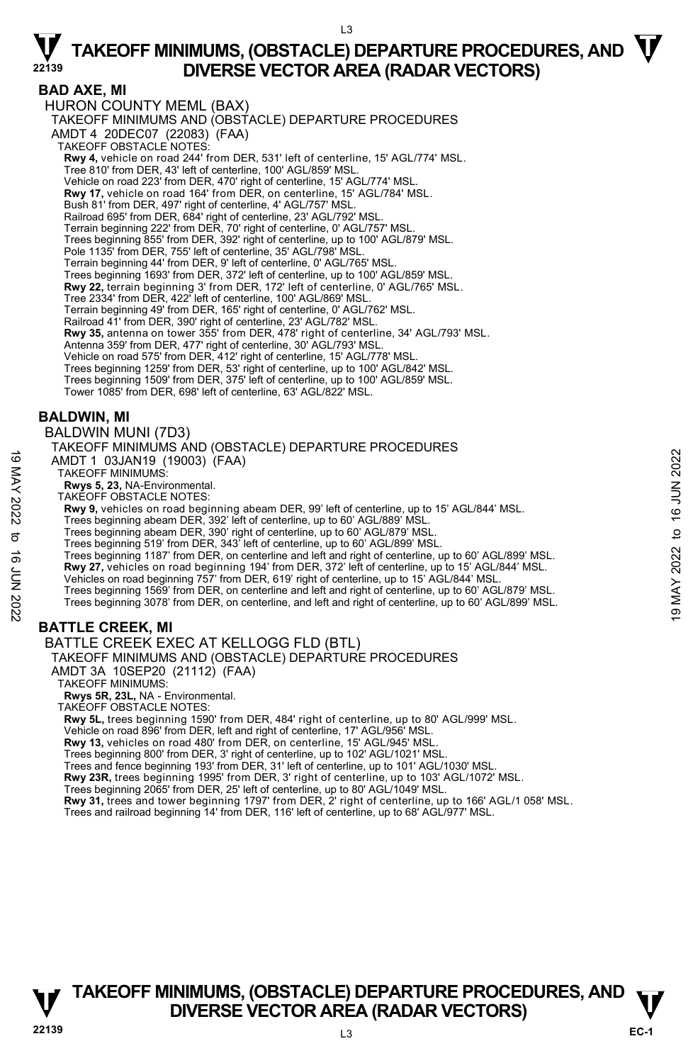$\overline{3}$ 

### **BAD AXE, MI**

HURON COUNTY MEML (BAX) TAKEOFF MINIMUMS AND (OBSTACLE) DEPARTURE PROCEDURES AMDT 4 20DEC07 (22083) (FAA) TAKEOFF OBSTACLE NOTES: **Rwy 4,** vehicle on road 244' from DER, 531' left of centerline, 15' AGL/774' MSL. Tree 810' from DER, 43' left of centerline, 100' AGL/859' MSL. Vehicle on road 223' from DER, 470' right of centerline, 15' AGL/774' MSL. **Rwy 17,** vehicle on road 164' from DER, on centerline, 15' AGL/784' MSL. Bush 81' from DER, 497' right of centerline, 4' AGL/757' MSL. Railroad 695' from DER, 684' right of centerline, 23' AGL/792' MSL. Terrain beginning 222' from DER, 70' right of centerline, 0' AGL/757' MSL. Trees beginning 855' from DER, 392' right of centerline, up to 100' AGL/879' MSL. Pole 1135' from DER, 755' left of centerline, 35' AGL/798' MSL. Terrain beginning 44' from DER, 9' left of centerline, 0' AGL/765' MSL. Trees beginning 1693' from DER, 372' left of centerline, up to 100' AGL/859' MSL. **Rwy 22,** terrain beginning 3' from DER, 172' left of centerline, 0' AGL/765' MSL. Tree 2334' from DER, 422' left of centerline, 100' AGL/869' MSL. Terrain beginning 49' from DER, 165' right of centerline, 0' AGL/762' MSL. Railroad 41' from DER, 390' right of centerline, 23' AGL/782' MSL.<br>**Rwy 35,** antenna on tower 355' from DER, 478' right of centerline, 34' AGL/793' MSL. Antenna 359' from DER, 477' right of centerline, 30' AGL/793' MSL. Vehicle on road 575' from DER, 412' right of centerline, 15' AGL/778' MSL. Trees beginning 1259' from DER, 53' right of centerline, up to 100' AGL/842' MSL. Trees beginning 1509' from DER, 375' left of centerline, up to 100' AGL/859' MSL. Tower 1085' from DER, 698' left of centerline, 63' AGL/822' MSL.

### **BALDWIN, MI**

BALDWIN MUNI (7D3)

TAKEOFF MINIMUMS AND (OBSTACLE) DEPARTURE PROCEDURES AMDT 1 03JAN19 (19003) (FAA) TAKEOFF MINIMUMS: **Rwys 5, 23,** NA-Environmental. TAKEOFF OBSTACLE NOTES: **Rwy 9,** vehicles on road beginning abeam DER, 99' left of centerline, up to 15' AGL/844' MSL. Trees beginning abeam DER, 392' left of centerline, up to 60' AGL/889' MSL. Trees beginning abeam DER, 390' right of centerline, up to 60' AGL/879' MSL. Trees beginning 519' from DER, 343' left of centerline, up to 60' AGL/899' MSL. Trees beginning 1187' from DER, on centerline and left and right of centerline, up to 60' AGL/899' MSL. **Rwy 27,** vehicles on road beginning 194' from DER, 372' left of centerline, up to 15' AGL/844' MSL. Vehicles on road beginning 757' from DER, 619' right of centerline, up to 15' AGL/844' MSL. Trees beginning 1569' from DER, on centerline and left and right of centerline, up to 60' AGL/879' MSL. Trees beginning 3078' from DER, on centerline, and left and right of centerline, up to 60' AGL/899' MSL. **BATTLE CREEK, MI**  BATTLE CREEK EXEC AT KELLOGG FLD (BTL) TAKEOFF MINIMUMS AND (OBSTACLE) DEPARTURE PROCEDURES 19 MADT 1 03JAN19 (19003) (FAA)<br>
TAKEOFF MINIMUMS:<br>
TAKEOFF MINIMUMS:<br>
TAKEOFF MINIMUMS:<br>
TAKEOFF DISTACLE NOTES:<br>
TAKEOFF DISTACLE NOTES:<br>
TAKEOFF DISTACLE NOTES:<br>
TAKEOFF DISTACLE NOTES:<br>
TAKEOFF DISTACLE NOTES:<br>
TAKEOF

AMDT 3A 10SEP20 (21112) (FAA)

TAKEOFF MINIMUMS:

**Rwys 5R, 23L,** NA - Environmental.

TAKEOFF OBSTACLE NOTES:

**Rwy 5L,** trees beginning 1590' from DER, 484' right of centerline, up to 80' AGL/999' MSL.

Vehicle on road 896' from DER, left and right of centerline, 17' AGL/956' MSL.

**Rwy 13,** vehicles on road 480' from DER, on centerline, 15' AGL/945' MSL.

Trees beginning 800' from DER, 3' right of centerline, up to 102' AGL/1021' MSL.

Trees and fence beginning 193' from DER, 31' left of centerline, up to 101' AGL/1030' MSL.

**Rwy 23R,** trees beginning 1995' from DER, 3' right of centerline, up to 103' AGL/1072' MSL.

Trees beginning 2065' from DER, 25' left of centerline, up to 80' AGL/1049' MSL.

**Rwy 31,** trees and tower beginning 1797' from DER, 2' right of centerline, up to 166' AGL/1 058' MSL.<br>Trees and railroad beginning 14' from DER, 116' left of centerline, up to 68' AGL/977' MSL.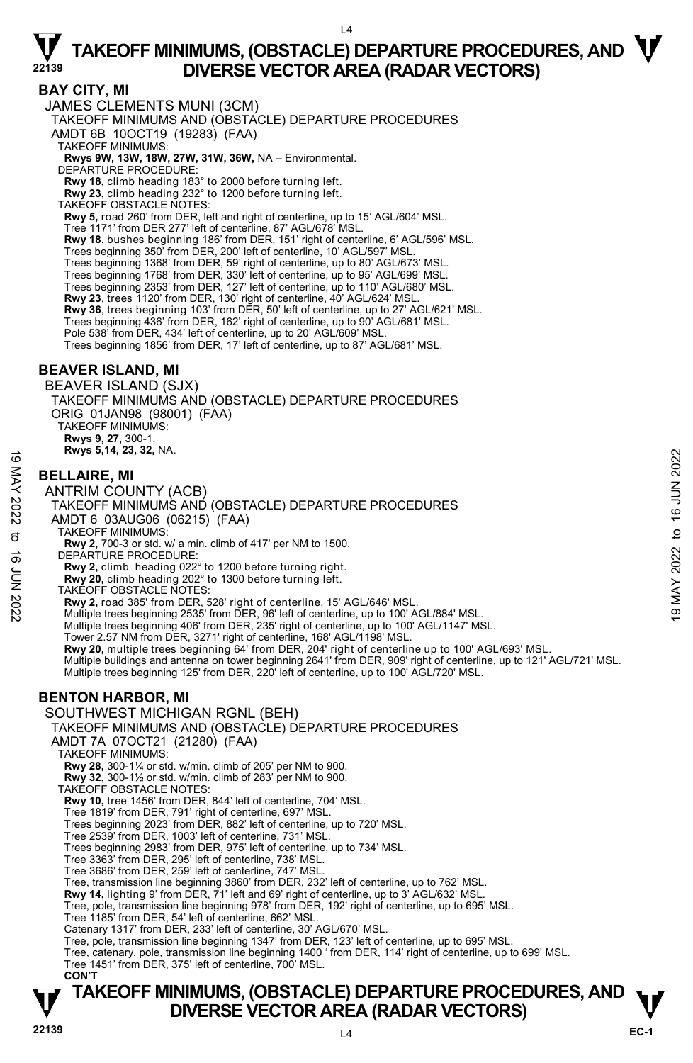$\overline{A}$ 

### **BAY CITY, MI**

JAMES CLEMENTS MUNI (3CM)

TAKEOFF MINIMUMS AND (OBSTACLE) DEPARTURE PROCEDURES

AMDT 6B 10OCT19 (19283) (FAA)

TAKEOFF MINIMUMS:

### **Rwys 9W, 13W, 18W, 27W, 31W, 36W,** NA – Environmental. DEPARTURE PROCEDURE:

**Rwy 18,** climb heading 183° to 2000 before turning left.

**Rwy 23,** climb heading 232° to 1200 before turning left.

TAKEOFF OBSTACLE NOTES:

**Rwy 5,** road 260' from DER, left and right of centerline, up to 15' AGL/604' MSL.

Tree 1171' from DER 277' left of centerline, 87' AGL/678' MSL.

**Rwy 18**, bushes beginning 186' from DER, 151' right of centerline, 6' AGL/596' MSL.<br>Trees beginning 350' from DER, 200' left of centerline, 10' AGL/597' MSL.

Trees beginning 1368' from DER, 59' right of centerline, up to 80' AGL/673' MSL.

Trees beginning 1768' from DER, 330' left of centerline, up to 95' AGL/699' MSL. Trees beginning 2353' from DER, 127' left of centerline, up to 110' AGL/680' MSL.

**Rwy 23**, trees 1120' from DER, 130' right of centerline, 40' AGL/624' MSL.

**Rwy 36**, trees beginning 103' from DER, 50' left of centerline, up to 27' AGL/621' MSL.

Trees beginning 436' from DER, 162' right of centerline, up to 90' AGL/681' MSL.

Pole 538' from DER, 434' left of centerline, up to 20' AGL/609' MSL. Trees beginning 1856' from DER, 17' left of centerline, up to 87' AGL/681' MSL.

### **BEAVER ISLAND, MI**

BEAVER ISLAND (SJX) TAKEOFF MINIMUMS AND (OBSTACLE) DEPARTURE PROCEDURES ORIG 01JAN98 (98001) (FAA) TAKEOFF MINIMUMS: **Rwys 9, 27,** 300-1. **Rwys 5,14, 23, 32,** NA.

### **BELLAIRE, MI**

ANTRIM COUNTY (ACB) TAKEOFF MINIMUMS AND (OBSTACLE) DEPARTURE PROCEDURES AMDT 6 03AUG06 (06215) (FAA) TAKEOFF MINIMUMS: **Rwy 2,** 700-3 or std. w/ a min. climb of 417' per NM to 1500. DEPARTURE PROCEDURE: **Rwy 2,** climb heading 022° to 1200 before turning right. **Rwy 20,** climb heading 202° to 1300 before turning left. TAKEOFF OBSTACLE NOTES: **Rwy 2,** road 385' from DER, 528' right of centerline, 15' AGL/646' MSL.<br>Multiple trees beginning 2535' from DER, 96' left of centerline, up to 100' AGL/884' MSL. Multiple trees beginning 406' from DER, 235' right of centerline, up to 100' AGL/1147' MSL. Tower 2.57 NM from DER, 3271' right of centerline, 168' AGL/1198' MSL.<br>**Rwy 20,** multiple trees beginning 64' from DER, 204' right of centerline up to 100' AGL/693' MSL. Multiple buildings and antenna on tower beginning 2641' from DER, 909' right of centerline, up to 121' AGL/721' MSL. Multiple trees beginning 125' from DER, 220' left of centerline, up to 100' AGL/720' MSL. **EXECUTE:**<br> **INSTERMATELAIRE, MI**<br>
ANTRIM COUNTY (ACB)<br>
TAKEOFF MINIMUMS AND (OBSTACLE) DEPARTURE PROCEDURES<br>
TAKEOFF MINIMUMS:<br>
TAKEOFF MINIMUMS:<br>
TAKEOFF MINIMUMS:<br>
TAKEOFF MINIMUMS:<br>
TAKEOFF MINIMUMS:<br>
TAKEOFF MINIMUMS

### **BENTON HARBOR, MI**

SOUTHWEST MICHIGAN RGNL (BEH)

TAKEOFF MINIMUMS AND (OBSTACLE) DEPARTURE PROCEDURES

AMDT 7A 07OCT21 (21280) (FAA)

TAKEOFF MINIMUMS:

**Rwy 28,** 300-1¼ or std. w/min. climb of 205' per NM to 900.

**Rwy 32,** 300-1½ or std. w/min. climb of 283' per NM to 900.

TAKEOFF OBSTACLE NOTES:

**Rwy 10,** tree 1456' from DER, 844' left of centerline, 704' MSL.

Tree 1819' from DER, 791' right of centerline, 697' MSL. Trees beginning 2023' from DER, 882' left of centerline, up to 720' MSL.

Tree 2539' from DER, 1003' left of centerline, 731' MSL. Trees beginning 2983' from DER, 975' left of centerline, up to 734' MSL.

Tree 3363' from DER, 295' left of centerline, 738' MSL.

Tree 3686' from DER, 259' left of centerline, 747' MSL.

Tree, transmission line beginning 3860' from DER, 232' left of centerline, up to 762' MSL.

**Rwy 14,** lighting 9' from DER, 71' left and 69' right of centerline, up to 3' AGL/632' MSL.

Tree, pole, transmission line beginning 978' from DER, 192' right of centerline, up to 695' MSL.

Tree 1185' from DER, 54' left of centerline, 662' MSL.

Catenary 1317' from DER, 233' left of centerline, 30' AGL/670' MSL.

Tree, pole, transmission line beginning 1347' from DER, 123' left of centerline, up to 695' MSL.

Tree, catenary, pole, transmission line beginning 1400 ' from DER, 114' right of centerline, up to 699' MSL. Tree 1451' from DER, 375' left of centerline, 700' MSL.

 **CON'T**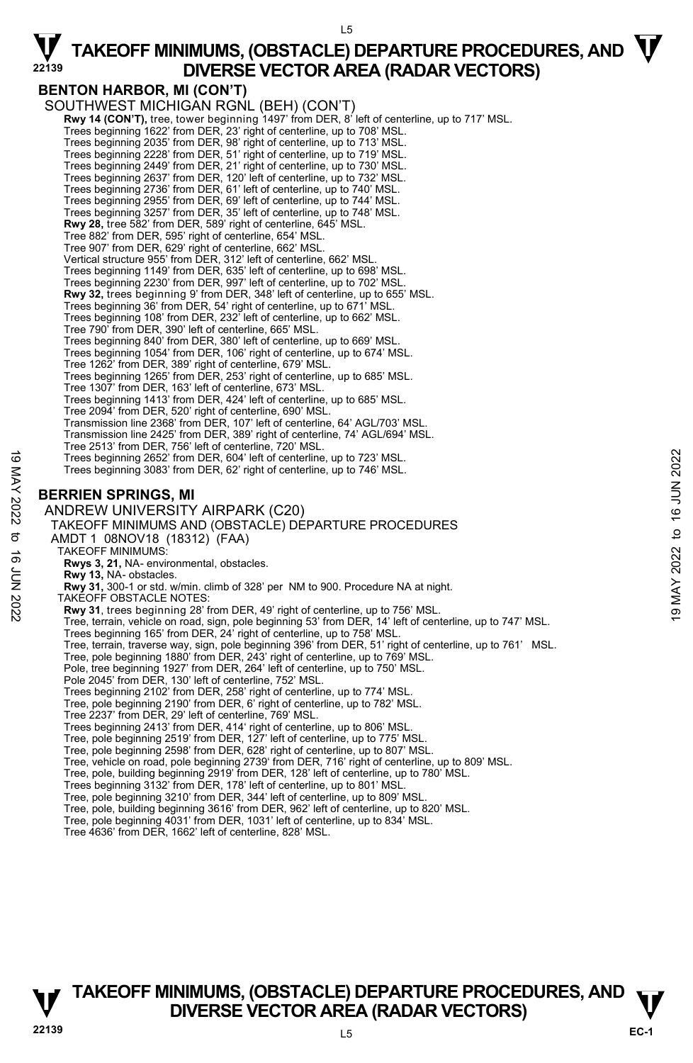$15$ 

### **BENTON HARBOR, MI (CON'T)**

SOUTHWEST MICHIGAN RGNL (BEH) (CON'T) **Rwy 14 (CON'T),** tree, tower beginning 1497' from DER, 8' left of centerline, up to 717' MSL.<br>Trees beginning 1622' from DER, 23' right of centerline, up to 708' MSL. Trees beginning 2035' from DER, 98' right of centerline, up to 713' MSL.<br>Trees beginning 2228' from DER, 51' right of centerline, up to 730' MSL.<br>Trees beginning 2449' from DER, 21' right of centerline, up to 730' MSL. Trees beginning 2637' from DER, 120' left of centerline, up to 732' MSL. Trees beginning 2736' from DER, 61' left of centerline, up to 740' MSL. Trees beginning 2955' from DER, 69' left of centerline, up to 744' MSL. Trees beginning 3257' from DER, 35' left of centerline, up to 748' MSL. **Rwy 28,** tree 582' from DER, 589' right of centerline, 645' MSL. Tree 882' from DER, 595' right of centerline, 654' MSL. Tree 907' from DER, 629' right of centerline, 662' MSL. Vertical structure 955' from DER, 312' left of centerline, 662' MSL. Trees beginning 1149' from DER, 635' left of centerline, up to 698' MSL. Trees beginning 2230' from DER, 997' left of centerline, up to 702' MSL.<br>**Rwy 32,** trees beginning 9' from DER, 348' left of centerline, up to 655' MSL. Trees beginning 36' from DER, 54' right of centerline, up to 671' MSL. Trees beginning 108' from DER, 232' left of centerline, up to 662' MSL. Tree 790' from DER, 390' left of centerline, 665' MSL. Trees beginning 840' from DER, 380' left of centerline, up to 669' MSL. Trees beginning 1054' from DER, 106' right of centerline, up to 674' MSL. Tree 1262' from DER, 389' right of centerline, 679' MSL. Trees beginning 1265' from DER, 253' right of centerline, up to 685' MSL. Tree 1307' from DER, 163' left of centerline, 673' MSL. Trees beginning 1413' from DER, 424' left of centerline, up to 685' MSL. Tree 2094' from DER, 520' right of centerline, 690' MSL. Transmission line 2368' from DER, 107' left of centerline, 64' AGL/703' MSL. Transmission line 2425' from DER, 389' right of centerline, 74' AGL/694' MSL. Tree 2513' from DER, 756' left of centerline, 720' MSL. Trees beginning 2652' from DER, 604' left of centerline, up to 723' MSL. Trees beginning 3083' from DER, 62' right of centerline, up to 746' MSL. **BERRIEN SPRINGS, MI**  ANDREW UNIVERSITY AIRPARK (C20) TAKEOFF MINIMUMS AND (OBSTACLE) DEPARTURE PROCEDURES AMDT 1 08NOV18 (18312) (FAA) TAKEOFF MINIMUMS: **Rwys 3, 21,** NA- environmental, obstacles. **Rwy 13,** NA- obstacles. **Rwy 31,** 300-1 or std. w/min. climb of 328' per NM to 900. Procedure NA at night. TAKEOFF OBSTACLE NOTES: **Rwy 31**, trees beginning 28' from DER, 49' right of centerline, up to 756' MSL. Tree, terrain, vehicle on road, sign, pole beginning 53' from DER, 14' left of centerline, up to 747' MSL. Trees beginning 165' from DER, 24' right of centerline, up to 758' MSL. Tree, terrain, traverse way, sign, pole beginning 396' from DER, 51' right of centerline, up to 761' MSL.<br>Tree, pole beginning 1880' from DER, 243' right of centerline, up to 769' MSL. Pole, tree beginning 1927' from DER, 264' left of centerline, up to 750' MSL. Pole 2045' from DER, 130' left of centerline, 752' MSL. Trees beginning 2102' from DER, 258' right of centerline, up to 774' MSL. Tree, pole beginning 2190' from DER, 6' right of centerline, up to 782' MSL. Tree 2237' from DER, 29' left of centerline, 769' MSL. Trees beginning 2413' from DER, 414' right of centerline, up to 806' MSL. Tree, pole beginning 2519' from DER, 127' left of centerline, up to 775' MSL. Tree, pole beginning 2598' from DER, 628' right of centerline, up to 807' MSL. Tree, vehicle on road, pole beginning 2739' from DER, 716' right of centerline, up to 809' MSL.<br>Tree, pole, building beginning 2919' from DER, 128' left of centerline, up to 780' MSL. Trees beginning 3132' from DER, 178' left of centerline, up to 801' MSL. Tree, pole beginning 3210' from DER, 344' left of centerline, up to 809' MSL. Trees beginning 2652' from DER, 604' left of centerline, up to 723' MSL.<br>
Trees beginning 3083' from DER, 62' right of centerline, up to 746' MSL.<br>
NORTHER SPRINGS, MI<br>
ANDREW UNIVERSITY AIRPARK (C20)<br>
TAKEOFF MINIMUMS AN

- Tree, pole, building beginning 3616' from DER, 962' left of centerline, up to 820' MSL.
- Tree, pole beginning 4031' from DER, 1031' left of centerline, up to 834' MSL.
- Tree 4636' from DER, 1662' left of centerline, 828' MSL.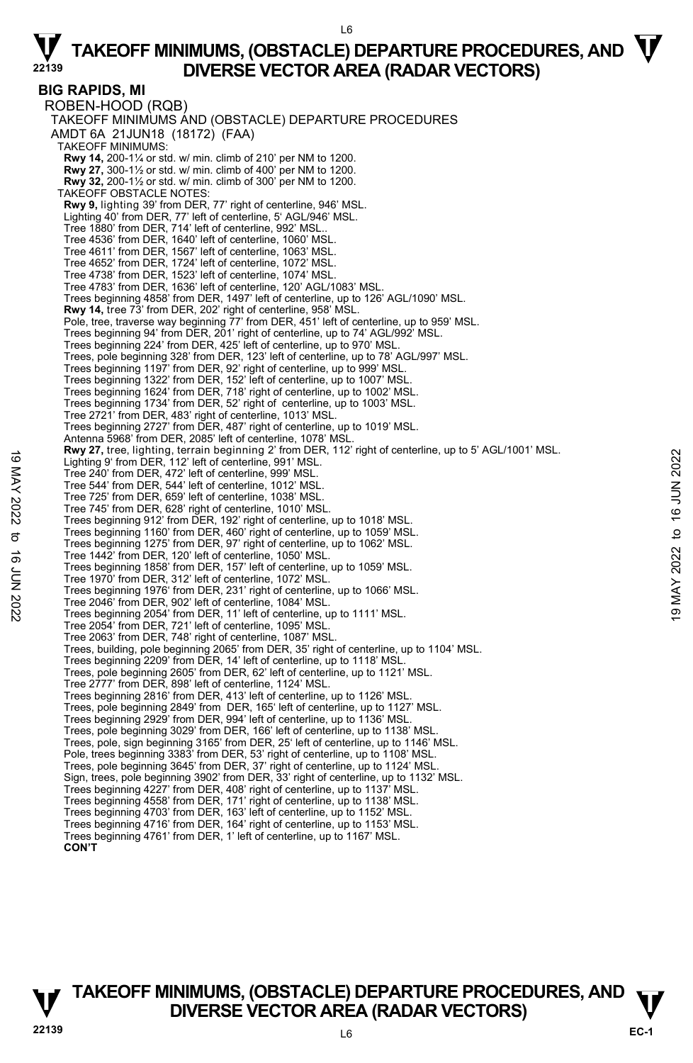L6

**BIG RAPIDS, MI**  ROBEN-HOOD (RQB) TAKEOFF MINIMUMS AND (OBSTACLE) DEPARTURE PROCEDURES AMDT 6A 21JUN18 (18172) (FAA) TAKEOFF MINIMUMS: **Rwy 14,** 200-1¼ or std. w/ min. climb of 210' per NM to 1200. **Rwy 27,** 300-1½ or std. w/ min. climb of 400' per NM to 1200. **Rwy 32,** 200-1½ or std. w/ min. climb of 300' per NM to 1200. TAKEOFF OBSTACLE NOTES: **Rwy 9,** lighting 39' from DER, 77' right of centerline, 946' MSL. Lighting 40' from DER, 77' left of centerline, 5' AGL/946' MSL. Tree 1880' from DER, 714' left of centerline, 992' MSL.. Tree 4536' from DER, 1640' left of centerline, 1060' MSL. Tree 4611' from DER, 1567' left of centerline, 1063' MSL. Tree 4652' from DER, 1724' left of centerline, 1072' MSL. Tree 4738' from DER, 1523' left of centerline, 1074' MSL. Tree 4783' from DER, 1636' left of centerline, 120' AGL/1083' MSL. Trees beginning 4858' from DER, 1497' left of centerline, up to 126' AGL/1090' MSL. **Rwy 14,** tree 73' from DER, 202' right of centerline, 958' MSL. Pole, tree, traverse way beginning 77' from DER, 451' left of centerline, up to 959' MSL.<br>Trees beginning 94' from DER, 201' right of centerline, up to 74' AGL/992' MSL. Trees beginning 224' from DER, 425' left of centerline, up to 970' MSL. Trees, pole beginning 328' from DER, 123' left of centerline, up to 78' AGL/997' MSL.<br>Trees beginning 1197' from DER, 92' right of centerline, up to 999' MSL.<br>Trees beginning 1322' from DER, 152' left of centerline, up to Trees beginning 1624' from DER, 718' right of centerline, up to 1002' MSL. Trees beginning 1734' from DER, 52' right of centerline, up to 1003' MSL. Tree 2721' from DER, 483' right of centerline, 1013' MSL. Trees beginning 2727' from DER, 487' right of centerline, up to 1019' MSL. Antenna 5968' from DER, 2085' left of centerline, 1078' MSL. **Rwy 27,** tree, lighting, terrain beginning 2' from DER, 112' right of centerline, up to 5' AGL/1001' MSL. Lighting 9' from DER, 112' left of centerline, 991' MSL. Tree 240' from DER, 472' left of centerline, 999' MSL. Tree 544' from DER, 544' left of centerline, 1012' MSL. Tree 725' from DER, 659' left of centerline, 1038' MSL. Tree 745' from DER, 628' right of centerline, 1010' MSL. Trees beginning 912' from DER, 192' right of centerline, up to 1018' MSL. Trees beginning 1160' from DER, 460' right of centerline, up to 1059' MSL. Trees beginning 1275' from DER, 97' right of centerline, up to 1062' MSL. Tree 1442' from DER, 120' left of centerline, 1050' MSL. Trees beginning 1858' from DER, 157' left of centerline, up to 1059' MSL. Tree 1970' from DER, 312' left of centerline, 1072' MSL. Trees beginning 1976' from DER, 231' right of centerline, up to 1066' MSL. Tree 2046' from DER, 902' left of centerline, 1084' MSL. Trees beginning 2054' from DER, 11' left of centerline, up to 1111' MSL. Tree 2054' from DER, 721' left of centerline, 1095' MSL. Tree 2063' from DER, 748' right of centerline, 1087' MSL. Trees, building, pole beginning 2065' from DER, 35' right of centerline, up to 1104' MSL. Trees beginning 2209' from DER, 14' left of centerline, up to 1118' MSL. Trees, pole beginning 2605' from DER, 62' left of centerline, up to 1121' MSL. Tree 2777' from DER, 898' left of centerline, 1124' MSL. Trees beginning 2816' from DER, 413' left of centerline, up to 1126' MSL. Trees, pole beginning 2849' from DER, 165' left of centerline, up to 1127' MSL. Trees beginning 2929' from DER, 994' left of centerline, up to 1136' MSL. Trees, pole beginning 3029' from DER, 166' left of centerline, up to 1138' MSL. Trees, pole, sign beginning 3165' from DER, 25' left of centerline, up to 1146' MSL. Pole, trees beginning 3383' from DER, 53' right of centerline, up to 1108' MSL. Trees, pole beginning 3645' from DER, 37' right of centerline, up to 1124' MSL. Sign, trees, pole beginning 3902' from DER, 33' right of centerline, up to 1132' MSL. Trees beginning 4227' from DER, 408' right of centerline, up to 1137' MSL. Trees beginning 4558' from DER, 171' right of centerline, up to 1138' MSL. Trees beginning 4703' from DER, 163' left of centerline, up to 1152' MSL. Trees beginning 4716' from DER, 164' right of centerline, up to 1153' MSL. Trees beginning 4761' from DER, 1' left of centerline, up to 1167' MSL. Eighting of from DER, 112 light of centerine, 999' MSL.<br>
Tree 240' from DER, 112' left of centerine, 999' MSL.<br>
Tree 544' from DER, 54' left of centerine, 1991' MSL.<br>
Tree 745' from DER, 659' left of centerine, 1012' MSL.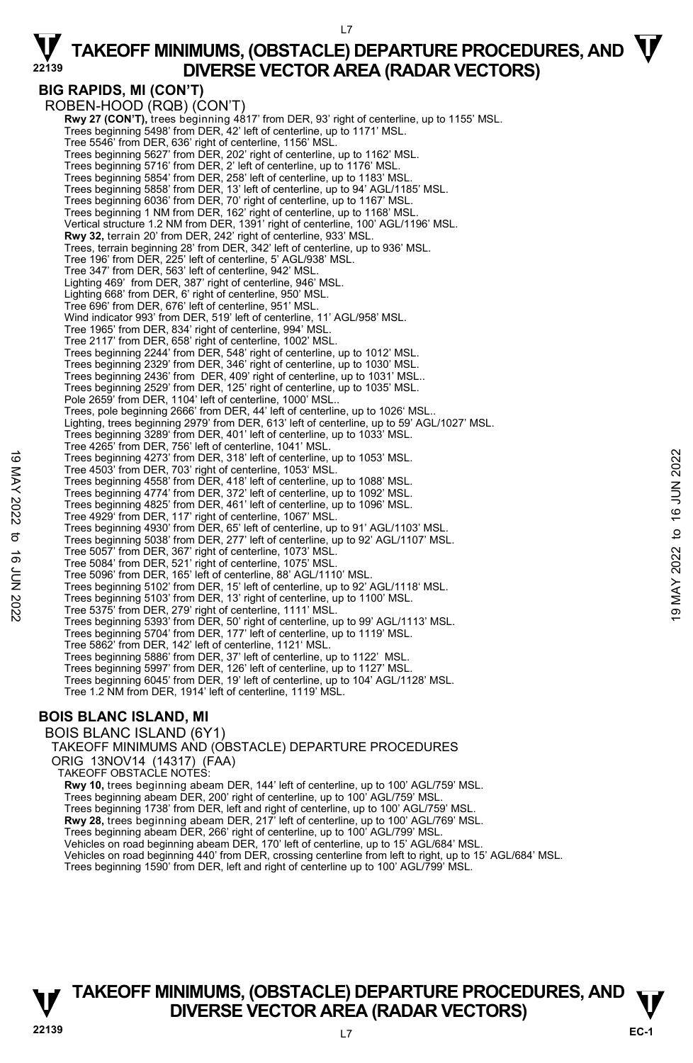# **BIG RAPIDS, MI (CON'T)**

ROBEN-HOOD (RQB) (CON'T)  **Rwy 27 (CON'T),** trees beginning 4817' from DER, 93' right of centerline, up to 1155' MSL. Trees beginning 5498' from DER, 42' left of centerline, up to 1171' MSL. Tree 5546' from DER, 636' right of centerline, 1156' MSL. Trees beginning 5627' from DER, 202' right of centerline, up to 1162' MSL. Trees beginning 5716' from DER, 2' left of centerline, up to 1176' MSL. Trees beginning 5854' from DER, 258' left of centerline, up to 1183' MSL. Trees beginning 5858' from DER, 13' left of centerline, up to 94' AGL/1185' MSL. Trees beginning 6036' from DER, 70' right of centerline, up to 1167' MSL. Trees beginning 1 NM from DER, 162' right of centerline, up to 1168' MSL. Vertical structure 1.2 NM from DER, 1391' right of centerline, 100' AGL/1196' MSL. **Rwy 32,** terrain 20' from DER, 242' right of centerline, 933' MSL.<br>Trees, terrain beginning 28' from DER, 342' left of centerline, up to 936' MSL. Tree 196' from DER, 225' left of centerline, 5' AGL/938' MSL. Tree 347' from DER, 563' left of centerline, 942' MSL. Lighting 469' from DER, 387' right of centerline, 946' MSL. Lighting 668' from DER, 6' right of centerline, 950' MSL. Tree 696' from DER, 676' left of centerline, 951' MSL. Wind indicator 993' from DER, 519' left of centerline, 11' AGL/958' MSL. Tree 1965' from DER, 834' right of centerline, 994' MSL. Tree 2117' from DER, 658' right of centerline, 1002' MSL. Trees beginning 2244' from DER, 548' right of centerline, up to 1012' MSL. Trees beginning 2329' from DER, 346' right of centerline, up to 1030' MSL. Trees beginning 2436' from DER, 409' right of centerline, up to 1031' MSL.. Trees beginning 2529' from DER, 125' right of centerline, up to 1035' MSL. Pole 2659' from DER, 1104' left of centerline, 1000' MSL.. Trees, pole beginning 2666' from DER, 44' left of centerline, up to 1026' MSL.. Lighting, trees beginning 2979' from DER, 613' left of centerline, up to 59' AGL/1027' MSL. Trees beginning 3289' from DER, 401' left of centerline, up to 1033' MSL. Tree 4265' from DER, 756' left of centerline, 1041' MSL. Trees beginning 4273' from DER, 318' left of centerline, up to 1053' MSL. Tree 4503' from DER, 703' right of centerline, 1053' MSL. Trees beginning 4558' from DER, 418' left of centerline, up to 1088' MSL. Trees beginning 4774' from DER, 372' left of centerline, up to 1092' MSL. Trees beginning 4825' from DER, 461' left of centerline, up to 1096' MSL. Tree 4929' from DER, 117' right of centerline, 1067' MSL. Trees beginning 4930' from DER, 65' left of centerline, up to 91' AGL/1103' MSL. Trees beginning 5038' from DER, 277' left of centerline, up to 92' AGL/1107' MSL. Tree 5057' from DER, 367' right of centerline, 1073' MSL. Tree 5084' from DER, 521' right of centerline, 1075' MSL. Tree 5096' from DER, 165' left of centerline, 88' AGL/1110' MSL. Trees beginning 5102' from DER, 15' left of centerline, up to 92' AGL/1118' MSL. Trees beginning 5103' from DER, 13' right of centerline, up to 1100' MSL. Tree 5375' from DER, 279' right of centerline, 1111' MSL. Trees beginning 5393' from DER, 50' right of centerline, up to 99' AGL/1113' MSL. Trees beginning 5704' from DER, 177' left of centerline, up to 1119' MSL. Tree 5862' from DER, 142' left of centerline, 1121' MSL. Trees beginning 5886' from DER, 37' left of centerline, up to 1122' MSL. Trees beginning 5997' from DER, 126' left of centerline, up to 1127' MSL. Trees beginning 6045' from DER, 19' left of centerline, up to 104' AGL/1128' MSL. Tree 1.2 NM from DER, 1914' left of centerline, 1119' MSL. Trees beginning 4273' from DER, 318' left of centerline, up to 1053' MSL.<br>
Tree 4503' from DER, 703' right of centerline, up to 1088' MSL.<br>
Trees beginning 4558' from DER, 461' left of centerline, up to 1088' MSL.<br>
Trees

### **BOIS BLANC ISLAND, MI**

BOIS BLANC ISLAND (6Y1) TAKEOFF MINIMUMS AND (OBSTACLE) DEPARTURE PROCEDURES ORIG 13NOV14 (14317) (FAA) TAKEOFF OBSTACLE NOTES: **Rwy 10,** trees beginning abeam DER, 144' left of centerline, up to 100' AGL/759' MSL. Trees beginning abeam DER, 200' right of centerline, up to 100' AGL/759' MSL. Trees beginning 1738' from DER, left and right of centerline, up to 100' AGL/759' MSL. **Rwy 28,** trees beginning abeam DER, 217' left of centerline, up to 100' AGL/769' MSL. Trees beginning abeam DER, 266' right of centerline, up to 100' AGL/799' MSL. Vehicles on road beginning abeam DER, 170' left of centerline, up to 15' AGL/684' MSL. Vehicles on road beginning 440' from DER, crossing centerline from left to right, up to 15' AGL/684' MSL. Trees beginning 1590' from DER, left and right of centerline up to 100' AGL/799' MSL.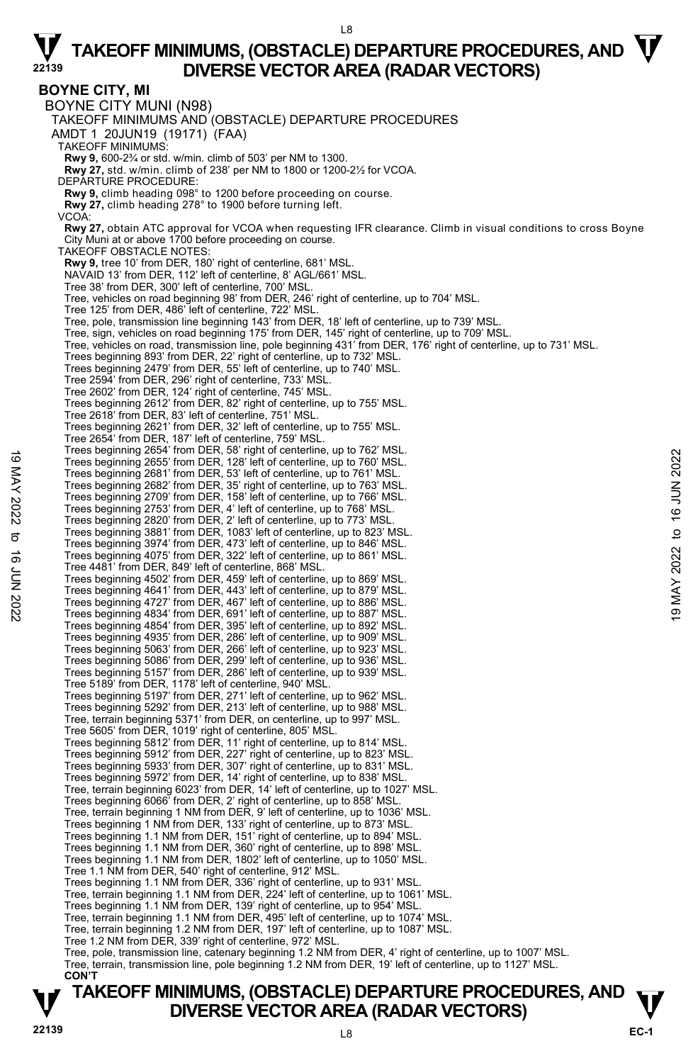#### L8

## $\nabla$  TAKEOFF MINIMUMS, (OBSTACLE) DEPARTURE PROCEDURES, AND  $\nabla$ **DIVERSE VECTOR AREA (RADAR VECTORS)**

**BOYNE CITY, MI**  BOYNE CITY MUNI (N98) TAKEOFF MINIMUMS AND (OBSTACLE) DEPARTURE PROCEDURES AMDT 1 20JUN19 (19171) (FAA) TAKEOFF MINIMUMS: **Rwy 9,** 600-2¾ or std. w/min. climb of 503' per NM to 1300. **Rwy 27,** std. w/min. climb of 238' per NM to 1800 or 1200-2½ for VCOA. DEPARTURE PROCEDURE: **Rwy 9,** climb heading 098° to 1200 before proceeding on course. **Rwy 27,** climb heading 278° to 1900 before turning left. VCOA: **Rwy 27,** obtain ATC approval for VCOA when requesting IFR clearance. Climb in visual conditions to cross Boyne City Muni at or above 1700 before proceeding on course. TAKEOFF OBSTACLE NOTES: **Rwy 9,** tree 10' from DER, 180' right of centerline, 681' MSL. NAVAID 13' from DER, 112' left of centerline, 8' AGL/661' MSL. Tree 38' from DER, 300' left of centerline, 700' MSL. Tree, vehicles on road beginning 98' from DER, 246' right of centerline, up to 704' MSL. Tree 125' from DER, 486' left of centerline, 722' MSL. Tree, pole, transmission line beginning 143' from DER, 18' left of centerline, up to 739' MSL.<br>Tree, sign, vehicles on road beginning 175' from DER, 145' right of centerline, up to 709' MSL.<br>Tree, vehicles on road, transmi Trees beginning 893' from DER, 22' right of centerline, up to 732' MSL. Trees beginning 2479' from DER, 55' left of centerline, up to 740' MSL. Tree 2594' from DER, 296' right of centerline, 733' MSL. Tree 2602' from DER, 124' right of centerline, 745' MSL. Trees beginning 2612' from DER, 82' right of centerline, up to 755' MSL. Tree 2618' from DER, 83' left of centerline, 751' MSL. Trees beginning 2621' from DER, 32' left of centerline, up to 755' MSL. Tree 2654' from DER, 187' left of centerline, 759' MSL. Trees beginning 2654' from DER, 58' right of centerline, up to 762' MSL. Trees beginning 2655' from DER, 128' left of centerline, up to 760' MSL. Trees beginning 2681' from DER, 53' left of centerline, up to 761' MSL. Trees beginning 2682' from DER, 35' right of centerline, up to 763' MSL. Trees beginning 2709' from DER, 158' left of centerline, up to 766' MSL. Trees beginning 2753' from DER, 4' left of centerline, up to 768' MSL. Trees beginning 2820' from DER, 2' left of centerline, up to 773' MSL.<br>Trees beginning 3881' from DER, 1083' left of centerline, up to 823' MSL.<br>Trees beginning 3974' from DER, 473' left of centerline, up to 846' MSL. Trees beginning 4075' from DER, 322' left of centerline, up to 861' MSL. Tree 4481' from DER, 849' left of centerline, 868' MSL. Trees beginning 4502' from DER, 459' left of centerline, up to 869' MSL. Trees beginning 4641' from DER, 443' left of centerline, up to 879' MSL. Trees beginning 4727' from DER, 467' left of centerline, up to 886' MSL. Trees beginning 4834' from DER, 691' left of centerline, up to 887' MSL. Trees beginning 4854' from DER, 395' left of centerline, up to 892' MSL. Trees beginning 4935' from DER, 286' left of centerline, up to 909' MSL. Trees beginning 5063' from DER, 266' left of centerline, up to 923' MSL. Trees beginning 5086' from DER, 299' left of centerline, up to 936' MSL. Trees beginning 5157' from DER, 286' left of centerline, up to 939' MSL. Tree 5189' from DER, 1178' left of centerline, 940' MSL. Trees beginning 5197' from DER, 271' left of centerline, up to 962' MSL. Trees beginning 5292' from DER, 213' left of centerline, up to 988' MSL. Tree, terrain beginning 5371' from DER, on centerline, up to 997' MSL.<br>Tree 5605' from DER, 1019' right of centerline, 805' MSL.<br>Trees beginning 5812' from DER, 11' right of centerline, up to 814' MSL. Trees beginning 5912' from DER, 227' right of centerline, up to 823' MSL. Trees beginning 5933' from DER, 307' right of centerline, up to 831' MSL. Trees beginning 5972' from DER, 14' right of centerline, up to 838' MSL. Tree, terrain beginning 6023' from DER, 14' left of centerline, up to 1027' MSL. Trees beginning 6066' from DER, 2' right of centerline, up to 858' MSL. Tree, terrain beginning 1 NM from DER, 9' left of centerline, up to 1036' MSL. Trees beginning 1 NM from DER, 133' right of centerline, up to 873' MSL. Trees beginning 1.1 NM from DER, 151' right of centerline, up to 894' MSL. Trees beginning 1.1 NM from DER, 360' right of centerline, up to 898' MSL. Trees beginning 1.1 NM from DER, 1802' left of centerline, up to 1050' MSL. Tree 1.1 NM from DER, 540' right of centerline, 912' MSL. Trees beginning 1.1 NM from DER, 336' right of centerline, up to 931' MSL. Tree, terrain beginning 1.1 NM from DER, 224' left of centerline, up to 1061' MSL. Trees beginning 1.1 NM from DER, 139' right of centerline, up to 954' MSL. Tree, terrain beginning 1.1 NM from DER, 495' left of centerline, up to 1074' MSL. Tree, terrain beginning 1.2 NM from DER, 197' left of centerline, up to 1087' MSL. Tree 1.2 NM from DER, 339' right of centerline, 972' MSL. Tree, pole, transmission line, catenary beginning 1.2 NM from DER, 4' right of centerline, up to 1007' MSL. Tree, terrain, transmission line, pole beginning 1.2 NM from DER, 19' left of centerline, up to 1127' MSL. **CON'T**  Trees beginning 2634 Tom DER, 30 signt of centerline, up to 760' MSL.<br>
Trees beginning 2685' from DER, 32' left of centerline, up to 760' MSL.<br>
Trees beginning 2682' from DER, 35' right of centerline, up to 766' MSL.<br>
Tree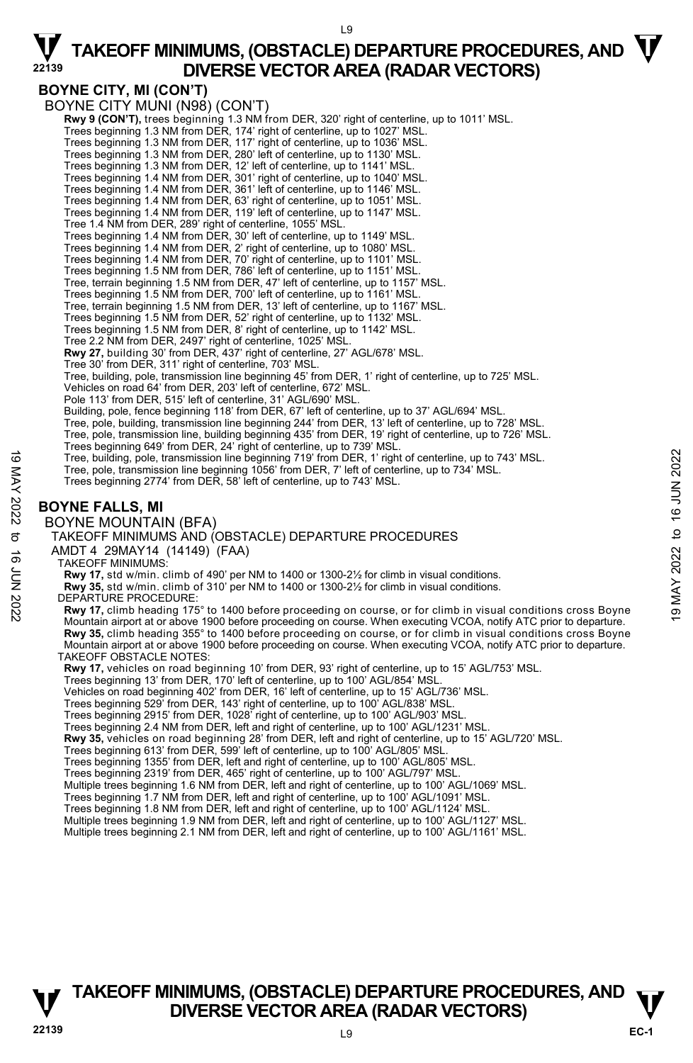### **BOYNE CITY, MI (CON'T)**

BOYNE CITY MUNI (N98) (CON'T) **Rwy 9 (CON'T),** trees beginning 1.3 NM from DER, 320' right of centerline, up to 1011' MSL.<br>Trees beginning 1.3 NM from DER, 174' right of centerline, up to 1027' MSL. Trees beginning 1.3 NM from DER, 117' right of centerline, up to 1036' MSL. Trees beginning 1.3 NM from DER, 280' left of centerline, up to 1130' MSL. Trees beginning 1.3 NM from DER, 12' left of centerline, up to 1141' MSL. Trees beginning 1.4 NM from DER, 301' right of centerline, up to 1040' MSL. Trees beginning 1.4 NM from DER, 361' left of centerline, up to 1146' MSL. Trees beginning 1.4 NM from DER, 63' right of centerline, up to 1051' MSL. Trees beginning 1.4 NM from DER, 119' left of centerline, up to 1147' MSL. Tree 1.4 NM from DER, 289' right of centerline, 1055' MSL. Trees beginning 1.4 NM from DER, 30' left of centerline, up to 1149' MSL. Trees beginning 1.4 NM from DER, 2' right of centerline, up to 1080' MSL. Trees beginning 1.4 NM from DER, 70' right of centerline, up to 1101' MSL. Trees beginning 1.5 NM from DER, 786' left of centerline, up to 1151' MSL. Tree, terrain beginning 1.5 NM from DER, 47' left of centerline, up to 1157' MSL. Trees beginning 1.5 NM from DER, 700' left of centerline, up to 1161' MSL. Tree, terrain beginning 1.5 NM from DER, 13' left of centerline, up to 1167' MSL. Trees beginning 1.5 NM from DER, 52' right of centerline, up to 1132' MSL. Trees beginning 1.5 NM from DER, 8' right of centerline, up to 1142' MSL. Tree 2.2 NM from DER, 2497' right of centerline, 1025' MSL. **Rwy 27,** building 30' from DER, 437' right of centerline, 27' AGL/678' MSL. Tree 30' from DER, 311' right of centerline, 703' MSL. Tree, building, pole, transmission line beginning 45' from DER, 1' right of centerline, up to 725' MSL. Vehicles on road 64' from DER, 203' left of centerline, 672' MSL. Pole 113' from DER, 515' left of centerline, 31' AGL/690' MSL. Building, pole, fence beginning 118' from DER, 67' left of centerline, up to 37' AGL/694' MSL. Tree, pole, building, transmission line beginning 244' from DER, 13' left of centerline, up to 728' MSL. Tree, pole, transmission line, building beginning 435' from DER, 19' right of centerline, up to 726' MSL. Trees beginning 649' from DER, 24' right of centerline, up to 739' MSL. Tree, building, pole, transmission line beginning 719' from DER, 1' right of centerline, up to 743' MSL. Tree, pole, transmission line beginning 1056' from DER, 7' left of centerline, up to 734' MSL. Trees beginning 2774' from DER, 58' left of centerline, up to 743' MSL. **BOYNE FALLS, MI**  BOYNE MOUNTAIN (BFA) TAKEOFF MINIMUMS AND (OBSTACLE) DEPARTURE PROCEDURES AMDT 4 29MAY14 (14149) (FAA) TAKEOFF MINIMUMS: **Rwy 17,** std w/min. climb of 490' per NM to 1400 or 1300-2½ for climb in visual conditions. **Rwy 35,** std w/min. climb of 310' per NM to 1400 or 1300-2½ for climb in visual conditions. DEPARTURE PROCEDURE: **Rwy 17,** climb heading 175° to 1400 before proceeding on course, or for climb in visual conditions cross Boyne Mountain airport at or above 1900 before proceeding on course. When executing VCOA, notify ATC prior to departure. **Rwy 35,** climb heading 355° to 1400 before proceeding on course, or for climb in visual conditions cross Boyne Mountain airport at or above 1900 before proceeding on course. When executing VCOA, notify ATC prior to departure. TAKEOFF OBSTACLE NOTES: **Rwy 17,** vehicles on road beginning 10' from DER, 93' right of centerline, up to 15' AGL/753' MSL. Trees beginning 13' from DER, 170' left of centerline, up to 100' AGL/854' MSL. Vehicles on road beginning 402' from DER, 16' left of centerline, up to 15' AGL/736' MSL. Trees beginning 529' from DER, 143' right of centerline, up to 100' AGL/838' MSL. Trees beginning 2915' from DER, 1028' right of centerline, up to 100' AGL/903' MS Trees beginning 2.4 NM from DER, left and right of centerline, up to 100' AGL/1231' MSL. **Rwy 35,** vehicles on road beginning 28' from DER, left and right of centerline, up to 15' AGL/720' MSL. Trees beginning 613' from DER, 599' left of centerline, up to 100' AGL/805' MSL. Trees beginning 1355' from DER, left and right of centerline, up to 100' AGL/805' MSL. Trees beginning 2319' from DER, 465' right of centerline, up to 100' AGL/797' MSL. Multiple trees beginning 1.6 NM from DER, left and right of centerline, up to 100' AGL/1069' MSL. Trees beginning 1.7 NM from DER, left and right of centerline, up to 100' AGL/1091' MSL. Trees beginning 1.8 NM from DER, left and right of centerline, up to 100' AGL/1124' MSL. Multiple trees beginning 1.9 NM from DER, left and right of centerline, up to 100' AGL/1127' MSL. Multiple trees beginning 2.1 NM from DER, left and right of centerline, up to 100' AGL/1161' MSL. Tree, building, pole, transmission line beginning 719 from DER, 1' right of centerline, up to 734' MSL.<br>
Tree, pole, transmission line beginning 1056' from DER, 7' left of centerline, up to 734' MSL.<br>
Trees beginning 2774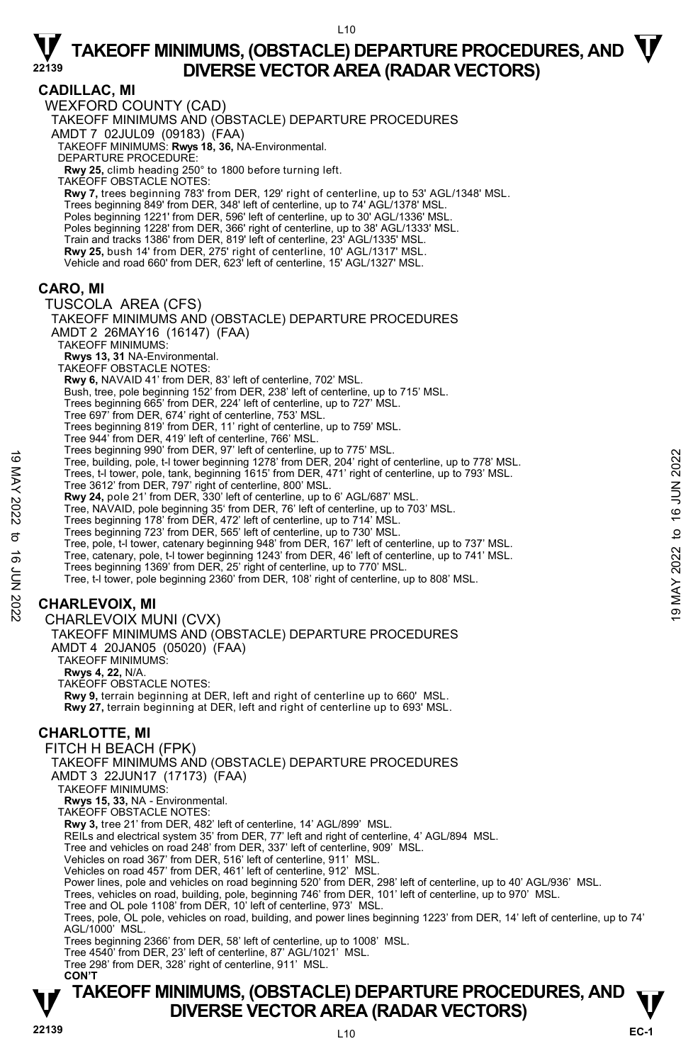$110$ 

#### **CADILLAC, MI**  WEXFORD COUNTY (CAD) TAKEOFF MINIMUMS AND (OBSTACLE) DEPARTURE PROCEDURES AMDT 7 02JUL09 (09183) (FAA) TAKEOFF MINIMUMS: **Rwys 18, 36,** NA-Environmental. DEPARTURE PROCEDURE: **Rwy 25,** climb heading 250° to 1800 before turning left. TAKEOFF OBSTACLE NOTES: **Rwy 7,** trees beginning 783' from DER, 129' right of centerline, up to 53' AGL/1348' MSL. Trees beginning 849' from DER, 348' left of centerline, up to 74' AGL/1378' MSL. Poles beginning 1221' from DER, 596' left of centerline, up to 30' AGL/1336' MSL Poles beginning 1228' from DER, 366' right of centerline, up to 38' AGL/1333' MSL. Train and tracks 1386' from DER, 819' left of centerline, 23' AGL/1335' MSL. **Rwy 25,** bush 14' from DER, 275' right of centerline, 10' AGL/1317' MSL. Vehicle and road 660' from DER, 623' left of centerline, 15' AGL/1327' MSL. **CARO, MI**  TUSCOLA AREA (CFS) TAKEOFF MINIMUMS AND (OBSTACLE) DEPARTURE PROCEDURES AMDT 2 26MAY16 (16147) (FAA) TAKEOFF MINIMUMS: **Rwys 13, 31** NA-Environmental. TAKEOFF OBSTACLE NOTES: **Rwy 6,** NAVAID 41' from DER, 83' left of centerline, 702' MSL. Bush, tree, pole beginning 152' from DER, 238' left of centerline, up to 715' MSL. Trees beginning 665' from DER, 224' left of centerline, up to 727' MSL. Tree 697' from DER, 674' right of centerline, 753' MSL. Trees beginning 819' from DER, 11' right of centerline, up to 759' MSL. Tree 944' from DER, 419' left of centerline, 766' MSL. Trees beginning 990' from DER, 97' left of centerline, up to 775' MSL. Tree, building, pole, t-l tower beginning 1278' from DER, 204' right of centerline, up to 778' MSL. Trees, t-l tower, pole, tank, beginning 1615' from DER, 471' right of centerline, up to 793' MSL. Tree 3612' from DER, 797' right of centerline, 800' MSL. **Rwy 24,** pole 21' from DER, 330' left of centerline, up to 6' AGL/687' MSL. Tree, NAVAID, pole beginning 35' from DER, 76' left of centerline, up to 703' MSL. Trees beginning 178' from DER, 472' left of centerline, up to 714' MSL. Trees beginning 723' from DER, 565' left of centerline, up to 730' MSL. Tree, pole, t-l tower, catenary beginning 948' from DER, 167' left of centerline, up to 737' MSL. Tree, catenary, pole, t-l tower beginning 1243' from DER, 46' left of centerline, up to 741' MSL.<br>Trees beginning 1369' from DER, 25' right of centerline, up to 770' MSL. Tree, t-l tower, pole beginning 2360' from DER, 108' right of centerline, up to 808' MSL. **CHARLEVOIX, MI**  CHARLEVOIX MUNI (CVX) TAKEOFF MINIMUMS AND (OBSTACLE) DEPARTURE PROCEDURES AMDT 4 20JAN05 (05020) (FAA) TAKEOFF MINIMUMS: **Rwys 4, 22,** N/A. TAKEOFF OBSTACLE NOTES: **Rwy 9,** terrain beginning at DER, left and right of centerline up to 660' MSL. **Rwy 27,** terrain beginning at DER, left and right of centerline up to 693' MSL. **CHARLOTTE, MI**  FITCH H BEACH (FPK) TAKEOFF MINIMUMS AND (OBSTACLE) DEPARTURE PROCEDURES AMDT 3 22JUN17 (17173) (FAA) TAKEOFF MINIMUMS: **Rwys 15, 33,** NA - Environmental. TAKEOFF OBSTACLE NOTES: **Rwy 3,** tree 21' from DER, 482' left of centerline, 14' AGL/899' MSL. REILs and electrical system 35' from DER, 77' left and right of centerline, 4' AGL/894 MSL. Tree and vehicles on road 248' from DER, 337' left of centerline, 909' MSL. Vehicles on road 367' from DER, 516' left of centerline, 911' MSL. Vehicles on road 457' from DER, 461' left of centerline, 912' MSL. Power lines, pole and vehicles on road beginning 520' from DER, 298' left of centerline, up to 40' AGL/936' MSL. Trees, vehicles on road, building, pole, beginning 746' from DER, 101' left of centerline, up to 970' MSL. Tree and OL pole 1108' from DER, 10' left of centerline, 973' MSL. Trees, pole, OL pole, vehicles on road, building, and power lines beginning 1223' from DER, 14' left of centerline, up to 74' AGL/1000' MSL. Trees beginning 2366' from DER, 58' left of centerline, up to 1008' MSL. Tree, building, pole, t-1 tower beginning 1278' from DER, 204' right of centerline, up to 778' MSL.<br>
Tree, building, pole, t-1 tower beginning 1278' from DER, 471' right of centerline, up to 778' MSL.<br>
Tree 3612' from DER

Tree 4540' from DER, 23' left of centerline, 87' AGL/1021' MSL. Tree 298' from DER, 328' right of centerline, 911' MSL.

 **CON'T**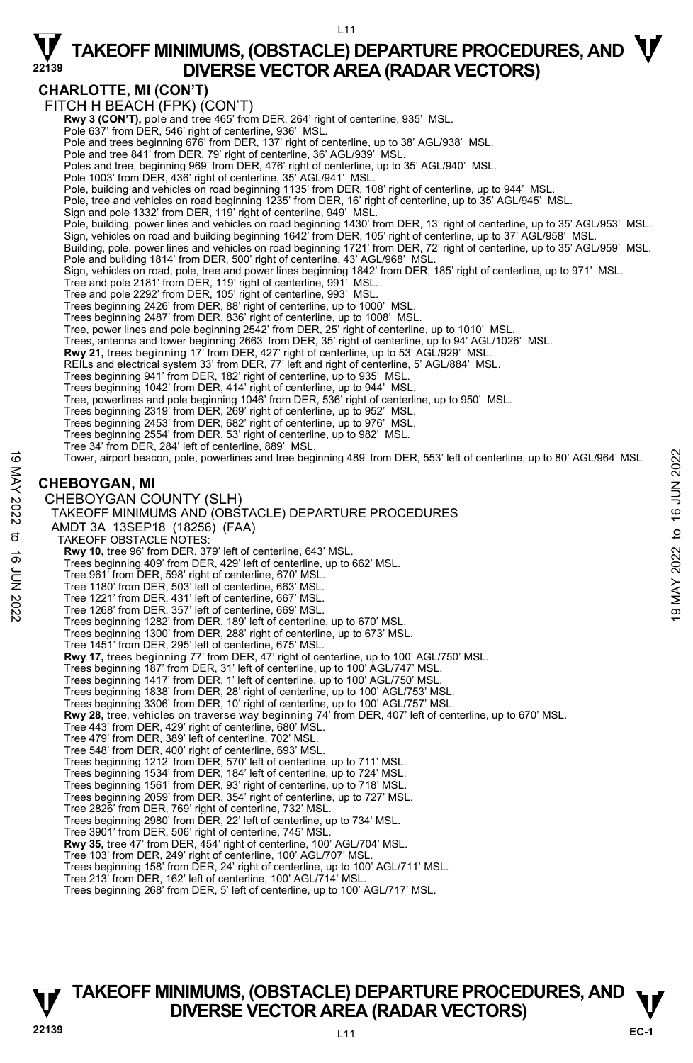### **CHARLOTTE, MI (CON'T)**

FITCH H BEACH (FPK) (CON'T) **Rwy 3 (CON'T),** pole and tree 465' from DER, 264' right of centerline, 935' MSL.<br>Pole 637' from DER, 546' right of centerline, 936' MSL. Pole and trees beginning 676' from DER, 137' right of centerline, up to 38' AGL/938' MSL. Pole and tree 841' from DER, 79' right of centerline, 36' AGL/939' MSL. Poles and tree, beginning 969' from DER, 476' right of centerline, up to 35' AGL/940' MSL. Pole 1003' from DER, 436' right of centerline, 35' AGL/941' MSL Pole, building and vehicles on road beginning 1135' from DER, 108' right of centerline, up to 944' MSL. Pole, tree and vehicles on road beginning 1235' from DER, 16' right of centerline, up to 35' AGL/945' MSL.<br>Sign and pole 1332' from DER, 119' right of centerline, 949' MSL. Pole, building, power lines and vehicles on road beginning 1430' from DER, 13' right of centerline, up to 35' AGL/953' MSL. Sign, vehicles on road and building beginning 1642' from DER, 105' right of centerline, up to 37' AGL/958' MSL. Building, pole, power lines and vehicles on road beginning 1721' from DER, 72' right of centerline, up to 35' AGL/959' MSL. Pole and building 1814' from DER, 500' right of centerline, 43' AGL/968' MSL. Sign, vehicles on road, pole, tree and power lines beginning 1842' from DER, 185' right of centerline, up to 971' MSL. Tree and pole 2181' from DER, 119' right of centerline, 991' MSL. Tree and pole 2292' from DER, 105' right of centerline, 993' MSL. Trees beginning 2426' from DER, 88' right of centerline, up to 1000' MSL. Trees beginning 2487' from DER, 836' right of centerline, up to 1008' MSL. Tree, power lines and pole beginning 2542' from DER, 25' right of centerline, up to 1010' MSL. Trees, antenna and tower beginning 2663' from DER, 35' right of centerline, up to 94' AGL/1026' MSL. **Rwy 21,** trees beginning 17' from DER, 427' right of centerline, up to 53' AGL/929' MSL.<br>REILs and electrical system 33' from DER, 77' left and right of centerline, 5' AGL/884' MSL. Trees beginning 941' from DER, 182' right of centerline, up to 935' MSL. Trees beginning 1042' from DER, 414' right of centerline, up to 944' MSL. Tree, powerlines and pole beginning 1046' from DER, 536' right of centerline, up to 950' MSL.<br>Trees beginning 2319' from DER, 269' right of centerline, up to 952' MSL.<br>Trees beginning 2453' from DER, 682' right of centerli Trees beginning 2554' from DER, 53' right of centerline, up to 982' MSL. Tree 34' from DER, 284' left of centerline, 889' MSL. Tower, airport beacon, pole, powerlines and tree beginning 489' from DER, 553' left of centerline, up to 80' AGL/964' MSL **CHEBOYGAN, MI**  CHEBOYGAN COUNTY (SLH) TAKEOFF MINIMUMS AND (OBSTACLE) DEPARTURE PROCEDURES AMDT 3A 13SEP18 (18256) (FAA) TAKEOFF OBSTACLE NOTES: **Rwy 10,** tree 96' from DER, 379' left of centerline, 643' MSL. Trees beginning 409' from DER, 429' left of centerline, up to 662' MSL. Tree 961' from DER, 598' right of centerline, 670' MSL. Tree 1180' from DER, 503' left of centerline, 663' MSL. Tree 1221' from DER, 431' left of centerline, 667' MSL. Tree 1268' from DER, 357' left of centerline, 669' MSL. Trees beginning 1282' from DER, 189' left of centerline, up to 670' MSL. Trees beginning 1300' from DER, 288' right of centerline, up to 673' MSL. Tree 1451' from DER, 295' left of centerline, 675' MSL. **Rwy 17,** trees beginning 77' from DER, 47' right of centerline, up to 100' AGL/750' MSL. Trees beginning 187' from DER, 31' left of centerline, up to 100' AGL/747' MSL. Trees beginning 1417' from DER, 1' left of centerline, up to 100' AGL/750' MSL. Trees beginning 1838' from DER, 28' right of centerline, up to 100' AGL/753' MSL. Trees beginning 3306' from DER, 10' right of centerline, up to 100' AGL/757' MSL. **Rwy 28,** tree, vehicles on traverse way beginning 74' from DER, 407' left of centerline, up to 670' MSL.<br>Tree 443' from DER, 429' right of centerline, 680' MSL. Tree 479' from DER, 389' left of centerline, 702' MSL. Tree 548' from DER, 400' right of centerline, 693' MSL. Trees beginning 1212' from DER, 570' left of centerline, up to 711' MSL.<br>Trees beginning 1534' from DER, 184' left of centerline, up to 728' MSL.<br>Trees beginning 1561' from DER, 93' right of centerline, up to 718' MSL. Trees beginning 2059' from DER, 354' right of centerline, up to 727' MSL. Tree 2826' from DER, 769' right of centerline, 732' MSL. Trees beginning 2980' from DER, 22' left of centerline, up to 734' MSL. Tree 3901' from DER, 506' right of centerline, 745' MSL. **Rwy 35,** tree 47' from DER, 454' right of centerline, 100' AGL/704' MSL. Tree 103' from DER, 249' right of centerline, 100' AGL/707' MSL. Trees beginning 158' from DER, 24' right of centerline, up to 100' AGL/711' MSL. Tree 213' from DER, 162' left of centerline, 100' AGL/714' MSL. Trees beginning 268' from DER, 5' left of centerline, up to 100' AGL/717' MSL. 19 Tower, airport beacon, pole, powerlines and tree beginning 489' from DER, 553' left of centerline, up to 80' AGL/964' MSL<br>
2022<br>
2022 **CHEBOYGAN, MI**<br>
2022 **CHEBOYGAN COUNTY (SLH)**<br>
2022 TO THE MAY 10 (OBSTACLE) DEPART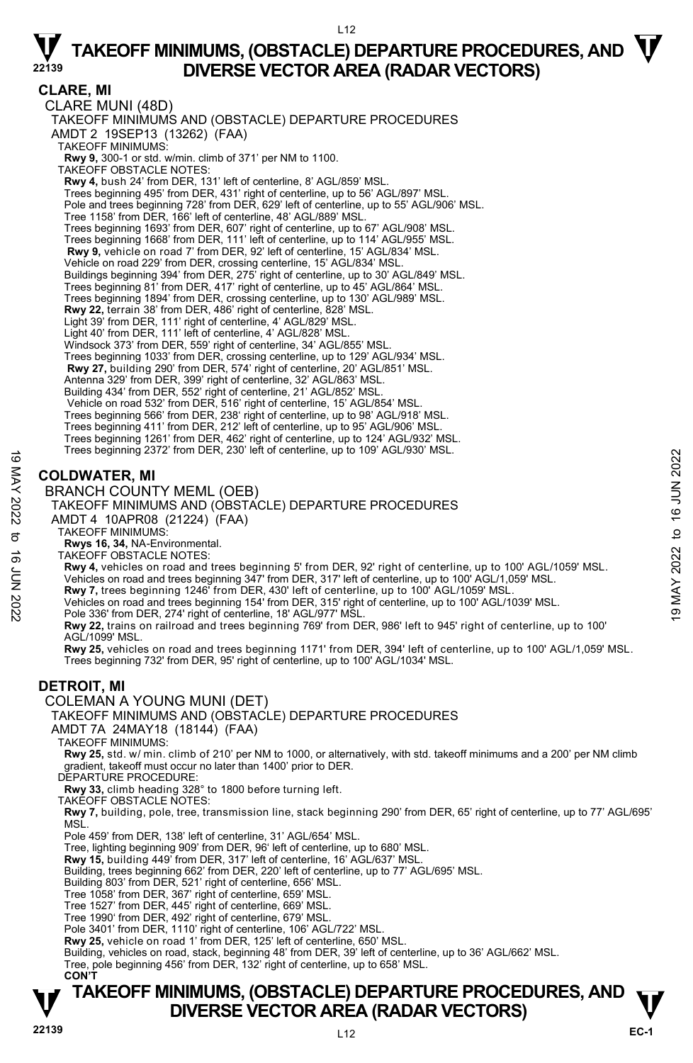L12

### **CLARE, MI**

CLARE MUNI (48D) TAKEOFF MINIMUMS AND (OBSTACLE) DEPARTURE PROCEDURES AMDT 2 19SEP13 (13262) (FAA) TAKEOFF MINIMUMS: **Rwy 9,** 300-1 or std. w/min. climb of 371' per NM to 1100. TAKEOFF OBSTACLE NOTES: **Rwy 4,** bush 24' from DER, 131' left of centerline, 8' AGL/859' MSL. Trees beginning 495' from DER, 431' right of centerline, up to 56' AGL/897' MSL. Pole and trees beginning 728' from DER, 629' left of centerline, up to 55' AGL/906' MSL. Tree 1158' from DER, 166' left of centerline, 48' AGL/889' MSL. Trees beginning 1693' from DER, 607' right of centerline, up to 67' AGL/908' MSL. Trees beginning 1668' from DER, 111' left of centerline, up to 114' AGL/955' MSL. **Rwy 9,** vehicle on road 7' from DER, 92' left of centerline, 15' AGL/834' MSL. Vehicle on road 229' from DER, crossing centerline, 15' AGL/834' MSL. Buildings beginning 394' from DER, 275' right of centerline, up to 30' AGL/849' MSL. Trees beginning 81' from DER, 417' right of centerline, up to 45' AGL/864' MSL. Trees beginning 1894' from DER, crossing centerline, up to 130' AGL/989' MSL. **Rwy 22,** terrain 38' from DER, 486' right of centerline, 828' MSL. Light 39' from DER, 111' right of centerline, 4' AGL/829' MSL. Light 40' from DER, 111' left of centerline, 4' AGL/828' MSL. Windsock 373' from DER, 559' right of centerline, 34' AGL/855' MSL. Trees beginning 1033' from DER, crossing centerline, up to 129' AGL/934' MSL. **Rwy 27,** building 290' from DER, 574' right of centerline, 20' AGL/851' MSL. Antenna 329' from DER, 399' right of centerline, 32' AGL/863' MSL. Building 434' from DER, 552' right of centerline, 21' AGL/852' MSL. Vehicle on road 532' from DER, 516' right of centerline, 15' AGL/854' MSL. Trees beginning 566' from DER, 238' right of centerline, up to 98' AGL/918' MSL. Trees beginning 411' from DER, 212' left of centerline, up to 95' AGL/906' MSL. Trees beginning 1261' from DER, 462' right of centerline, up to 124' AGL/932' MSL. Trees beginning 2372' from DER, 230' left of centerline, up to 109' AGL/930' MSL. **COLDWATER, MI**  These beginning 2572 from DER, 250' left of centerline, up to 109 AGL/930' MSL.<br>
SCOLDWATER, MI<br>
AND TAKEOFF MINIMUMS AND (OBSTACLE) DEPARTURE PROCEDURES<br>
TAKEOFF MINIMUMS AND (OBSTACLE) DEPARTURE PROCEDURES<br>
TAKEOFF MINI

### BRANCH COUNTY MEML (OEB)

TAKEOFF MINIMUMS AND (OBSTACLE) DEPARTURE PROCEDURES

- AMDT 4 10APR08 (21224) (FAA)
	- TAKEOFF MINIMUMS:
	- **Rwys 16, 34,** NA-Environmental. TAKEOFF OBSTACLE NOTES:
- **Rwy 4,** vehicles on road and trees beginning 5' from DER, 92' right of centerline, up to 100' AGL/1059' MSL.
- Vehicles on road and trees beginning 347' from DER, 317' left of centerline, up to 100' AGL/1,059' MSL.
- **Rwy 7,** trees beginning 1246' from DER, 430' left of centerline, up to 100' AGL/1059' MSL.
- 
- 
- **Rwy 22,** trains on railroad and trees beginning 769' from DER, 986' left to 945' right of centerline, up to 100' AGL/1099' MSL.

**Rwy 25,** vehicles on road and trees beginning 1171' from DER, 394' left of centerline, up to 100' AGL/1,059' MSL. Trees beginning 732' from DER, 95' right of centerline, up to 100' AGL/1034' MSL.

### **DETROIT, MI**

COLEMAN A YOUNG MUNI (DET)

### TAKEOFF MINIMUMS AND (OBSTACLE) DEPARTURE PROCEDURES

AMDT 7A 24MAY18 (18144) (FAA)

TAKEOFF MINIMUMS:

**Rwy 25,** std. w/ min. climb of 210' per NM to 1000, or alternatively, with std. takeoff minimums and a 200' per NM climb gradient, takeoff must occur no later than 1400' prior to DER.

DEPARTURE PROCEDURE:

**Rwy 33,** climb heading 328° to 1800 before turning left.

TAKEOFF OBSTACLE NOTES:

**Rwy 7,** building, pole, tree, transmission line, stack beginning 290' from DER, 65' right of centerline, up to 77' AGL/695' **MSL** 

Pole 459' from DER, 138' left of centerline, 31' AGL/654' MSL.

Tree, lighting beginning 909' from DER, 96' left of centerline, up to 680' MSL.

**Rwy 15,** building 449' from DER, 317' left of centerline, 16' AGL/637' MSL.

- Building, trees beginning 662' from DER, 220' left of centerline, up to 77' AGL/695' MSL. Building 803' from DER, 521' right of centerline, 656' MSL.
- Tree 1058' from DER, 367' right of centerline, 659' MSL.

Tree 1527' from DER, 445' right of centerline, 669' MSL.

Tree 1990' from DER, 492' right of centerline, 679' MSL. Pole 3401' from DER, 1110' right of centerline, 106' AGL/722' MSL.

**Rwy 25,** vehicle on road 1' from DER, 125' left of centerline, 650' MSL.

Building, vehicles on road, stack, beginning 48' from DER, 39' left of centerline, up to 36' AGL/662' MSL.<br>Tree, pole beginning 456' from DER, 132' right of centerline, up to 658' MSL.

**CON'T**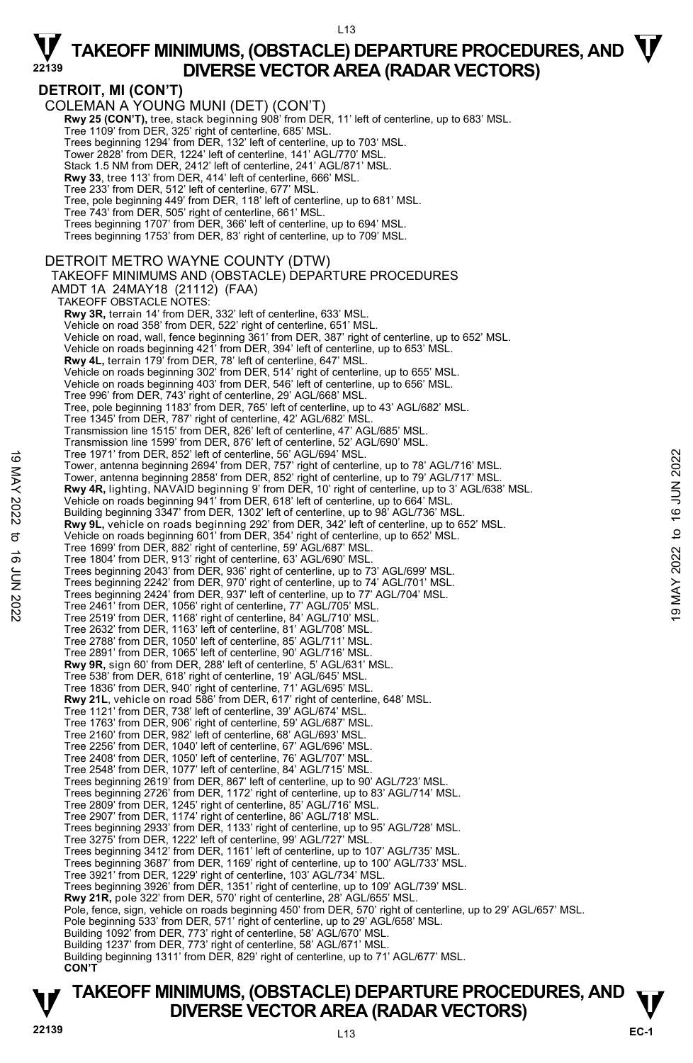### **DETROIT, MI (CON'T)**

COLEMAN A YOUNG MUNI (DET) (CON'T) **Rwy 25 (CON'T),** tree, stack beginning 908' from DER, 11' left of centerline, up to 683' MSL.<br>Tree 1109' from DER, 325' right of centerline, 685' MSL. Trees beginning 1294' from DER, 132' left of centerline, up to 703' MSL. Tower 2828' from DER, 1224' left of centerline, 141' AGL/770' MSL. Stack 1.5 NM from DER, 2412' left of centerline, 241' AGL/871' MSL. **Rwy 33**, tree 113' from DER, 414' left of centerline, 666' MSL. Tree 233' from DER, 512' left of centerline, 677' MSL. Tree, pole beginning 449' from DER, 118' left of centerline, up to 681' MSL. Tree 743' from DER, 505' right of centerline, 661' MSL. Trees beginning 1707' from DER, 366' left of centerline, up to 694' MSL. Trees beginning 1753' from DER, 83' right of centerline, up to 709' MSL. DETROIT METRO WAYNE COUNTY (DTW) TAKEOFF MINIMUMS AND (OBSTACLE) DEPARTURE PROCEDURES AMDT 1A 24MAY18 (21112) (FAA) TAKEOFF OBSTACLE NOTES: **Rwy 3R,** terrain 14' from DER, 332' left of centerline, 633' MSL. Vehicle on road 358' from DER, 522' right of centerline, 651' MSL. Vehicle on road, wall, fence beginning 361' from DER, 387' right of centerline, up to 652' MSL. Vehicle on roads beginning 421' from DER, 394' left of centerline, up to 653' MSL. **Rwy 4L,** terrain 179' from DER, 78' left of centerline, 647' MSL.<br>Vehicle on roads beginning 302' from DER, 514' right of centerline, up to 655' MSL. Vehicle on roads beginning 403' from DER, 546' left of centerline, up to 656' MSL. Tree 996' from DER, 743' right of centerline, 29' AGL/668' MSL. Tree, pole beginning 1183' from DER, 765' left of centerline, up to 43' AGL/682' MSL. Tree 1345' from DER, 787' right of centerline, 42' AGL/682' MSL. Transmission line 1515' from DER, 826' left of centerline, 47' AGL/685' MSL. Transmission line 1599' from DER, 876' left of centerline, 52' AGL/690' MSL. Tree 1971' from DER, 852' left of centerline, 56' AGL/694' MSL. Tower, antenna beginning 2694' from DER, 757' right of centerline, up to 78' AGL/716' MSL. Tower, antenna beginning 2858' from DER, 852' right of centerline, up to 79' AGL/717' MSL.<br>**Rwy 4R**, lighting, NAVAID beginning 9' from DER, 10' right of centerline, up to 3' AGL/638' MSL.<br>Vehicle on roads beginning 941' f Building beginning 3347' from DER, 1302' left of centerline, up to 98' AGL/736' MSL. **Rwy 9L,** vehicle on roads beginning 292' from DER, 342' left of centerline, up to 652' MSL.<br>Vehicle on roads beginning 601' from DER, 354' right of centerline, up to 652' MSL. Tree 1699' from DER, 882' right of centerline, 59' AGL/687' MSL. Tree 1804' from DER, 913' right of centerline, 63' AGL/690' MSL. Trees beginning 2043' from DER, 936' right of centerline, up to 73' AGL/699' MSL. Trees beginning 2242' from DER, 970' right of centerline, up to 74' AGL/701' MSL. Trees beginning 2424' from DER, 937' left of centerline, up to 77' AGL/704' MSL. Tree 2461' from DER, 1056' right of centerline, 77' AGL/705' MSL. Tree 2519' from DER, 1168' right of centerline, 84' AGL/710' MSL. Tree 2632' from DER, 1163' left of centerline, 81' AGL/708' MSL. Tree 2788' from DER, 1050' left of centerline, 85' AGL/711' MSL. Tree 2891' from DER, 1065' left of centerline, 90' AGL/716' MSL. **Rwy 9R,** sign 60' from DER, 288' left of centerline, 5' AGL/631' MSL. Tree 538' from DER, 618' right of centerline, 19' AGL/645' MSL. Tree 1836' from DER, 940' right of centerline, 71' AGL/695' MSL. **Rwy 21L**, vehicle on road 586' from DER, 617' right of centerline, 648' MSL. Tree 1121' from DER, 738' left of centerline, 39' AGL/674' MSL. Tree 1763' from DER, 906' right of centerline, 59' AGL/687' MSL. Tree 2160' from DER, 982' left of centerline, 68' AGL/693' MSL. Tree 2256' from DER, 1040' left of centerline, 67' AGL/696' MSL. Tree 2408' from DER, 1050' left of centerline, 76' AGL/707' MSL. Tree 2548' from DER, 1077' left of centerline, 84' AGL/715' MSL. Trees beginning 2619' from DER, 867' left of centerline, up to 90' AGL/723' MSL. Trees beginning 2726' from DER, 1172' right of centerline, up to 83' AGL/714' MSL. Tree 2809' from DER, 1245' right of centerline, 85' AGL/716' MSL. Tree 2907' from DER, 1174' right of centerline, 86' AGL/718' MSL. Trees beginning 2933' from DER, 1133' right of centerline, up to 95' AGL/728' MSL. Tree 3275' from DER, 1222' left of centerline, 99' AGL/727' MSL. Trees beginning 3412' from DER, 1161' left of centerline, up to 107' AGL/735' MSL. Trees beginning 3687' from DER, 1169' right of centerline, up to 100' AGL/733' MSL. Tree 3921' from DER, 1229' right of centerline, 103' AGL/734' MSL. Trees beginning 3926' from DER, 1351' right of centerline, up to 109' AGL/739' MSL. **Rwy 21R,** pole 322' from DER, 570' right of centerline, 28' AGL/655' MSL. Pole, fence, sign, vehicle on roads beginning 450' from DER, 570' right of centerline, up to 29' AGL/657' MSL. Pole beginning 533' from DER, 571' right of centerline, up to 29' AGL/658' MSL. Building 1092' from DER, 773' right of centerline, 58' AGL/670' MSL. Building 1237' from DER, 773' right of centerline, 58' AGL/671' MSL. Building beginning 1311' from DER, 829' right of centerline, up to 71' AGL/677' MSL. **CON'T** Tree 1971' from DER, 852' left of centerline, 56' AGL/694' MSL.<br>
Tower, antenna beginning 2684' from DER, 767' right of centerline, up to 78' AGL/716' MSL.<br>
Tower, antenna beginning 2688' from DER, 852' right of centerline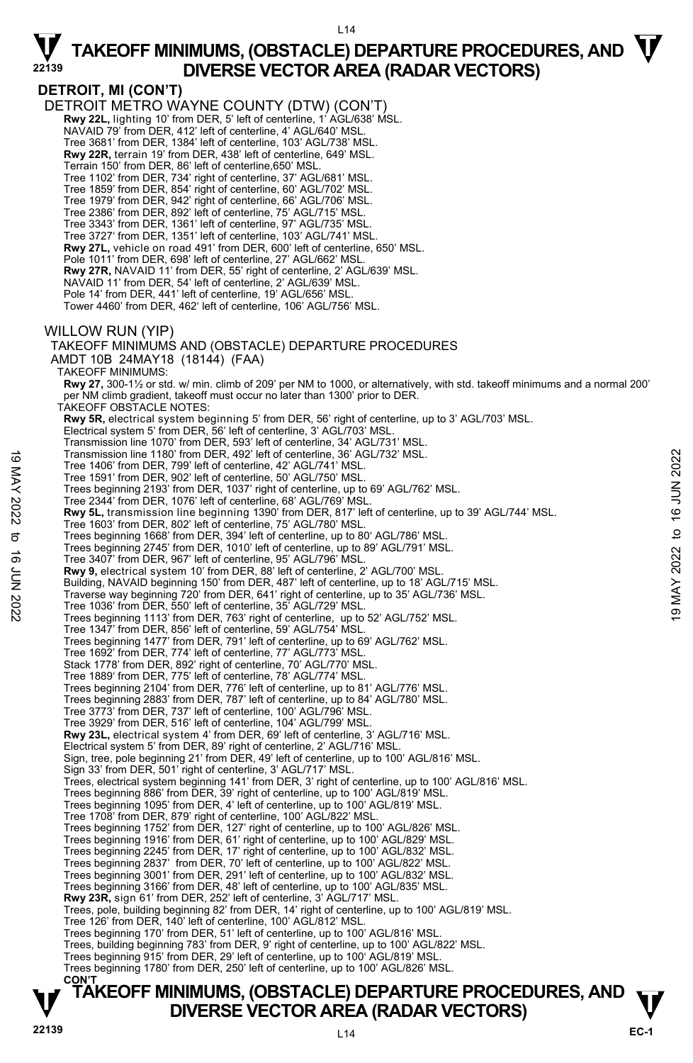**DETROIT, MI (CON'T)**  DETROIT METRO WAYNE COUNTY (DTW) (CON'T)  **Rwy 22L,** lighting 10' from DER, 5' left of centerline, 1' AGL/638' MSL. NAVAID 79' from DER, 412' left of centerline, 4' AGL/640' MSL. Tree 3681' from DER, 1384' left of centerline, 103' AGL/738' MSL. **Rwy 22R,** terrain 19' from DER, 438' left of centerline, 649' MSL. Terrain 150' from DER, 86' left of centerline,650' MSL. Tree 1102' from DER, 734' right of centerline, 37' AGL/681' MSL. Tree 1859' from DER, 854' right of centerline, 60' AGL/702' MSL. Tree 1979' from DER, 942' right of centerline, 66' AGL/706' MSL. Tree 2386' from DER, 892' left of centerline, 75' AGL/715' MSL. Tree 3343' from DER, 1361' left of centerline, 97' AGL/735' MSL. Tree 3727' from DER, 1351' left of centerline, 103' AGL/741' MSL. **Rwy 27L,** vehicle on road 491' from DER, 600' left of centerline, 650' MSL. Pole 1011' from DER, 698' left of centerline, 27' AGL/662' MSL. **Rwy 27R,** NAVAID 11' from DER, 55' right of centerline, 2' AGL/639' MSL. NAVAID 11' from DER, 54' left of centerline, 2' AGL/639' MSL. Pole 14' from DER, 441' left of centerline, 19' AGL/656' MSL. Tower 4460' from DER, 462' left of centerline, 106' AGL/756' MSL. WILLOW RUN (YIP) TAKEOFF MINIMUMS AND (OBSTACLE) DEPARTURE PROCEDURES AMDT 10B 24MAY18 (18144) (FAA) TAKEOFF MINIMUMS: **Rwy 27,** 300-1½ or std. w/ min. climb of 209' per NM to 1000, or alternatively, with std. takeoff minimums and a normal 200' per NM climb gradient, takeoff must occur no later than 1300' prior to DER. TAKEOFF OBSTACLE NOTES: **Rwy 5R,** electrical system beginning 5' from DER, 56' right of centerline, up to 3' AGL/703' MSL. Electrical system 5' from DER, 56' left of centerline, 3' AGL/703' MSL. Transmission line 1070' from DER, 593' left of centerline, 34' AGL/731' MSL. Transmission line 1180' from DER, 492' left of centerline, 36' AGL/732' MSL. Tree 1406' from DER, 799' left of centerline, 42' AGL/741' MSL. Tree 1591' from DER, 902' left of centerline, 50' AGL/750' MSL. Trees beginning 2193' from DER, 1037' right of centerline, up to 69' AGL/762' MSL. Tree 2344' from DER, 1076' left of centerline, 68' AGL/769' MSL. **Rwy 5L,** transmission line beginning 1390' from DER, 817' left of centerline, up to 39' AGL/744' MSL. Tree 1603' from DER, 802' left of centerline, 75' AGL/780' MSL. Trees beginning 1668' from DER, 394' left of centerline, up to 80' AGL/786' MSL. Trees beginning 2745' from DER, 1010' left of centerline, up to 89' AGL/791' MSL. Tree 3407' from DER, 967' left of centerline, 95' AGL/796' MSL. **Rwy 9,** electrical system 10' from DER, 88' left of centerline, 2' AGL/700' MSL. Building, NAVAID beginning 150' from DER, 487' left of centerline, up to 18' AGL/715' MSL. Traverse way beginning 720' from DER, 641' right of centerline, up to 35' AGL/736' MSL. Tree 1036' from DER, 550' left of centerline, 35' AGL/729' MSL. Trees beginning 1113' from DER, 763' right of centerline, up to 52' AGL/752' MSL. Tree 1347' from DER, 856' left of centerline, 59' AGL/754' MSL. Trees beginning 1477' from DER, 791' left of centerline, up to 69' AGL/762' MSL. Tree 1692' from DER, 774' left of centerline, 77' AGL/773' MSL. Stack 1778' from DER, 892' right of centerline, 70' AGL/770' MSL. Tree 1889' from DER, 775' left of centerline, 78' AGL/774' MSL.<br>Trees beginning 2104' from DER, 776' left of centerline, up to 81' AGL/776' MSL.<br>Trees beginning 2883' from DER, 787' left of centerline, up to 84' AGL/780' M Tree 3773' from DER, 737' left of centerline, 100' AGL/796' MSL. Tree 3929' from DER, 516' left of centerline, 104' AGL/799' MSL. **Rwy 23L,** electrical system 4' from DER, 69' left of centerline, 3' AGL/716' MSL. Electrical system 5' from DER, 89' right of centerline, 2' AGL/716' MSL. Sign, tree, pole beginning 21' from DER, 49' left of centerline, up to 100' AGL/816' MSL. Sign 33' from DER, 501' right of centerline, 3' AGL/717' MSL. Trees, electrical system beginning 141' from DER, 3' right of centerline, up to 100' AGL/816' MSL. Trees beginning 886' from DER, 39' right of centerline, up to 100' AGL/819' MSL. Trees beginning 1095' from DER, 4' left of centerline, up to 100' AGL/819' MSL. Tree 1708' from DER, 879' right of centerline, 100' AGL/822' MSL. Trees beginning 1752' from DER, 127' right of centerline, up to 100' AGL/826' MSL. Trees beginning 1916' from DER, 61' right of centerline, up to 100' AGL/829' MSL.<br>Trees beginning 2245' from DER, 17' right of centerline, up to 100' AGL/832' MSL.<br>Trees beginning 2837' from DER, 70' left of centerline, up Trees beginning 3001' from DER, 291' left of centerline, up to 100' AGL/832' MSL. Trees beginning 3166' from DER, 48' left of centerline, up to 100' AGL/835' MSL. **Rwy 23R,** sign 61' from DER, 252' left of centerline, 3' AGL/717' MSL. Trees, pole, building beginning 82' from DER, 14' right of centerline, up to 100' AGL/819' MSL. Tree 126' from DER, 140' left of centerline, 100' AGL/812' MSL. Trees beginning 170' from DER, 51' left of centerline, up to 100' AGL/816' MSL. Trees, building beginning 783' from DER, 9' right of centerline, up to 100' AGL/822' MSL. Trees beginning 915' from DER, 29' left of centerline, up to 100' AGL/819' MSL. Trees beginning 1780' from DER, 250' left of centerline, up to 100' AGL/826' MSL. **CON'T**  Transmission line 1180' from DER, 492' left of centerline, 36' AGL/732' MSL.<br>
Tree 1591' from DER, 799' left of centerline, 50' AGL/741' MSL.<br>
Tree 591' from DER, 902' left of centerline, 50' AGL/740' MSL.<br>
Tree 2594' fro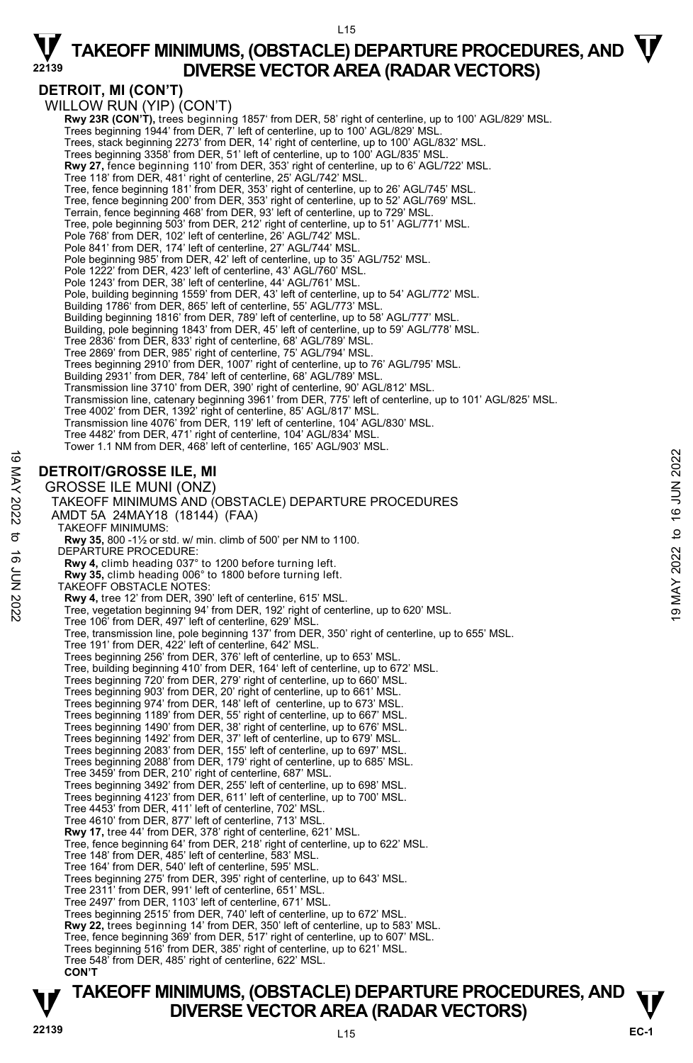### **DETROIT, MI (CON'T)**

WILLOW RUN (YIP) (CON'T) **Rwy 23R (CON'T),** trees beginning 1857' from DER, 58' right of centerline, up to 100' AGL/829' MSL. Trees beginning 1944' from DER, 7' left of centerline, up to 100' AGL/829' MSL Trees, stack beginning 2273' from DER, 14' right of centerline, up to 100' AGL/832' MSL. Trees beginning 3358' from DER, 51' left of centerline, up to 100' AGL/835' MSL. **Rwy 27,** fence beginning 110' from DER, 353' right of centerline, up to 6' AGL/722' MSL. Tree 118' from DER, 481' right of centerline, 25' AGL/742' MSL.<br>Tree, fence beginning 181' from DER, 353' right of centerline, up to 26' AGL/745' MSL. Tree, fence beginning 200' from DER, 353' right of centerline, up to 52' AGL/769' MSL.<br>Terrain, fence beginning 468' from DER, 93' left of centerline, up to 729' MSL. Tree, pole beginning 503' from DER, 212' right of centerline, up to 51' AGL/771' MSL. Pole 768' from DER, 102' left of centerline, 26' AGL/742' MSL. Pole 841' from DER, 174' left of centerline, 27' AGL/744' MSL. Pole beginning 985' from DER, 42' left of centerline, up to 35' AGL/752' MSL. Pole 1222' from DER, 423' left of centerline, 43' AGL/760' MSL. Pole 1243' from DER, 38' left of centerline, 44' AGL/761' MSL. Pole, building beginning 1559' from DER, 43' left of centerline, up to 54' AGL/772' MSL. Building 1786' from DER, 865' left of centerline, 55' AGL/773' MSL. Building beginning 1816' from DER, 789' left of centerline, up to 58' AGL/777' MSL. Building, pole beginning 1843' from DER, 45' left of centerline, up to 59' AGL/778' MSL. Tree 2836' from DER, 833' right of centerline, 68' AGL/789' MSL. Tree 2869' from DER, 985' right of centerline, 75' AGL/794' MSL. Trees beginning 2910' from DER, 1007' right of centerline, up to 76' AGL/795' MSL. Building 2931' from DER, 784' left of centerline, 68' AGL/789' MSL. Transmission line 3710' from DER, 390' right of centerline, 90' AGL/812' MSL. Transmission line, catenary beginning 3961' from DER, 775' left of centerline, up to 101' AGL/825' MSL. Tree 4002' from DER, 1392' right of centerline, 85' AGL/817' MSL. Transmission line 4076' from DER, 119' left of centerline, 104' AGL/830' MSL. Tree 4482' from DER, 471' right of centerline, 104' AGL/834' MSL. Tower 1.1 NM from DER, 468' left of centerline, 165' AGL/903' MSL. **DETROIT/GROSSE ILE, MI**  GROSSE ILE MUNI (ONZ) TAKEOFF MINIMUMS AND (OBSTACLE) DEPARTURE PROCEDURES AMDT 5A 24MAY18 (18144) (FAA) TAKEOFF MINIMUMS: **Rwy 35,** 800 -1½ or std. w/ min. climb of 500' per NM to 1100. DEPARTURE PROCEDURE: **Rwy 4,** climb heading 037° to 1200 before turning left. **Rwy 35,** climb heading 006° to 1800 before turning left. TAKEOFF OBSTACLE NOTES: **Rwy 4,** tree 12' from DER, 390' left of centerline, 615' MSL. Tree, vegetation beginning 94' from DER, 192' right of centerline, up to 620' MSL. Tree 106' from DER, 497' left of centerline, 629' MSL. Tree, transmission line, pole beginning 137' from DER, 350' right of centerline, up to 655' MSL. Tree 191' from DER, 422' left of centerline, 642' MSL. Trees beginning 256' from DER, 376' left of centerline, up to 653' MSL. Tree, building beginning 410' from DER, 164' left of centerline, up to 672' MSL. Trees beginning 720' from DER, 279' right of centerline, up to 660' MSL. Trees beginning 903' from DER, 20' right of centerline, up to 661' MSL. Trees beginning 974' from DER, 148' left of centerline, up to 673' MSL. Trees beginning 1189' from DER, 55' right of centerline, up to 667' MSL. Trees beginning 1490' from DER, 38' right of centerline, up to 676' MSL. Trees beginning 1492' from DER, 37' left of centerline, up to 679' MSL. Trees beginning 2083' from DER, 155' left of centerline, up to 697' MSL. Trees beginning 2088' from DER, 179' right of centerline, up to 685' MSL. Tree 3459' from DER, 210' right of centerline, 687' MSL. Trees beginning 3492' from DER, 255' left of centerline, up to 698' MSL. Trees beginning 4123' from DER, 611' left of centerline, up to 700' MSL. Tree 4453' from DER, 411' left of centerline, 702' MSL. Tree 4610' from DER, 877' left of centerline, 713' MSL. **Rwy 17,** tree 44' from DER, 378' right of centerline, 621' MSL. Tree, fence beginning 64' from DER, 218' right of centerline, up to 622' MSL. Tree 148' from DER, 485' left of centerline, 583' MSL. Tree 164' from DER, 540' left of centerline, 595' MSL. Trees beginning 275' from DER, 395' right of centerline, up to 643' MSL. Tree 2311' from DER, 991' left of centerline, 651' MSL. Tree 2497' from DER, 1103' left of centerline, 671' MSL. Trees beginning 2515' from DER, 740' left of centerline, up to 672' MSL. **Rwy 22,** trees beginning 14' from DER, 350' left of centerline, up to 583' MSL. Tree, fence beginning 369' from DER, 517' right of centerline, up to 607' MSL. Trees beginning 516' from DER, 385' right of centerline, up to 621' MSL. Tree 548' from DER, 485' right of centerline, 622' MSL. **CON'T DETROIT/GROSSE ILE, MI**<br>  $\geq$ <br>  $\geq$ <br>
GROSSE ILE MUNI (ONZ)<br>
TAKEOFF MINIMUMS AND (OBSTACLE) DEPARTURE PROCEDURES<br>
ANDT 5A 24MAY18 (18144) (FAA)<br>
TAKEOFF MINIMUMS:<br>
TAKEOFF MINIMUMS:<br>
TAKEOFF MINIMUMS:<br>
TAKEOFF MINIMUMS

# **TAKEOFF MINIMUMS, (OBSTACLE) DEPARTURE PROCEDURES, AND**  $\mathbf{\mathbf{\mathbf{\mathbf{V}}}}$ **DIVERSE VECTOR AREA (RADAR VECTORS)**<br>22139<br>
L<sub>15</sub>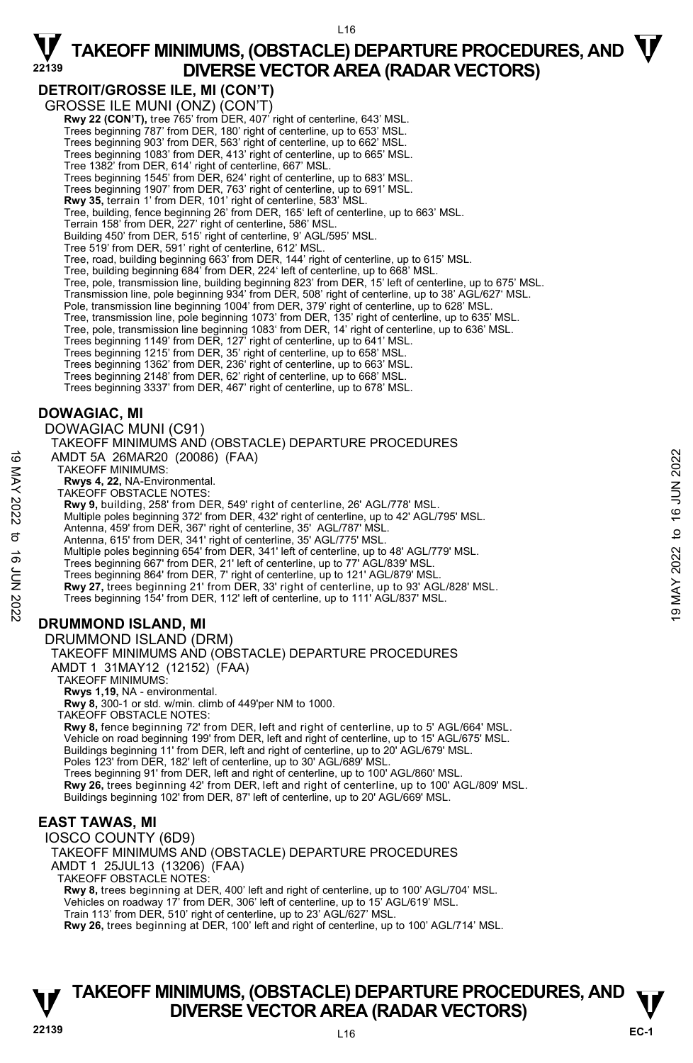### **DETROIT/GROSSE ILE, MI (CON'T)**

GROSSE ILE MUNI (ONZ) (CON'T)

**Rwy 22 (CON'T),** tree 765' from DER, 407' right of centerline, 643' MSL. Trees beginning 787' from DER, 180' right of centerline, up to 653' MSL.

Trees beginning 903' from DER, 563' right of centerline, up to 662' MSL. Trees beginning 1083' from DER, 413' right of centerline, up to 665' MSL.

Tree 1382' from DER, 614' right of centerline, 667' MSL.

Trees beginning 1545' from DER, 624' right of centerline, up to 683' MSL. Trees beginning 1907' from DER, 763' right of centerline, up to 691' MSL.

**Rwy 35,** terrain 1' from DER, 101' right of centerline, 583' MSL.

Tree, building, fence beginning 26' from DER, 165' left of centerline, up to 663' MSL.

Terrain 158' from DER, 227' right of centerline, 586' MSL.

Building 450' from DER, 515' right of centerline, 9' AGL/595' MSL.

Tree 519' from DER, 591' right of centerline, 612' MSL.

Tree, road, building beginning 663' from DER, 144' right of centerline, up to 615' MSL.

Tree, building beginning 684' from DER, 224' left of centerline, up to 668' MSL.

Tree, pole, transmission line, building beginning 823' from DER, 15' left of centerline, up to 675' MSL. Transmission line, pole beginning 934' from DER, 508' right of centerline, up to 38' AGL/627' MSL.

Pole, transmission line beginning 1004' from DER, 379' right of centerline, up to 628' MSL

Tree, transmission line, pole beginning 1073' from DER, 135' right of centerline, up to 635' MSL. Tree, pole, transmission line beginning 1083' from DER, 14' right of centerline, up to 636' MSL.

Trees beginning 1149' from DER, 127' right of centerline, up to 641' MSL.<br>Trees beginning 1215' from DER, 35' right of centerline, up to 663' MSL.<br>Trees beginning 1362' from DER, 236' right of centerline, up to 663' MSL.

Trees beginning 2148' from DER, 62' right of centerline, up to 668' MSL.

Trees beginning 3337' from DER, 467' right of centerline, up to 678' MSL.

### **DOWAGIAC, MI**

DOWAGIAC MUNI (C91)

TAKEOFF MINIMUMS AND (OBSTACLE) DEPARTURE PROCEDURES AMDT 5A 26MAR20 (20086) (FAA) TAKEOFF MINIMUMS: **Rwys 4, 22,** NA-Environmental. TAKEOFF OBSTACLE NOTES: **Rwy 9,** building, 258' from DER, 549' right of centerline, 26' AGL/778' MSL. Multiple poles beginning 372' from DER, 432' right of centerline, up to 42' AGL/795' MSL. Antenna, 459' from DER, 367' right of centerline, 35' AGL/787' MSL. Antenna, 615' from DER, 341' right of centerline, 35' AGL/775' MSL. Multiple poles beginning 654' from DER, 341' left of centerline, up to 48' AGL/779' MSL. Trees beginning 667' from DER, 21' left of centerline, up to 77' AGL/839' MSL. Trees beginning 864' from DER, 7' right of centerline, up to 121' AGL/879' MSL. **Rwy 27,** trees beginning 21' from DER, 33' right of centerline, up to 93' AGL/828' MSL. Trees beginning 154' from DER, 112' left of centerline, up to 111' AGL/837' MSL. **DRUMMOND ISLAND, MI**  DRUMMOND ISLAND (DRM) TAKEOFF MINIMUMS AND (OBSTACLE) DEPARTURE PROCEDURES AMDT 1 31MAY12 (12152) (FAA) TAKEOFF MINIMUMS: 4 MDT 5A 26MAR20 (20086) (FAA)<br>
TAKEOFF MINIMUMS:<br>
TAKEOFF OBSTACLE NOTES:<br>
Rwys 4, 22, NA-Environmental.<br>
TAKEOFF OBSTACLE NOTES:<br>
Rwys 9, building, 258' from DER, 549' right of centerline, 26' AGL/778' MSL.<br>
Multiple p

**Rwys 1,19,** NA - environmental.

**Rwy 8,** 300-1 or std. w/min. climb of 449'per NM to 1000.

TAKEOFF OBSTACLE NOTES:

**Rwy 8,** fence beginning 72' from DER, left and right of centerline, up to 5' AGL/664' MSL. Vehicle on road beginning 199' from DER, left and right of centerline, up to 15' AGL/675' MSL. Buildings beginning 11' from DER, left and right of centerline, up to 20' AGL/679' MSL. Poles 123' from DER, 182' left of centerline, up to 30' AGL/689' MSL Trees beginning 91' from DER, left and right of centerline, up to 100' AGL/860' MSL. **Rwy 26,** trees beginning 42' from DER, left and right of centerline, up to 100' AGL/809' MSL. Buildings beginning 102' from DER, 87' left of centerline, up to 20' AGL/669' MSL.

### **EAST TAWAS, MI**

IOSCO COUNTY (6D9) TAKEOFF MINIMUMS AND (OBSTACLE) DEPARTURE PROCEDURES AMDT 1 25JUL13 (13206) (FAA) TAKEOFF OBSTACLE NOTES: **Rwy 8,** trees beginning at DER, 400' left and right of centerline, up to 100' AGL/704' MSL. Vehicles on roadway 17' from DER, 306' left of centerline, up to 15' AGL/619' MSL.

Train 113' from DER, 510' right of centerline, up to 23' AGL/627' MSL. **Rwy 26,** trees beginning at DER, 100' left and right of centerline, up to 100' AGL/714' MSL.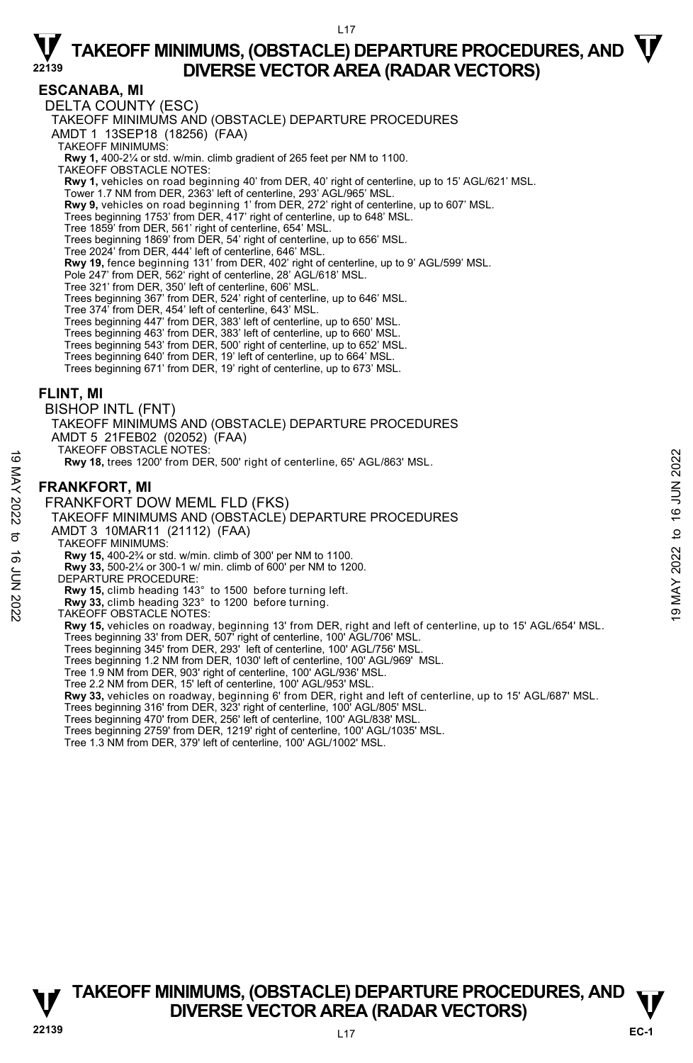L17

### **ESCANABA, MI**

DELTA COUNTY (ESC) TAKEOFF MINIMUMS AND (OBSTACLE) DEPARTURE PROCEDURES AMDT 1 13SEP18 (18256) (FAA) TAKEOFF MINIMUMS: **Rwy 1,** 400-2¼ or std. w/min. climb gradient of 265 feet per NM to 1100. TAKEOFF OBSTACLE NOTES: **Rwy 1,** vehicles on road beginning 40' from DER, 40' right of centerline, up to 15' AGL/621' MSL. Tower 1.7 NM from DER, 2363' left of centerline, 293' AGL/965' MSL. **Rwy 9,** vehicles on road beginning 1' from DER, 272' right of centerline, up to 607' MSL.<br>Trees beginning 1753' from DER, 417' right of centerline, up to 648' MSL. Tree 1859' from DER, 561' right of centerline, 654' MSL. Trees beginning 1869' from DER, 54' right of centerline, up to 656' MSL. Tree 2024' from DER, 444' left of centerline, 646' MSL. **Rwy 19,** fence beginning 131' from DER, 402' right of centerline, up to 9' AGL/599' MSL. Pole 247' from DER, 562' right of centerline, 28' AGL/618' MSL. Tree 321' from DER, 350' left of centerline, 606' MSL. Trees beginning 367' from DER, 524' right of centerline, up to 646' MSL. Tree 374' from DER, 454' left of centerline, 643' MSL. Trees beginning 447' from DER, 383' left of centerline, up to 650' MSL. Trees beginning 463' from DER, 383' left of centerline, up to 660' MSL. Trees beginning 543' from DER, 500' right of centerline, up to 652' MSL. Trees beginning 640' from DER, 19' left of centerline, up to 664' MSL. Trees beginning 671' from DER, 19' right of centerline, up to 673' MSL. **FLINT, MI**  BISHOP INTL (FNT) TAKEOFF MINIMUMS AND (OBSTACLE) DEPARTURE PROCEDURES AMDT 5 21FEB02 (02052) (FAA) TAKEOFF OBSTACLE NOTES: **Rwy 18,** trees 1200' from DER, 500' right of centerline, 65' AGL/863' MSL. **FRANKFORT, MI**  FRANKFORT DOW MEML FLD (FKS) TAKEOFF MINIMUMS AND (OBSTACLE) DEPARTURE PROCEDURES AMDT 3 10MAR11 (21112) (FAA) TAKEOFF MINIMUMS: **Rwy 15,** 400-2¾ or std. w/min. climb of 300' per NM to 1100. **Rwy 33,** 500-2¼ or 300-1 w/ min. climb of 600' per NM to 1200. DEPARTURE PROCEDURE: **Rwy 15,** climb heading 143° to 1500 before turning left. **Rwy 33,** climb heading 323° to 1200 before turning. TAKEOFF OBSTACLE NOTES: **Rwy 15,** vehicles on roadway, beginning 13' from DER, right and left of centerline, up to 15' AGL/654' MSL. Trees beginning 33' from DER, 507' right of centerline, 100' AGL/706' MSL. Trees beginning 345' from DER, 293' left of centerline, 100' AGL/756' MSL. Trees beginning 1.2 NM from DER, 1030' left of centerline, 100' AGL/969' MSL. Tree 1.9 NM from DER, 903' right of centerline, 100' AGL/936' MSL. Tree 2.2 NM from DER, 15' left of centerline, 100' AGL/953' MSL. **Rwy 33,** vehicles on roadway, beginning 6' from DER, right and left of centerline, up to 15' AGL/687' MSL. Trees beginning 316' from DER, 323' right of centerline, 100' AGL/805' MSL. Trees beginning 470' from DER, 256' left of centerline, 100' AGL/838' MSL. TANDE TO STACLE NOT USE TO HERE AND TO THE RANGE TO THE RANGE TO THE RANGE OF THE RANGE OF THE RANGE OF THE RANGE TO THE RANGE TO THE RANGE TO THAT THE PROCEDURES<br>
TRANKFORT DOW MEML FLD (FKS)<br>
TAKEOFF MINIMUMS AND (OBSTA

Trees beginning 2759' from DER, 1219' right of centerline, 100' AGL/1035' MSL.

Tree 1.3 NM from DER, 379' left of centerline, 100' AGL/1002' MSL.

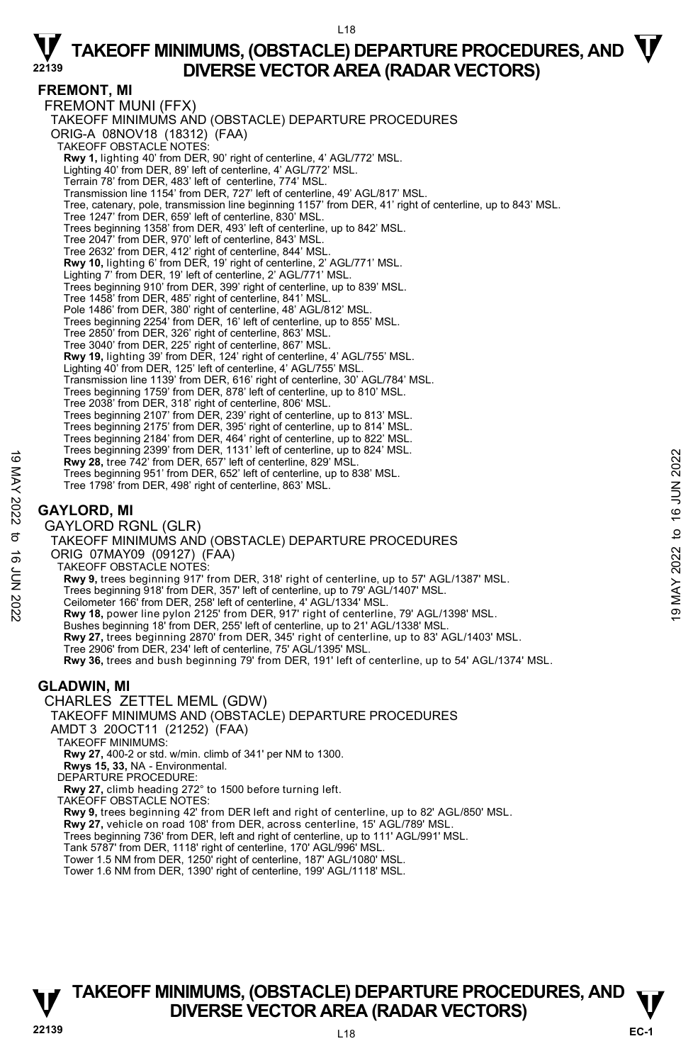#### L18

## $\nabla$  TAKEOFF MINIMUMS, (OBSTACLE) DEPARTURE PROCEDURES, AND  $\nabla$ **DIVERSE VECTOR AREA (RADAR VECTORS)**

### **FREMONT, MI**

FREMONT MUNI (FFX) TAKEOFF MINIMUMS AND (OBSTACLE) DEPARTURE PROCEDURES ORIG-A 08NOV18 (18312) (FAA) TAKEOFF OBSTACLE NOTES: **Rwy 1,** lighting 40' from DER, 90' right of centerline, 4' AGL/772' MSL. Lighting 40' from DER, 89' left of centerline, 4' AGL/772' MSL. Terrain 78' from DER, 483' left of centerline, 774' MSL. Transmission line 1154' from DER, 727' left of centerline, 49' AGL/817' MSL. Tree, catenary, pole, transmission line beginning 1157' from DER, 41' right of centerline, up to 843' MSL. Tree 1247' from DER, 659' left of centerline, 830' MSL. Trees beginning 1358' from DER, 493' left of centerline, up to 842' MSL. Tree 2047' from DER, 970' left of centerline, 843' MSL. Tree 2632' from DER, 412' right of centerline, 844' MSL. **Rwy 10,** lighting 6' from DER, 19' right of centerline, 2' AGL/771' MSL. Lighting 7' from DER, 19' left of centerline, 2' AGL/771' MSL. Trees beginning 910' from DER, 399' right of centerline, up to 839' MSL. Tree 1458' from DER, 485' right of centerline, 841' MSL. Pole 1486' from DER, 380' right of centerline, 48' AGL/812' MSL. Trees beginning 2254' from DER, 16' left of centerline, up to 855' MSL.<br>Tree 2850' from DER, 326' right of centerline, 863' MSL.<br>Tree 3040' from DER, 225' right of centerline, 867' MSL. **Rwy 19,** lighting 39' from DER, 124' right of centerline, 4' AGL/755' MSL. Lighting 40' from DER, 125' left of centerline, 4' AGL/755' MSL. Transmission line 1139' from DER, 616' right of centerline, 30' AGL/784' MSL. Trees beginning 1759' from DER, 878' left of centerline, up to 810' MSL. Tree 2038' from DER, 318' right of centerline, 806' MSL. Trees beginning 2107' from DER, 239' right of centerline, up to 813' MSL. Trees beginning 2175' from DER, 395' right of centerline, up to 814' MSL. Trees beginning 2184' from DER, 464' right of centerline, up to 822' MSL. Trees beginning 2399' from DER, 1131' left of centerline, up to 824' MSL. **Rwy 28,** tree 742' from DER, 657' left of centerline, 829' MSL. Trees beginning 951' from DER, 652' left of centerline, up to 838' MSL. Tree 1798' from DER, 498' right of centerline, 863' MSL. **GAYLORD, MI**  GAYLORD RGNL (GLR) TAKEOFF MINIMUMS AND (OBSTACLE) DEPARTURE PROCEDURES ORIG 07MAY09 (09127) (FAA) TAKEOFF OBSTACLE NOTES: **Rwy 9,** trees beginning 917' from DER, 318' right of centerline, up to 57' AGL/1387' MSL. Trees beginning 918' from DER, 357' left of centerline, up to 79' AGL/1407' MSL. Ceilometer 166' from DER, 258' left of centerline, 4' AGL/1334' MSL.<br>**Rwy 18,** power line pylon 2125' from DER, 917' right of centerline, 79' AGL/1398' MSL. Bushes beginning 18' from DER, 255' left of centerline, up to 21' AGL/1338' MSL. **Rwy 27,** trees beginning 2870' from DER, 345' right of centerline, up to 83' AGL/1403' MSL.<br>Tree 2906' from DER, 234' left of centerline, 75' AGL/1395' MSL. **Rwy 36,** trees and bush beginning 79' from DER, 191' left of centerline, up to 54' AGL/1374' MSL. **GLADWIN, MI**  CHARLES ZETTEL MEML (GDW) TAKEOFF MINIMUMS AND (OBSTACLE) DEPARTURE PROCEDURES AMDT 3 20OCT11 (21252) (FAA) TAKEOFF MINIMUMS: **Rwy 27,** 400-2 or std. w/min. climb of 341' per NM to 1300. **Rwys 15, 33,** NA - Environmental. DEPARTURE PROCEDURE: **Rwy 27,** climb heading 272° to 1500 before turning left. TAKEOFF OBSTACLE NOTES: **Rwy 9,** trees beginning 42' from DER left and right of centerline, up to 82' AGL/850' MSL. **Rwy 27,** vehicle on road 108' from DER, across centerline, 15' AGL/789' MSL. 19 May 28, tree 742' from DER, 1131 Hall of centerline, 829' MSL.<br>
Tree beginning 351' from DER, 657' left of centerline, 829' MSL.<br>
Tree 1798' from DER, 498' right of centerline, 863' MSL.<br>
Tree 1798' from DER, 498' righ

Trees beginning 736' from DER, left and right of centerline, up to 111' AGL/991' MSL. Tank 5787' from DER, 1118' right of centerline, 170' AGL/996' MSL.

Tower 1.5 NM from DER, 1250' right of centerline, 187' AGL/1080' MSL.

Tower 1.6 NM from DER, 1390' right of centerline, 199' AGL/1118' MSL.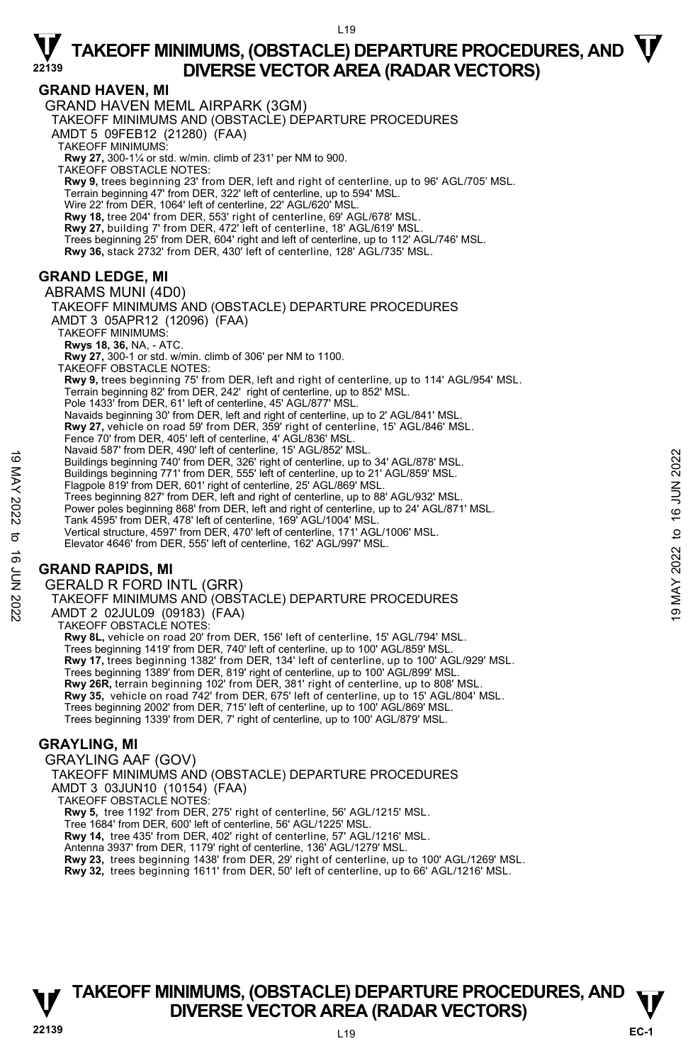$119$ 

### **GRAND HAVEN, MI**

GRAND HAVEN MEML AIRPARK (3GM) TAKEOFF MINIMUMS AND (OBSTACLE) DEPARTURE PROCEDURES AMDT 5 09FEB12 (21280) (FAA) TAKEOFF MINIMUMS: **Rwy 27,** 300-1¼ or std. w/min. climb of 231' per NM to 900. TAKEOFF OBSTACLE NOTES: **Rwy 9,** trees beginning 23' from DER, left and right of centerline, up to 96' AGL/705' MSL. Terrain beginning 47' from DER, 322' left of centerline, up to 594' MSL. Wire 22' from DER, 1064' left of centerline, 22' AGL/620' MSL. **Rwy 18,** tree 204' from DER, 553' right of centerline, 69' AGL/678' MSL. **Rwy 27,** building 7' from DER, 472' left of centerline, 18' AGL/619' MSL. Trees beginning 25' from DER, 604' right and left of centerline, up to 112' AGL/746' MSL.<br>**Rwy 36,** stack 2732' from DER, 430' left of centerline, 128' AGL/735' MSL. **GRAND LEDGE, MI**  ABRAMS MUNI (4D0) TAKEOFF MINIMUMS AND (OBSTACLE) DEPARTURE PROCEDURES

AMDT 3 05APR12 (12096) (FAA) TAKEOFF MINIMUMS: **Rwys 18, 36,** NA, - ATC. **Rwy 27,** 300-1 or std. w/min. climb of 306' per NM to 1100. TAKEOFF OBSTACLE NOTES: **Rwy 9,** trees beginning 75' from DER, left and right of centerline, up to 114' AGL/954' MSL. Terrain beginning 82' from DER, 242' right of centerline, up to 852' MSL. Pole 1433' from DER, 61' left of centerline, 45' AGL/877' MSL. Navaids beginning 30' from DER, left and right of centerline, up to 2' AGL/841' MSL. **Rwy 27,** vehicle on road 59' from DER, 359' right of centerline, 15' AGL/846' MSL. Fence 70' from DER, 405' left of centerline, 4' AGL/836' MSL. Navaid 587' from DER, 490' left of centerline, 15' AGL/852' MSL. Buildings beginning 740' from DER, 326' right of centerline, up to 34' AGL/878' MSL. Buildings beginning 771' from DER, 555' left of centerline, up to 21' AGL/859' MSL. Flagpole 819' from DER, 601' right of centerline, 25' AGL/869' MSL. Trees beginning 827' from DER, left and right of centerline, up to 88' AGL/932' MSL. Power poles beginning 868' from DER, left and right of centerline, up to 24' AGL/871' MSL. Tank 4595' from DER, 478' left of centerline, 169' AGL/1004' MSL. Vertical structure, 4597' from DER, 470' left of centerline, 171' AGL/1006' MSL. Elevator 4646' from DER, 555' left of centerline, 162' AGL/997' MSL. Buildings beginning 740' etto center line, the of center line, up to 34' AGL/878' MSL.<br>
Buildings beginning 740' from DER, 326' right of centerline, up to 21' AGL/859' MSL.<br>
Buildings beginning 771' from DER, 555' left of

### **GRAND RAPIDS, MI**

GERALD R FORD INTL (GRR)

TAKEOFF MINIMUMS AND (OBSTACLE) DEPARTURE PROCEDURES AMDT 2 02JUL09 (09183) (FAA) TAKEOFF OBSTACLE NOTES: **Rwy 8L,** vehicle on road 20' from DER, 156' left of centerline, 15' AGL/794' MSL. Trees beginning 1419' from DER, 740' left of centerline, up to 100' AGL/859' MSL. **Rwy 17,** trees beginning 1382' from DER, 134' left of centerline, up to 100' AGL/929' MSL. Trees beginning 1389' from DER, 819' right of centerline, up to 100' AGL/899' MSL. **Rwy 26R,** terrain beginning 102' from DER, 381' right of centerline, up to 808' MSL. **Rwy 35,** vehicle on road 742' from DER, 675' left of centerline, up to 15' AGL/804' MSL. Trees beginning 2002' from DER, 715' left of centerline, up to 100' AGL/869' MSL. Trees beginning 1339' from DER, 7' right of centerline, up to 100' AGL/879' MSL.

### **GRAYLING, MI**

GRAYLING AAF (GOV) TAKEOFF MINIMUMS AND (OBSTACLE) DEPARTURE PROCEDURES AMDT 3 03JUN10 (10154) (FAA) TAKEOFF OBSTACLE NOTES: **Rwy 5,** tree 1192' from DER, 275' right of centerline, 56' AGL/1215' MSL. Tree 1684' from DER, 600' left of centerline, 56' AGL/1225' MSL. **Rwy 14,** tree 435' from DER, 402' right of centerline, 57' AGL/1216' MSL. Antenna 3937' from DER, 1179' right of centerline, 136' AGL/1279' MSL. **Rwy 23,** trees beginning 1438' from DER, 29' right of centerline, up to 100' AGL/1269' MSL. **Rwy 32,** trees beginning 1611' from DER, 50' left of centerline, up to 66' AGL/1216' MSL.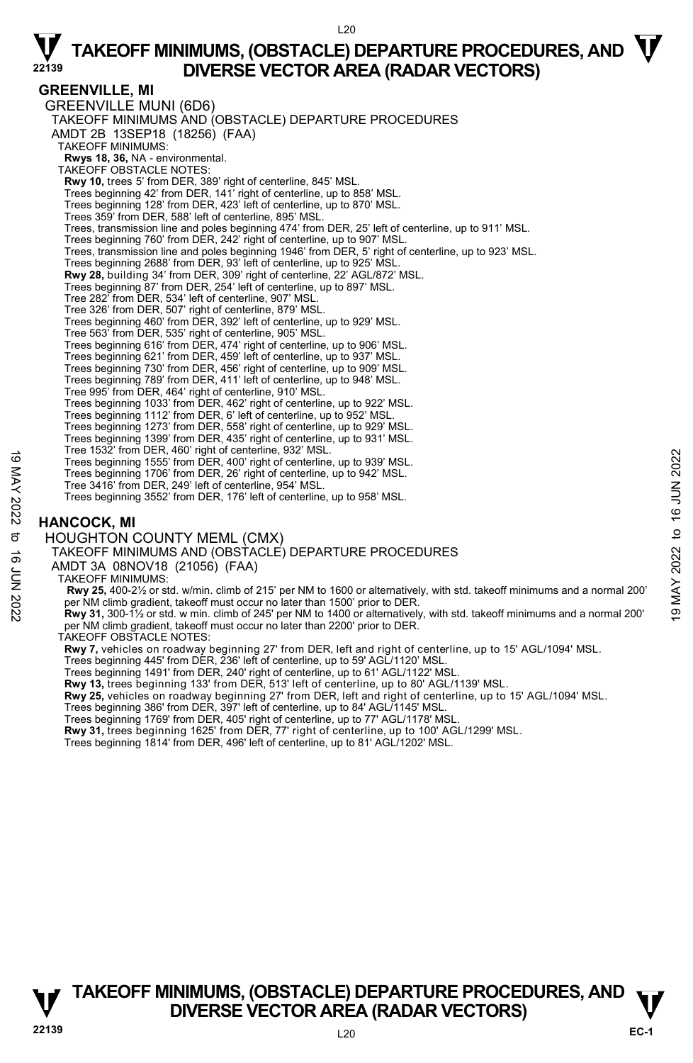#### $120$

### $\nabla$  TAKEOFF MINIMUMS, (OBSTACLE) DEPARTURE PROCEDURES, AND  $\nabla$ **DIVERSE VECTOR AREA (RADAR VECTORS)**

#### **GREENVILLE, MI**

GREENVILLE MUNI (6D6) TAKEOFF MINIMUMS AND (OBSTACLE) DEPARTURE PROCEDURES AMDT 2B 13SEP18 (18256) (FAA) TAKEOFF MINIMUMS: **Rwys 18, 36,** NA - environmental. TAKEOFF OBSTACLE NOTES: **Rwy 10,** trees 5' from DER, 389' right of centerline, 845' MSL. Trees beginning 42' from DER, 141' right of centerline, up to 858' MSL. Trees beginning 128' from DER, 423' left of centerline, up to 870' MSL. Trees 359' from DER, 588' left of centerline, 895' MSL. Trees, transmission line and poles beginning 474' from DER, 25' left of centerline, up to 911' MSL. Trees beginning 760' from DER, 242' right of centerline, up to 907' MSL Trees, transmission line and poles beginning 1946' from DER, 5' right of centerline, up to 923' MSL. Trees beginning 2688' from DER, 93' left of centerline, up to 925' MSL. **Rwy 28,** building 34' from DER, 309' right of centerline, 22' AGL/872' MSL. Trees beginning 87' from DER, 254' left of centerline, up to 897' MSL. Tree 282' from DER, 534' left of centerline, 907' MSL. Tree 326' from DER, 507' right of centerline, 879' MSL. Trees beginning 460' from DER, 392' left of centerline, up to 929' MSL. Tree 563' from DER, 535' right of centerline, 905' MSL. Trees beginning 616' from DER, 474' right of centerline, up to 906' MSL. Trees beginning 621' from DER, 459' left of centerline, up to 937' MSL. Trees beginning 730' from DER, 456' right of centerline, up to 909' MSL. Trees beginning 789' from DER, 411' left of centerline, up to 948' MSL. Tree 995' from DER, 464' right of centerline, 910' MSL. Trees beginning 1033' from DER, 462' right of centerline, up to 922' MSL. Trees beginning 1112' from DER, 6' left of centerline, up to 952' MSL. Trees beginning 1273' from DER, 558' right of centerline, up to 929' MSL. Trees beginning 1399' from DER, 435' right of centerline, up to 931' MSL. Tree 1532' from DER, 460' right of centerline, 932' MSL. Trees beginning 1555' from DER, 400' right of centerline, up to 939' MSL. Trees beginning 1706' from DER, 26' right of centerline, up to 942' MSL. Tree 3416' from DER, 249' left of centerline, 954' MSL. Trees beginning 3552' from DER, 176' left of centerline, up to 958' MSL. **HANCOCK, MI**  HOUGHTON COUNTY MEML (CMX) TAKEOFF MINIMUMS AND (OBSTACLE) DEPARTURE PROCEDURES AMDT 3A 08NOV18 (21056) (FAA) TAKEOFF MINIMUMS:  **Rwy 25,** 400-2½ or std. w/min. climb of 215' per NM to 1600 or alternatively, with std. takeoff minimums and a normal 200' Tree Seginning 1555' from DER, 400' right of centerline, up to 939' MSL.<br>Trees beginning 1555' from DER, 200' right of centerline, up to 939' MSL.<br>Trees beginning 1706' from DER, 26' right of centerline, up to 942' MSL.<br>Tr per NM climb gradient, takeoff must occur no later than 2200' prior to DER. TAKEOFF OBSTACLE NOTES: **Rwy 7,** vehicles on roadway beginning 27' from DER, left and right of centerline, up to 15' AGL/1094' MSL. Trees beginning 445' from DER, 236' left of centerline, up to 59' AGL/1120' MSL. Trees beginning 1491' from DER, 240' right of centerline, up to 61' AGL/1122' MSL. **Rwy 13,** trees beginning 133' from DER, 513' left of centerline, up to 80' AGL/1139' MSL. **Rwy 25,** vehicles on roadway beginning 27' from DER, left and right of centerline, up to 15' AGL/1094' MSL. Trees beginning 386' from DER, 397' left of centerline, up to 84' AGL/1145' MSL. Trees beginning 1769' from DER, 405' right of centerline, up to 77' AGL/1178' MSL. **Rwy 31,** trees beginning 1625' from DER, 77' right of centerline, up to 100' AGL/1299' MSL.

Trees beginning 1814' from DER, 496' left of centerline, up to 81' AGL/1202' MSL.

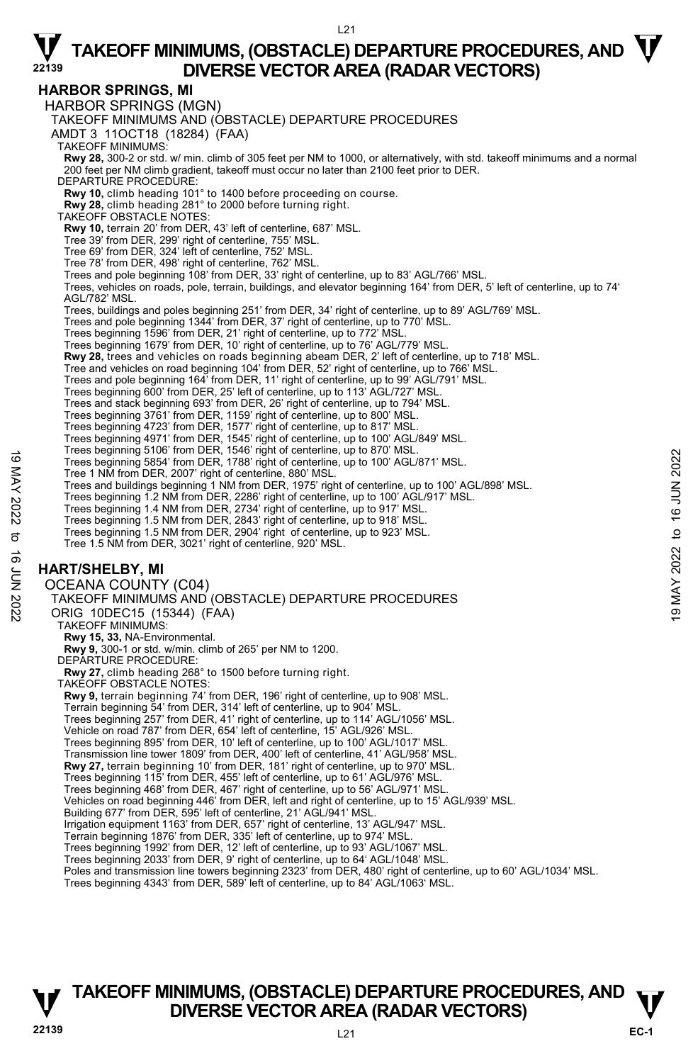### $\nabla$  TAKEOFF MINIMUMS, (OBSTACLE) DEPARTURE PROCEDURES, AND  $\nabla$  $121$

**DIVERSE VECTOR AREA (RADAR VECTORS)** 

### **HARBOR SPRINGS, MI**

HARBOR SPRINGS (MGN) TAKEOFF MINIMUMS AND (OBSTACLE) DEPARTURE PROCEDURES AMDT 3 11OCT18 (18284) (FAA) TAKEOFF MINIMUMS: **Rwy 28,** 300-2 or std. w/ min. climb of 305 feet per NM to 1000, or alternatively, with std. takeoff minimums and a normal 200 feet per NM climb gradient, takeoff must occur no later than 2100 feet prior to DER. DEPARTURE PROCEDURE: **Rwy 10,** climb heading 101° to 1400 before proceeding on course. **Rwy 28,** climb heading 281° to 2000 before turning right. TAKEOFF OBSTACLE NOTES: **Rwy 10,** terrain 20' from DER, 43' left of centerline, 687' MSL. Tree 39' from DER, 299' right of centerline, 755' MSL. Tree 69' from DER, 324' left of centerline, 752' MSL. Tree 78' from DER, 498' right of centerline, 762' MSL. Trees and pole beginning 108' from DER, 33' right of centerline, up to 83' AGL/766' MSL. Trees, vehicles on roads, pole, terrain, buildings, and elevator beginning 164' from DER, 5' left of centerline, up to 74' AGL/782' MSL. Trees, buildings and poles beginning 251' from DER, 34' right of centerline, up to 89' AGL/769' MSL. Trees and pole beginning 1344' from DER, 37' right of centerline, up to 770' MSL.<br>Trees beginning 1596' from DER, 21' right of centerline, up to 772' MSL.<br>Trees beginning 1679' from DER, 10' right of centerline, up to 76' **Rwy 28,** trees and vehicles on roads beginning abeam DER, 2' left of centerline, up to 718' MSL.<br>Tree and vehicles on road beginning 104' from DER, 52' right of centerline, up to 766' MSL. Trees and pole beginning 164' from DER, 11' right of centerline, up to 99' AGL/791' MSL. Trees beginning 600' from DER, 25' left of centerline, up to 113' AGL/727' MSL. Trees and stack beginning 693' from DER, 26' right of centerline, up to 794' MSL. Trees beginning 3761' from DER, 1159' right of centerline, up to 800' MSL. Trees beginning 4723' from DER, 1577' right of centerline, up to 817' MSL. Trees beginning 4971' from DER, 1545' right of centerline, up to 100' AGL/849' MSL. Trees beginning 5106' from DER, 1546' right of centerline, up to 870' MSL. Trees beginning 5854' from DER, 1788' right of centerline, up to 100' AGL/871' MSL. Tree 1 NM from DER, 2007' right of centerline, 880' MSL. Trees and buildings beginning 1 NM from DER, 1975' right of centerline, up to 100' AGL/898' MSL. Trees beginning 1.2 NM from DER, 2286' right of centerline, up to 100' AGL/917' MSL. Trees beginning 1.4 NM from DER, 2734' right of centerline, up to 917' MSL. Trees beginning 1.5 NM from DER, 2843' right of centerline, up to 918' MSL. Trees beginning 1.5 NM from DER, 2904' right of centerline, up to 923' MSL. Tree 1.5 NM from DER, 3021' right of centerline, 920' MSL. **HART/SHELBY, MI**  OCEANA COUNTY (C04) TAKEOFF MINIMUMS AND (OBSTACLE) DEPARTURE PROCEDURES ORIG 10DEC15 (15344) (FAA) TAKEOFF MINIMUMS: **Rwy 15, 33,** NA-Environmental. **Rwy 9,** 300-1 or std. w/min. climb of 265' per NM to 1200. DEPARTURE PROCEDURE **Rwy 27,** climb heading 268° to 1500 before turning right. TAKEOFF OBSTACLE NOTES: **Rwy 9,** terrain beginning 74' from DER, 196' right of centerline, up to 908' MSL. Terrain beginning 54' from DER, 314' left of centerline, up to 904' MSL. Trees beginning 257' from DER, 41' right of centerline, up to 114' AGL/1056' MSL. Vehicle on road 787' from DER, 654' left of centerline, 15' AGL/926' MSL. Trees beginning 895' from DER, 10' left of centerline, up to 100' AGL/1017' MSL. Transmission line tower 1809' from DER, 400' left of centerline, 41' AGL/958' MSL. **Rwy 27,** terrain beginning 10' from DER, 181' right of centerline, up to 970' MSL. Trees beginning 115' from DER, 455' left of centerline, up to 61' AGL/976' MSL. Trees beginning 468' from DER, 467' right of centerline, up to 56' AGL/971' MSL. Vehicles on road beginning 446' from DER, left and right of centerline, up to 15' AGL/939' MSL. Building 677' from DER, 595' left of centerline, 21' AGL/941' MSL. Irrigation equipment 1163' from DER, 657' right of centerline, 13' AGL/947' MSL. Terrain beginning 1876' from DER, 335' left of centerline, up to 974' MSL. Trees beginning 1992' from DER, 12' left of centerline, up to 93' AGL/1067' MSL. Trees beginning 2033' from DER, 9' right of centerline, up to 64' AGL/1048' MSL. Poles and transmission line towers beginning 2323' from DER, 480' right of centerline, up to 60' AGL/1034' MSL. Trees beginning 3604' from DER, 1349' right of centerline, up to 100' AGL/871' MSL.<br>
Trees And buildings beginning 1.A M from DER, 1788' right of centerline, up to 100' AGL/871' MSL.<br>
Trees and buildings beginning 1.AM fro

#### Trees beginning 4343' from DER, 589' left of centerline, up to 84' AGL/1063' MSL.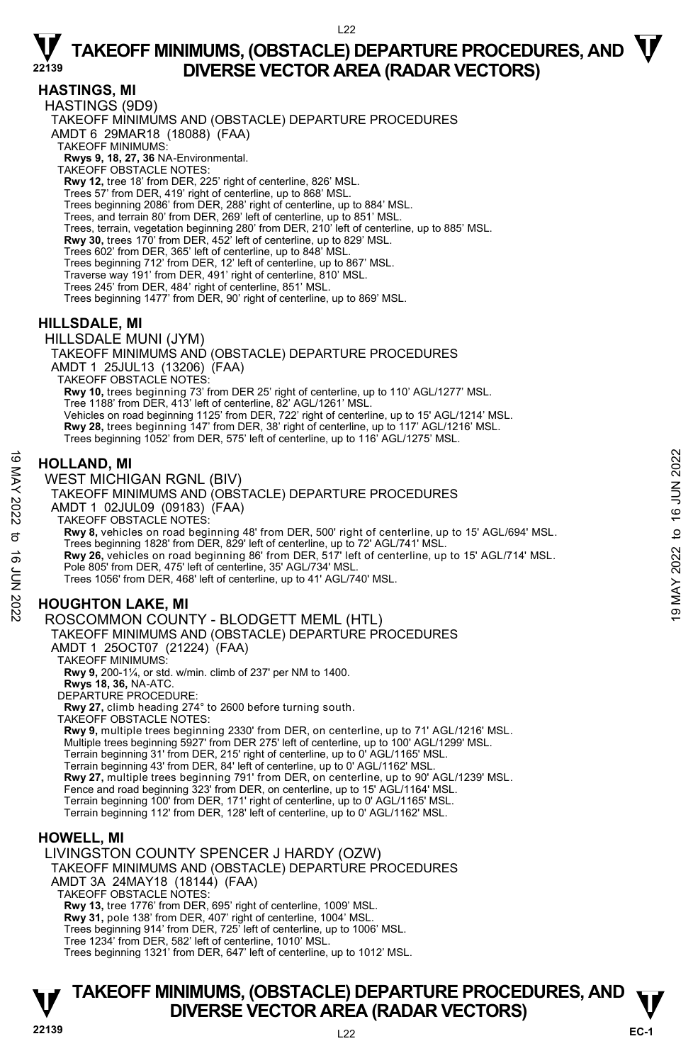### **HASTINGS, MI**

HASTINGS (9D9) TAKEOFF MINIMUMS AND (OBSTACLE) DEPARTURE PROCEDURES AMDT 6 29MAR18 (18088) (FAA) TAKEOFF MINIMUMS: **Rwys 9, 18, 27, 36** NA-Environmental. TAKEOFF OBSTACLE NOTES: **Rwy 12,** tree 18' from DER, 225' right of centerline, 826' MSL. Trees 57' from DER, 419' right of centerline, up to 868' MSL. Trees beginning 2086' from DER, 288' right of centerline, up to 884' MSL. Trees, and terrain 80' from DER, 269' left of centerline, up to 851' MSL. Trees, terrain, vegetation beginning 280' from DER, 210' left of centerline, up to 885' MSL. **Rwy 30,** trees 170' from DER, 452' left of centerline, up to 829' MSL. Trees 602' from DER, 365' left of centerline, up to 848' MSL. Trees beginning 712' from DER, 12' left of centerline, up to 867' MSL. Traverse way 191' from DER, 491' right of centerline, 810' MSL. Trees 245' from DER, 484' right of centerline, 851' MSL. Trees beginning 1477' from DER, 90' right of centerline, up to 869' MSL.

### **HILLSDALE, MI**

HILLSDALE MUNI (JYM) TAKEOFF MINIMUMS AND (OBSTACLE) DEPARTURE PROCEDURES AMDT 1 25JUL13 (13206) (FAA) TAKEOFF OBSTACLE NOTES: **Rwy 10,** trees beginning 73' from DER 25' right of centerline, up to 110' AGL/1277' MSL. Tree 1188' from DER, 413' left of centerline, 82' AGL/1261' MSL. Vehicles on road beginning 1125' from DER, 722' right of centerline, up to 15' AGL/1214' MSL. **Rwy 28,** trees beginning 147' from DER, 38' right of centerline, up to 117' AGL/1216' MSL. Trees beginning 1052' from DER, 575' left of centerline, up to 116' AGL/1275' MSL.

### **HOLLAND, MI**

WEST MICHIGAN RGNL (BIV) TAKEOFF MINIMUMS AND (OBSTACLE) DEPARTURE PROCEDURES AMDT 1 02JUL09 (09183) (FAA) TAKEOFF OBSTACLE NOTES: **Rwy 8,** vehicles on road beginning 48' from DER, 500' right of centerline, up to 15' AGL/694' MSL. Trees beginning 1828' from DER, 829' left of centerline, up to 72' AGL/741' MSL. **Rwy 26,** vehicles on road beginning 86' from DER, 517' left of centerline, up to 15' AGL/714' MSL. Pole 805' from DER, 475' left of centerline, 35' AGL/734' MSL. Trees 1056' from DER, 468' left of centerline, up to 41' AGL/740' MSL. **HOUGHTON LAKE, MI HOLLAND, MI**<br>
WEST MICHIGAN RGNL (BIV)<br>
TAKEOFF MINIMUMS AND (OBSTACLE) DEPARTURE PROCEDURES<br>
AMDT 1 02JUL09 (09183) (FAA)<br>
TAKEOFF MINIMUMS AND (OBSTACLE) DEPARTURE PROCEDURES<br>
AMDT 1 02JUL09 (09183) (FAA)<br>
TAKEOFF OBST

#### ROSCOMMON COUNTY - BLODGETT MEML (HTL)

TAKEOFF MINIMUMS AND (OBSTACLE) DEPARTURE PROCEDURES AMDT 1 25OCT07 (21224) (FAA)

TAKEOFF MINIMUMS:

**Rwy 9,** 200-1¼, or std. w/min. climb of 237' per NM to 1400.

**Rwys 18, 36,** NA-ATC. DEPARTURE PROCEDURE:

**Rwy 27,** climb heading 274° to 2600 before turning south.

TAKEOFF OBSTACLE NOTES:

**Rwy 9,** multiple trees beginning 2330' from DER, on centerline, up to 71' AGL/1216' MSL. Multiple trees beginning 5927' from DER 275' left of centerline, up to 100' AGL/1299' MSL. Terrain beginning 31' from DER, 215' right of centerline, up to 0' AGL/1165' MSL. Terrain beginning 43' from DER, 84' left of centerline, up to 0' AGL/1162' MSL. **Rwy 27,** multiple trees beginning 791' from DER, on centerline, up to 90' AGL/1239' MSL. Fence and road beginning 323' from DER, on centerline, up to 15' AGL/1164' MSL. Terrain beginning 100' from DER, 171' right of centerline, up to 0' AGL/1165' MSL. Terrain beginning 112' from DER, 128' left of centerline, up to 0' AGL/1162' MSL.

### **HOWELL, MI**

LIVINGSTON COUNTY SPENCER J HARDY (OZW) TAKEOFF MINIMUMS AND (OBSTACLE) DEPARTURE PROCEDURES AMDT 3A 24MAY18 (18144) (FAA) TAKEOFF OBSTACLE NOTES: **Rwy 13,** tree 1776' from DER, 695' right of centerline, 1009' MSL. **Rwy 31,** pole 138' from DER, 407' right of centerline, 1004' MSL. Trees beginning 914' from DER, 725' left of centerline, up to 1006' MSL. Tree 1234' from DER, 582' left of centerline, 1010' MSL.

Trees beginning 1321' from DER, 647' left of centerline, up to 1012' MSL.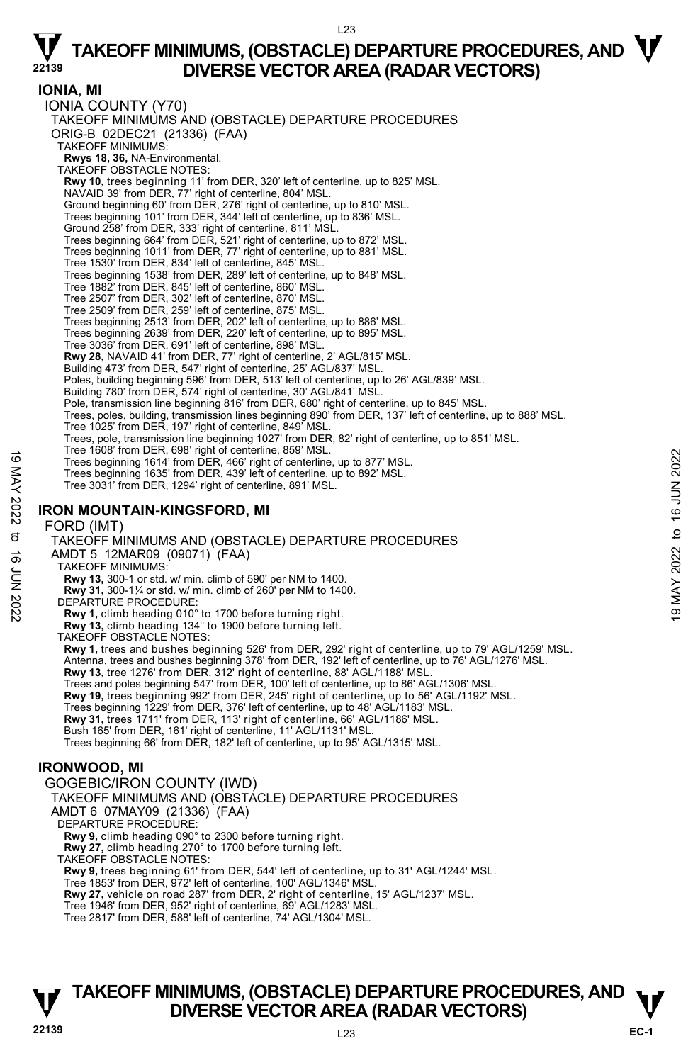$123$ 

**IONIA, MI**  IONIA COUNTY (Y70) TAKEOFF MINIMUMS AND (OBSTACLE) DEPARTURE PROCEDURES ORIG-B 02DEC21 (21336) (FAA) TAKEOFF MINIMUMS: **Rwys 18, 36,** NA-Environmental. TAKEOFF OBSTACLE NOTES: **Rwy 10,** trees beginning 11' from DER, 320' left of centerline, up to 825' MSL. NAVAID 39' from DER, 77' right of centerline, 804' MSL. Ground beginning 60' from DER, 276' right of centerline, up to 810' MSL. Trees beginning 101' from DER, 344' left of centerline, up to 836' MSL. Ground 258' from DER, 333' right of centerline, 811' MSL. Trees beginning 664' from DER, 521' right of centerline, up to 872' MSL. Trees beginning 1011' from DER, 77' right of centerline, up to 881' MSL. Tree 1530' from DER, 834' left of centerline, 845' MSL. Trees beginning 1538' from DER, 289' left of centerline, up to 848' MSL. Tree 1882' from DER, 845' left of centerline, 860' MSL. Tree 2507' from DER, 302' left of centerline, 870' MSL. Tree 2509' from DER, 259' left of centerline, 875' MSL. Trees beginning 2513' from DER, 202' left of centerline, up to 886' MSL. Trees beginning 2639' from DER, 220' left of centerline, up to 895' MSL. Tree 3036' from DER, 691' left of centerline, 898' MSL. **Rwy 28,** NAVAID 41' from DER, 77' right of centerline, 2' AGL/815' MSL. Building 473' from DER, 547' right of centerline, 25' AGL/837' MSL. Poles, building beginning 596' from DER, 513' left of centerline, up to 26' AGL/839' MSL. Building 780' from DER, 574' right of centerline, 30' AGL/841' MSL. Pole, transmission line beginning 816' from DER, 680' right of centerline, up to 845' MSL.<br>Trees, poles, building, transmission lines beginning 890' from DER, 137' left of centerline, up to 888' MSL. Tree 1025' from DER, 197' right of centerline, 849' MSL. Trees, pole, transmission line beginning 1027' from DER, 82' right of centerline, up to 851' MSL. Tree 1608' from DER, 698' right of centerline, 859' MSL. Trees beginning 1614' from DER, 466' right of centerline, up to 877' MSL. Trees beginning 1635' from DER, 439' left of centerline, up to 892' MSL. Tree 3031' from DER, 1294' right of centerline, 891' MSL. **IRON MOUNTAIN-KINGSFORD, MI**  FORD (IMT) TAKEOFF MINIMUMS AND (OBSTACLE) DEPARTURE PROCEDURES AMDT 5 12MAR09 (09071) (FAA) TAKEOFF MINIMUMS: **Rwy 13,** 300-1 or std. w/ min. climb of 590' per NM to 1400. **Rwy 31,** 300-1¼ or std. w/ min. climb of 260' per NM to 1400. DEPARTURE PROCEDURE: **Rwy 1,** climb heading 010° to 1700 before turning right. **Rwy 13,** climb heading 134° to 1900 before turning left. TAKEOFF OBSTACLE NOTES: **Rwy 1,** trees and bushes beginning 526' from DER, 292' right of centerline, up to 79' AGL/1259' MSL. Antenna, trees and bushes beginning 378' from DER, 192' left of centerline, up to 76' AGL/1276' MSL. **Rwy 13,** tree 1276' from DER, 312' right of centerline, 88' AGL/1188' MSL. Trees and poles beginning 547' from DER, 100' left of centerline, up to 86' AGL/1306' MSL.<br>**Rwy 19,** trees beginning 992' from DER, 245' right of centerline, up to 56' AGL/1192' MSL. Trees beginning 1229' from DER, 376' left of centerline, up to 48' AGL/1183' MSL. **Rwy 31,** trees 1711' from DER, 113' right of centerline, 66' AGL/1186' MSL. Bush 165' from DER, 161' right of centerline, 11' AGL/1131' MSL. Trees beginning 66' from DER, 182' left of centerline, up to 95' AGL/1315' MSL. **IRONWOOD, MI**  GOGEBIC/IRON COUNTY (IWD) TAKEOFF MINIMUMS AND (OBSTACLE) DEPARTURE PROCEDURES AMDT 6 07MAY09 (21336) (FAA) DEPARTURE PROCEDURE: **Rwy 9,** climb heading 090° to 2300 before turning right. **Rwy 27,** climb heading 270° to 1700 before turning left. TAKEOFF OBSTACLE NOTES: **Rwy 9,** trees beginning 61' from DER, 544' left of centerline, up to 31' AGL/1244' MSL. Tree 1853' from DER, 972' left of centerline, 100' AGL/1346' MSL. Tree beginning 1614' from DER, 486' right of centerline, up to 877 MSL.<br>
Trees beginning 1614' from DER, 439' left of centerline, up to 877 MSL.<br>
Trees beginning 1635' from DER, 439' left of centerline, up to 892' MSL.<br>
Tr

**Rwy 27,** vehicle on road 287' from DER, 2' right of centerline, 15' AGL/1237' MSL.

Tree 1946' from DER, 952' right of centerline, 69' AGL/1283' MSL.

Tree 2817' from DER, 588' left of centerline, 74' AGL/1304' MSL.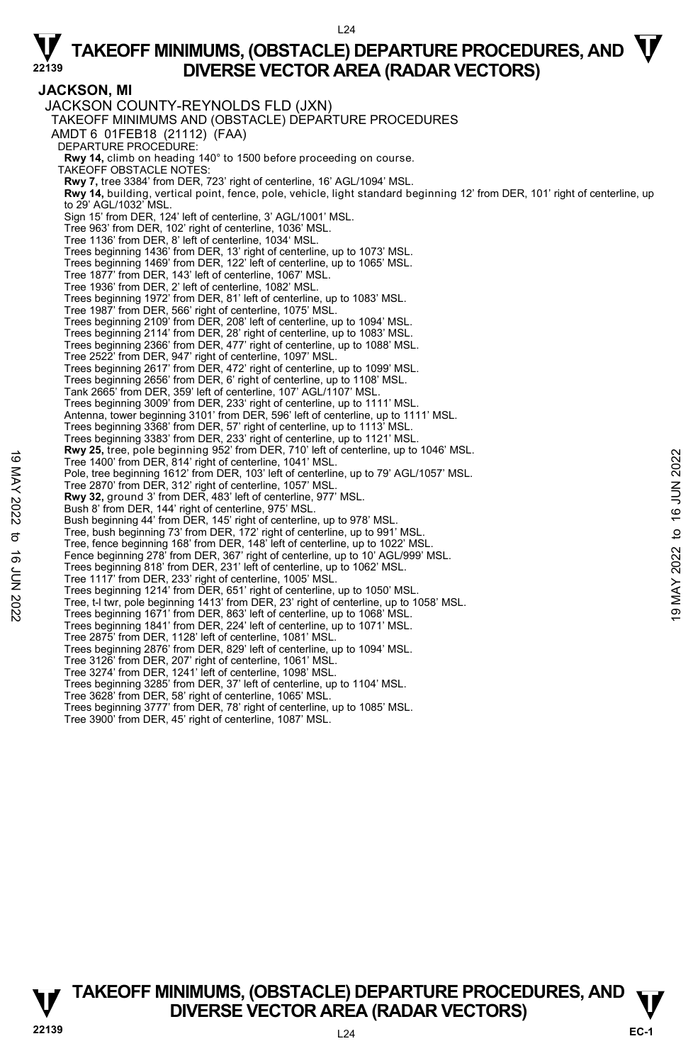**JACKSON, MI**  JACKSON COUNTY-REYNOLDS FLD (JXN) TAKEOFF MINIMUMS AND (OBSTACLE) DEPARTURE PROCEDURES AMDT 6 01FEB18 (21112) (FAA) DEPARTURE PROCEDURE: **Rwy 14,** climb on heading 140° to 1500 before proceeding on course. TAKEOFF OBSTACLE NOTES: **Rwy 7,** tree 3384' from DER, 723' right of centerline, 16' AGL/1094' MSL. **Rwy 14,** building, vertical point, fence, pole, vehicle, light standard beginning 12' from DER, 101' right of centerline, up to 29' AGL/1032' MSL. Sign 15' from DER, 124' left of centerline, 3' AGL/1001' MSL. Tree 963' from DER, 102' right of centerline, 1036' MSL. Tree 1136' from DER, 8' left of centerline, 1034' MSL. Trees beginning 1436' from DER, 13' right of centerline, up to 1073' MSL. Trees beginning 1469' from DER, 122' left of centerline, up to 1065' MSL. Tree 1877' from DER, 143' left of centerline, 1067' MSL. Tree 1936' from DER, 2' left of centerline, 1082' MSL. Trees beginning 1972' from DER, 81' left of centerline, up to 1083' MSL. Tree 1987' from DER, 566' right of centerline, 1075' MSL. Trees beginning 2109' from DER, 208' left of centerline, up to 1094' MSL. Trees beginning 2114' from DER, 28' right of centerline, up to 1083' MSL. Trees beginning 2366' from DER, 477' right of centerline, up to 1088' MSL. Tree 2522' from DER, 947' right of centerline, 1097' MSL. Trees beginning 2617' from DER, 472' right of centerline, up to 1099' MSL. Trees beginning 2656' from DER, 6' right of centerline, up to 1108' MSL. Tank 2665' from DER, 359' left of centerline, 107' AGL/1107' MSL. Trees beginning 3009' from DER, 233' right of centerline, up to 1111' MSL. Antenna, tower beginning 3101' from DER, 596' left of centerline, up to 1111' MSL. Trees beginning 3368' from DER, 57' right of centerline, up to 1113' MSL. Trees beginning 3383' from DER, 233' right of centerline, up to 1121' MSL.<br>**Rwy 25,** tree, pole beginning 952' from DER, 710' left of centerline, up to 1046' MSL. Tree 1400' from DER, 814' right of centerline, 1041' MSL. Pole, tree beginning 1612' from DER, 103' left of centerline, up to 79' AGL/1057' MSL. Tree 2870' from DER, 312' right of centerline, 1057' MSL. **Rwy 32,** ground 3' from DER, 483' left of centerline, 977' MSL. Bush 8' from DER, 144' right of centerline, 975' MSL. Bush beginning 44' from DER, 145' right of centerline, up to 978' MSL. Tree, bush beginning 73' from DER, 172' right of centerline, up to 991' MSL. Tree, fence beginning 168' from DER, 148' left of centerline, up to 1022' MSL. Fence beginning 278' from DER, 367' right of centerline, up to 10' AGL/999' MSL. Trees beginning 818' from DER, 231' left of centerline, up to 1062' MSL. Tree 1117' from DER, 233' right of centerline, 1005' MSL. Trees beginning 1214' from DER, 651' right of centerline, up to 1050' MSL. Tree, t-l twr, pole beginning 1413' from DER, 23' right of centerline, up to 1058' MSL. Trees beginning 1671' from DER, 863' left of centerline, up to 1068' MSL. Trees beginning 1841' from DER, 224' left of centerline, up to 1071' MSL. Tree 2875' from DER, 1128' left of centerline, 1081' MSL. Trees beginning 2876' from DER, 829' left of centerline, up to 1094' MSL. Tree 3126' from DER, 207' right of centerline, 1061' MSL. Tree 3274' from DER, 1241' left of centerline, 1098' MSL. Trees beginning 3285' from DER, 37' left of centerline, up to 1104' MSL. Tree 3628' from DER, 58' right of centerline, 1065' MSL. Trees beginning 3777' from DER, 78' right of centerline, up to 1085' MSL. Tree 1400' from DER, 814' right of centerline, 10 let to reduce the beginning on the total center and the total center ine, up to 1046 wish.<br>
Tree 1400' from DER, 312' right of centerline, 105<sup>7</sup> MSL.<br>
Tree 2870' from DER

Tree 3900' from DER, 45' right of centerline, 1087' MSL.

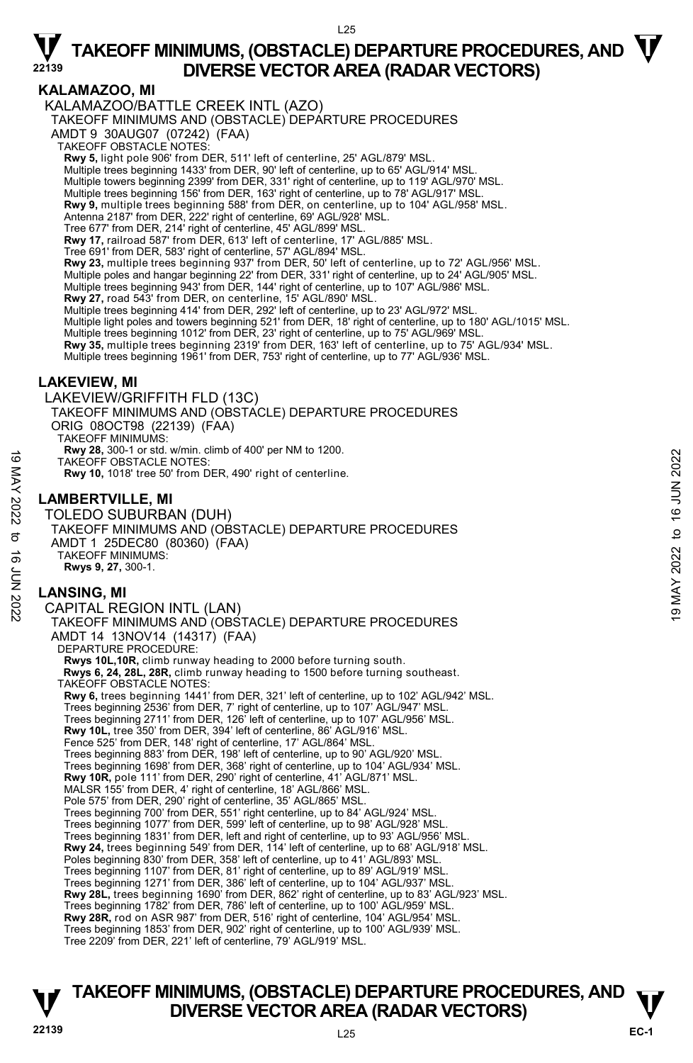### **KALAMAZOO, MI**

 $125$ KALAMAZOO/BATTLE CREEK INTL (AZO) TAKEOFF MINIMUMS AND (OBSTACLE) DEPARTURE PROCEDURES AMDT 9 30AUG07 (07242) (FAA) TAKEOFF OBSTACLE NOTES: **Rwy 5,** light pole 906' from DER, 511' left of centerline, 25' AGL/879' MSL. Multiple trees beginning 1433' from DER, 90' left of centerline, up to 65' AGL/914' MSL. Multiple towers beginning 2399' from DER, 331' right of centerline, up to 119' AGL/970' MSL. Multiple trees beginning 156' from DER, 163' right of centerline, up to 78' AGL/917' MSL. **Rwy 9,** multiple trees beginning 588' from DER, on centerline, up to 104' AGL/958' MSL.<br>Antenna 2187' from DER, 222' right of centerline, 69' AGL/928' MSL. Tree 677' from DER, 214' right of centerline, 45' AGL/899' MSL. **Rwy 17,** railroad 587' from DER, 613' left of centerline, 17' AGL/885' MSL.<br>Tree 691' from DER, 583' right of centerline, 57' AGL/894' MSL. **Rwy 23,** multiple trees beginning 937' from DER, 50' left of centerline, up to 72' AGL/956' MSL. Multiple poles and hangar beginning 22' from DER, 331' right of centerline, up to 24' AGL/905' MSL. Multiple trees beginning 943' from DER, 144' right of centerline, up to 107' AGL/986' MSL. **Rwy 27,** road 543' from DER, on centerline, 15' AGL/890' MSL. Multiple trees beginning 414' from DER, 292' left of centerline, up to 23' AGL/972' MSL. Multiple light poles and towers beginning 521' from DER, 18' right of centerline, up to 180' AGL/1015' MSL.<br>Multiple trees beginning 1012' from DER, 23' right of centerline, up to 75' AGL/969' MSL. **Rwy 35,** multiple trees beginning 2319' from DER, 163' left of centerline, up to 75' AGL/934' MSL. Multiple trees beginning 1961' from DER, 753' right of centerline, up to 77' AGL/936' MSL. **LAKEVIEW, MI**  LAKEVIEW/GRIFFITH FLD (13C) TAKEOFF MINIMUMS AND (OBSTACLE) DEPARTURE PROCEDURES ORIG 08OCT98 (22139) (FAA) TAKEOFF MINIMUMS: **Rwy 28,** 300-1 or std. w/min. climb of 400' per NM to 1200. TAKEOFF OBSTACLE NOTES: **Rwy 10,** 1018' tree 50' from DER, 490' right of centerline. **LAMBERTVILLE, MI**  TOLEDO SUBURBAN (DUH) TAKEOFF MINIMUMS AND (OBSTACLE) DEPARTURE PROCEDURES AMDT 1 25DEC80 (80360) (FAA) TAKEOFF MINIMUMS: **Rwys 9, 27,** 300-1. **LANSING, MI**  CAPITAL REGION INTL (LAN) TAKEOFF MINIMUMS AND (OBSTACLE) DEPARTURE PROCEDURES TAKEOFF OBSTACLE NOTES:<br>
TAKEOFF OBSTACLE NOTES:<br>
Rwy 10, 1018' tree 50' from DER, 490' right of centerline.<br>
NOLEDO SUBURBAN (DUH)<br>
TAKEOFF MINIMUMS AND (OBSTACLE) DEPARTURE PROCEDURES<br>
4MDT 1 25DEC80 (80360) (FAA)<br>
TAKE

AMDT 14 13NOV14 (14317) (FAA) DEPARTURE PROCEDURE: **Rwys 10L,10R,** climb runway heading to 2000 before turning south.  **Rwys 6, 24, 28L, 28R,** climb runway heading to 1500 before turning southeast. TAKEOFF OBSTACLE NOTES: **Rwy 6,** trees beginning 1441' from DER, 321' left of centerline, up to 102' AGL/942' MSL. Trees beginning 2536' from DER, 7' right of centerline, up to 107' AGL/947' MSL. Trees beginning 2711' from DER, 126' left of centerline, up to 107' AGL/956' MSL.<br>**Rwy 10L,** tree 350' from DER, 394' left of centerline, 86' AGL/916' MSL. Fence 525' from DER, 148' right of centerline, 17' AGL/864' MSL. Trees beginning 883' from DER, 198' left of centerline, up to 90' AGL/920' MSL. Trees beginning 1698' from DER, 368' right of centerline, up to 104' AGL/934' MSL. **Rwy 10R,** pole 111' from DER, 290' right of centerline, 41' AGL/871' MSL. MALSR 155' from DER, 4' right of centerline, 18' AGL/866' MSL. Pole 575' from DER, 290' right of centerline, 35' AGL/865' MSL. Trees beginning 700' from DER, 551' right centerline, up to 84' AGL/924' MSL. Trees beginning 1077' from DER, 599' left of centerline, up to 98' AGL/928' MSL. Trees beginning 1831' from DER, left and right of centerline, up to 93' AGL/956' MSL. **Rwy 24,** trees beginning 549' from DER, 114' left of centerline, up to 68' AGL/918' MSL. Poles beginning 830' from DER, 358' left of centerline, up to 41' AGL/893' MSL. Trees beginning 1107' from DER, 81' right of centerline, up to 89' AGL/919' MSL.<br>Trees beginning 1271' from DER, 386' left of centerline, up to 104' AGL/937' MSL.<br>**Rwy 28L,** trees beginning 1690' from DER, 862' right of ce Trees beginning 1782' from DER, 786' left of centerline, up to 100' AGL/959' MSL. **Rwy 28R,** rod on ASR 987' from DER, 516' right of centerline, 104' AGL/954' MSL. Trees beginning 1853' from DER, 902' right of centerline, up to 100' AGL/939' MSL. Tree 2209' from DER, 221' left of centerline, 79' AGL/919' MSL.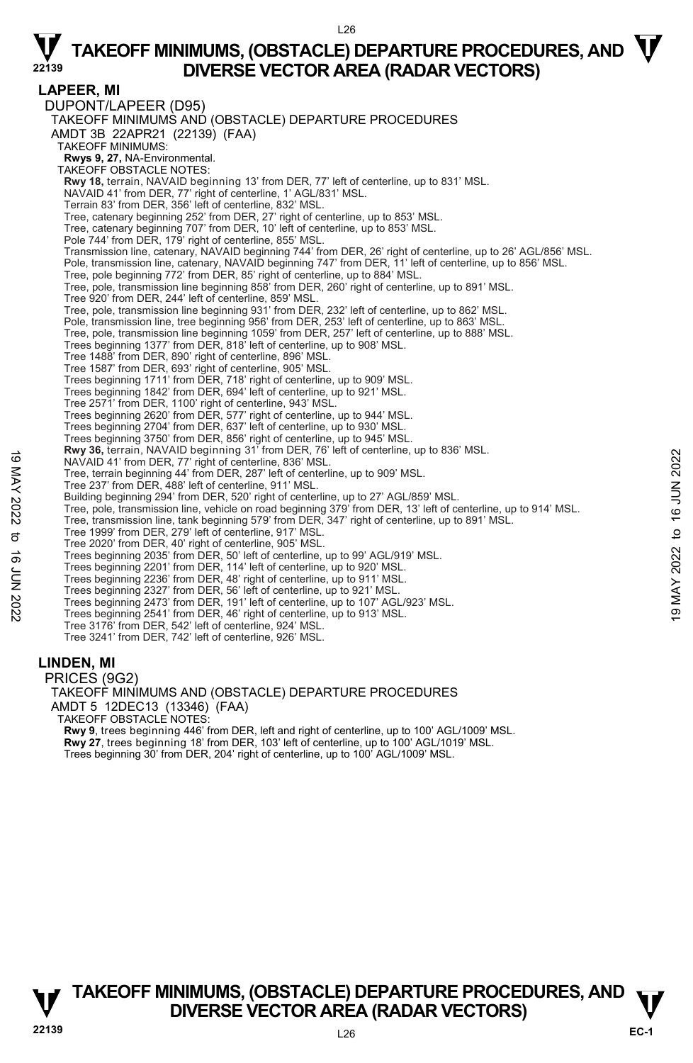#### $126$

### $\nabla$  TAKEOFF MINIMUMS, (OBSTACLE) DEPARTURE PROCEDURES, AND  $\nabla$ **DIVERSE VECTOR AREA (RADAR VECTORS)**

**LAPEER, MI**  DUPONT/LAPEER (D95) TAKEOFF MINIMUMS AND (OBSTACLE) DEPARTURE PROCEDURES AMDT 3B 22APR21 (22139) (FAA) TAKEOFF MINIMUMS: **Rwys 9, 27,** NA-Environmental. TAKEOFF OBSTACLE NOTES: **Rwy 18,** terrain, NAVAID beginning 13' from DER, 77' left of centerline, up to 831' MSL. NAVAID 41' from DER, 77' right of centerline, 1' AGL/831' MSL. Terrain 83' from DER, 356' left of centerline, 832' MSL. Tree, catenary beginning 252' from DER, 27' right of centerline, up to 853' MSL. Tree, catenary beginning 707' from DER, 10' left of centerline, up to 853' MSL. Pole 744' from DER, 179' right of centerline, 855' MSL. Transmission line, catenary, NAVAID beginning 744' from DER, 26' right of centerline, up to 26' AGL/856' MSL. Pole, transmission line, catenary, NAVAID beginning 747' from DER, 11' left of centerline, up to 856' MSL. Tree, pole beginning 772' from DER, 85' right of centerline, up to 884' MSL. Tree, pole, transmission line beginning 858' from DER, 260' right of centerline, up to 891' MSL. Tree 920' from DER, 244' left of centerline, 859' MSL. Tree, pole, transmission line beginning 931' from DER, 232' left of centerline, up to 862' MSL. Pole, transmission line, tree beginning 956' from DER, 253' left of centerline, up to 863' MSL. Tree, pole, transmission line beginning 1059' from DER, 257' left of centerline, up to 888' MSL. Trees beginning 1377' from DER, 818' left of centerline, up to 908' MSL. Tree 1488' from DER, 890' right of centerline, 896' MSL. Tree 1587' from DER, 693' right of centerline, 905' MSL. Trees beginning 1711' from DER, 718' right of centerline, up to 909' MSL. Trees beginning 1842' from DER, 694' left of centerline, up to 921' MSL. Tree 2571' from DER, 1100' right of centerline, 943' MSL. Trees beginning 2620' from DER, 577' right of centerline, up to 944' MSL. Trees beginning 2704' from DER, 637' left of centerline, up to 930' MSL. Trees beginning 3750' from DER, 856' right of centerline, up to 945' MSL.<br>**Rwy 36,** terrain, NAVAID beginning 31' from DER, 76' left of centerline, up to 836' MSL. NAVAID 41' from DER, 77' right of centerline, 836' MSL. Tree, terrain beginning 44' from DER, 287' left of centerline, up to 909' MSL. Tree 237' from DER, 488' left of centerline, 911' MSL. Building beginning 294' from DER, 520' right of centerline, up to 27' AGL/859' MSL. Tree, pole, transmission line, vehicle on road beginning 379' from DER, 13' left of centerline, up to 914' MSL. Tree, transmission line, tank beginning 579' from DER, 347' right of centerline, up to 891' MSL. Tree 1999' from DER, 279' left of centerline, 917' MSL. Tree 2020' from DER, 40' right of centerline, 905' MSL. Trees beginning 2035' from DER, 50' left of centerline, up to 99' AGL/919' MSL. Trees beginning 2201' from DER, 114' left of centerline, up to 920' MSL. Trees beginning 2236' from DER, 48' right of centerline, up to 911' MSL. Trees beginning 2327' from DER, 56' left of centerline, up to 921' MSL. Trees beginning 2473' from DER, 191' left of centerline, up to 107' AGL/923' MSL. Trees beginning 2541' from DER, 46' right of centerline, up to 913' MSL. Tree 3176' from DER, 542' left of centerline, 924' MSL. Tree 3241' from DER, 742' left of centerline, 926' MSL. 19 MAY 30, terrain, NAVAID Bert and The Deck and The Deck and The Unit of Centerline, up to 309 MSL.<br>
Tree, terrain beginning 44' from DER, 287' left of centerline, up to 909' MSL.<br>
Tree 2027' from DER, 198' left of cente

#### **LINDEN, MI**

PRICES (9G2) TAKEOFF MINIMUMS AND (OBSTACLE) DEPARTURE PROCEDURES AMDT 5 12DEC13 (13346) (FAA) TAKEOFF OBSTACLE NOTES: **Rwy 9**, trees beginning 446' from DER, left and right of centerline, up to 100' AGL/1009' MSL. **Rwy 27**, trees beginning 18' from DER, 103' left of centerline, up to 100' AGL/1019' MSL. Trees beginning 30' from DER, 204' right of centerline, up to 100' AGL/1009' MSL.

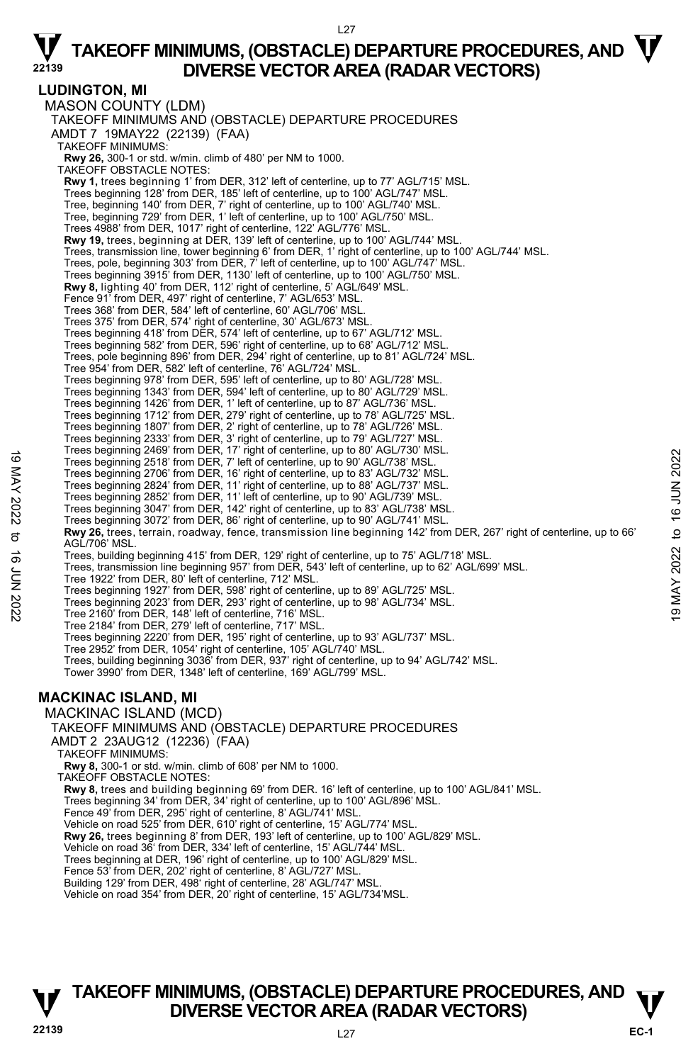L<sub>27</sub>

**LUDINGTON, MI**  MASON COUNTY (LDM) TAKEOFF MINIMUMS AND (OBSTACLE) DEPARTURE PROCEDURES AMDT 7 19MAY22 (22139) (FAA) TAKEOFF MINIMUMS: **Rwy 26,** 300-1 or std. w/min. climb of 480' per NM to 1000. TAKEOFF OBSTACLE NOTES: **Rwy 1,** trees beginning 1' from DER, 312' left of centerline, up to 77' AGL/715' MSL. Trees beginning 128' from DER, 185' left of centerline, up to 100' AGL/747' MSL. Tree, beginning 140' from DER, 7' right of centerline, up to 100' AGL/740' MSL. Tree, beginning 729' from DER, 1' left of centerline, up to 100' AGL/750' MSL. Trees 4988' from DER, 1017' right of centerline, 122' AGL/776' MSL. **Rwy 19,** trees, beginning at DER, 139' left of centerline, up to 100' AGL/744' MSL. Trees, transmission line, tower beginning 6' from DER, 1' right of centerline, up to 100' AGL/744' MSL. Trees, pole, beginning 303' from DER, 7' left of centerline, up to 100' AGL/747' MSL. Trees beginning 3915' from DER, 1130' left of centerline, up to 100' AGL/750' MSL.<br>**Rwy 8,** lighting 40' from DER, 112' right of centerline, 5' AGL/649' MSL. Fence 91' from DER, 497' right of centerline, 7' AGL/653' MSL. Trees 368' from DER, 584' left of centerline, 60' AGL/706' MSL. Trees 375' from DER, 574' right of centerline, 30' AGL/673' MSL. Trees beginning 418' from DER, 574' left of centerline, up to 67' AGL/712' MSL. Trees beginning 582' from DER, 596' right of centerline, up to 68' AGL/712' MSL. Trees, pole beginning 896' from DER, 294' right of centerline, up to 81' AGL/724' MSL. Tree 954' from DER, 582' left of centerline, 76' AGL/724' MSL. Trees beginning 978' from DER, 595' left of centerline, up to 80' AGL/728' MSL. Trees beginning 1343' from DER, 594' left of centerline, up to 80' AGL/729' MSL. Trees beginning 1426' from DER, 1' left of centerline, up to 87' AGL/736' MSL. Trees beginning 1712' from DER, 279' right of centerline, up to 78' AGL/725' MSL. Trees beginning 1807' from DER, 2' right of centerline, up to 78' AGL/726' MSL. Trees beginning 2333' from DER, 3' right of centerline, up to 79' AGL/727' MSL. Trees beginning 2469' from DER, 17' right of centerline, up to 80' AGL/730' MSL. Trees beginning 2518' from DER, 7' left of centerline, up to 90' AGL/738' MSL. Trees beginning 2706' from DER, 16' right of centerline, up to 83' AGL/732' MSL. Trees beginning 2824' from DER, 11' right of centerline, up to 88' AGL/737' MSL. Trees beginning 2852' from DER, 11' left of centerline, up to 90' AGL/739' MSL. Trees beginning 3047' from DER, 142' right of centerline, up to 83' AGL/738' MSL. Trees beginning 3072' from DER, 86' right of centerline, up to 90' AGL/741' MSL. **Rwy 26,** trees, terrain, roadway, fence, transmission line beginning 142' from DER, 267' right of centerline, up to 66' AGL/706' MSL. Trees, building beginning 415' from DER, 129' right of centerline, up to 75' AGL/718' MSL. Trees, transmission line beginning 957' from DER, 543' left of centerline, up to 62' AGL/699' MSL. Tree 1922' from DER, 80' left of centerline, 712' MSL. Trees beginning 1927' from DER, 598' right of centerline, up to 89' AGL/725' MSL. Trees beginning 2023' from DER, 293' right of centerline, up to 98' AGL/734' MSL. Tree 2160' from DER, 148' left of centerline, 716' MSL. Tree 2184' from DER, 279' left of centerline, 717' MSL. Trees beginning 2220' from DER, 195' right of centerline, up to 93' AGL/737' MSL. Tree 2952' from DER, 1054' right of centerline, 105' AGL/740' MSL. Trees, building beginning 3036' from DER, 937' right of centerline, up to 94' AGL/742' MSL. Tower 3990' from DER, 1348' left of centerline, 169' AGL/799' MSL. **MACKINAC ISLAND, MI**  MACKINAC ISLAND (MCD) TAKEOFF MINIMUMS AND (OBSTACLE) DEPARTURE PROCEDURES AMDT 2 23AUG12 (12236) (FAA) TAKEOFF MINIMUMS: **Rwy 8,** 300-1 or std. w/min. climb of 608' per NM to 1000. TAKEOFF OBSTACLE NOTES: **Rwy 8,** trees and building beginning 69' from DER. 16' left of centerline, up to 100' AGL/841' MSL. Trees beginning 34' from DER, 34' right of centerline, up to 100' AGL/896' MSL. Fence 49' from DER, 295' right of centerline, 8' AGL/741' MSL. Vehicle on road 525' from DER, 610' right of centerline, 15' AGL/774' MSL. **Rwy 26,** trees beginning 8' from DER, 193' left of centerline, up to 100' AGL/829' MSL.<br>Vehicle on road 36' from DER, 334' left of centerline, 15' AGL/744' MSL. Trees beginning at DER, 196' right of centerline, up to 100' AGL/829' MSL. Fence 53' from DER, 202' right of centerline, 8' AGL/727' MSL. Building 129' from DER, 498' right of centerline, 28' AGL/747' MSL. Trees beginning 2409 inform DER, 17 ignt of centerline, up to 90' AGL/738' MSL.<br>
Trees beginning 2504' from DER, 16' right of centerline, up to 90' AGL/732' MSL.<br>
Trees beginning 2706' from DER, 16' right of centerline, up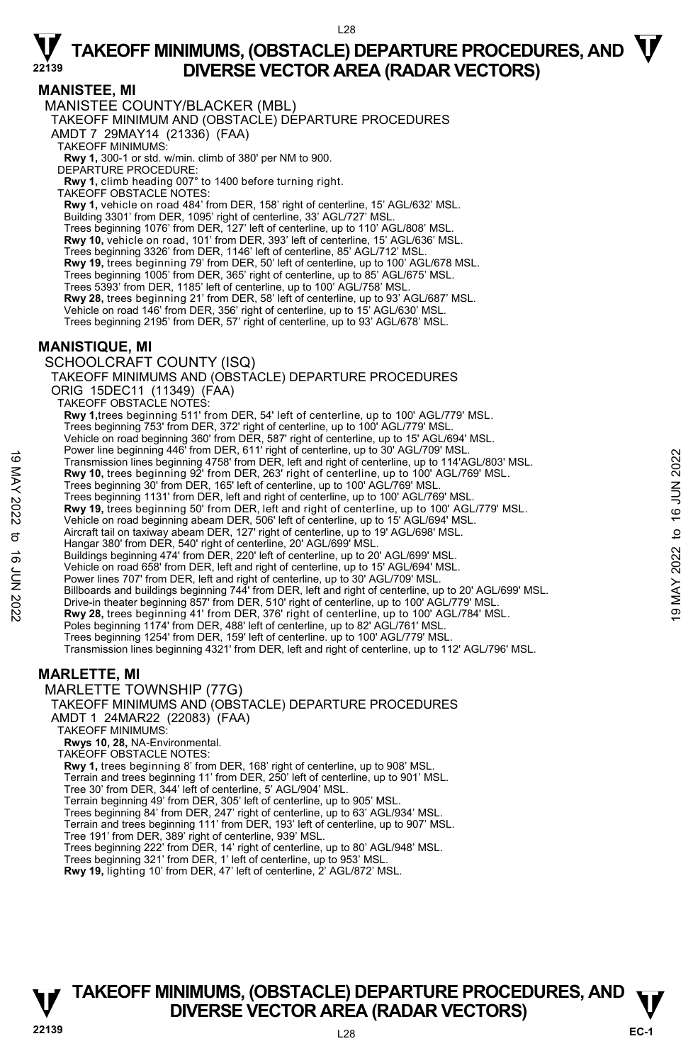$128$ 

### **MANISTEE, MI**

MANISTEE COUNTY/BLACKER (MBL)

TAKEOFF MINIMUM AND (OBSTACLE) DEPARTURE PROCEDURES

AMDT 7 29MAY14 (21336) (FAA)

TAKEOFF MINIMUMS:

**Rwy 1,** 300-1 or std. w/min. climb of 380' per NM to 900. DEPARTURE PROCEDURE:

**Rwy 1,** climb heading 007° to 1400 before turning right.

TAKEOFF OBSTACLE NOTES:

**Rwy 1,** vehicle on road 484' from DER, 158' right of centerline, 15' AGL/632' MSL.<br>Building 3301' from DER, 1095' right of centerline, 33' AGL/727' MSL.

Trees beginning 1076' from DER, 127' left of centerline, up to 110' AGL/808' MSL.

**Rwy 10,** vehicle on road, 101' from DER, 393' left of centerline, 15' AGL/636' MSL.

Trees beginning 3326' from DER, 1146' left of centerline, 85' AGL/712' MSL.

**Rwy 19,** trees beginning 79' from DER, 50' left of centerline, up to 100' AGL/678 MSL.

Trees beginning 1005' from DER, 365' right of centerline, up to 85' AGL/675' MSL. Trees 5393' from DER, 1185' left of centerline, up to 100' AGL/758' MSL.

**Rwy 28,** trees beginning 21' from DER, 58' left of centerline, up to 93' AGL/687' MSL.

Vehicle on road 146' from DER, 356' right of centerline, up to 15' AGL/630' MSL.

Trees beginning 2195' from DER, 57' right of centerline, up to 93' AGL/678' MSL.

### **MANISTIQUE, MI**

SCHOOLCRAFT COUNTY (ISQ)

TAKEOFF MINIMUMS AND (OBSTACLE) DEPARTURE PROCEDURES ORIG 15DEC11 (11349) (FAA) TAKEOFF OBSTACLE NOTES:

**Rwy 1,**trees beginning 511' from DER, 54' left of centerline, up to 100' AGL/779' MSL. Trees beginning 753' from DER, 372' right of centerline, up to 100' AGL/779' MSL. Vehicle on road beginning 360' from DER, 587' right of centerline, up to 15' AGL/694' MSL. Power line beginning 446' from DER, 611' right of centerline, up to 30' AGL/709' MSL. Transmission lines beginning 4758' from DER, left and right of centerline, up to 114'AGL/803' MSL.<br>**Rwy 10,** trees beginning 92' from DER, 263' right of centerline, up to 100' AGL/769' MSL. Trees beginning 30' from DER, 165' left of centerline, up to 100' AGL/769' MSL. Trees beginning 1131' from DER, left and right of centerline, up to 100' AGL/769' MSL. **Rwy 19,** trees beginning 50' from DER, left and right of centerline, up to 100' AGL/779' MSL. Vehicle on road beginning abeam DER, 506' left of centerline, up to 15' AGL/694' MSL. Aircraft tail on taxiway abeam DER, 127' right of centerline, up to 19' AGL/698' MSL. Hangar 380' from DER, 540' right of centerline, 20' AGL/699' MSL Buildings beginning 474' from DER, 220' left of centerline, up to 20' AGL/699' MSL. Vehicle on road 658' from DER, left and right of centerline, up to 15' AGL/694' MSL. Power lines 707' from DER, left and right of centerline, up to 30' AGL/709' MSL. Billboards and buildings beginning 744' from DER, left and right of centerline, up to 20' AGL/699' MSL. Drive-in theater beginning 857' from DER, 510' right of centerline, up to 100' AGL/779' MSL.<br>**Rwy 28,** trees beginning 41' from DER, 376' right of centerline, up to 100' AGL/784' MSL. Poles beginning 1174' from DER, 488' left of centerline, up to 82' AGL/761' MSL. Trees beginning 1254' from DER, 159' left of centerline. up to 100' AGL/779' MSL. Transmission lines beginning 4321' from DER, left and right of centerline, up to 112' AGL/796' MSL. Transmission lines beginning 4758' from DER, left and right of centerline, up to 104 AGL/803' MSL.<br>
Transmission lines beginning 4758' from DER, left and right of centerline, up to 100' AGL/769' MSL.<br>
Trees beginning 30'

### **MARLETTE, MI**

MARLETTE TOWNSHIP (77G)

TAKEOFF MINIMUMS AND (OBSTACLE) DEPARTURE PROCEDURES

AMDT 1 24MAR22 (22083) (FAA)

#### TAKEOFF MINIMUMS:

**Rwys 10, 28,** NA-Environmental.

TAKEOFF OBSTACLE NOTES:

**Rwy 1,** trees beginning 8' from DER, 168' right of centerline, up to 908' MSL.

Terrain and trees beginning 11' from DER, 250' left of centerline, up to 901' MSL.

Tree 30' from DER, 344' left of centerline, 5' AGL/904' MSL.

Terrain beginning 49' from DER, 305' left of centerline, up to 905' MSL. Trees beginning 84' from DER, 247' right of centerline, up to 63' AGL/934' MSL.

Terrain and trees beginning 111' from DER, 193' left of centerline, up to 907' MSL.

Tree 191' from DER, 389' right of centerline, 939' MSL. Trees beginning 222' from DER, 14' right of centerline, up to 80' AGL/948' MSL.

Trees beginning 321' from DER, 1' left of centerline, up to 953' MSL.

**Rwy 19,** lighting 10' from DER, 47' left of centerline, 2' AGL/872' MSL.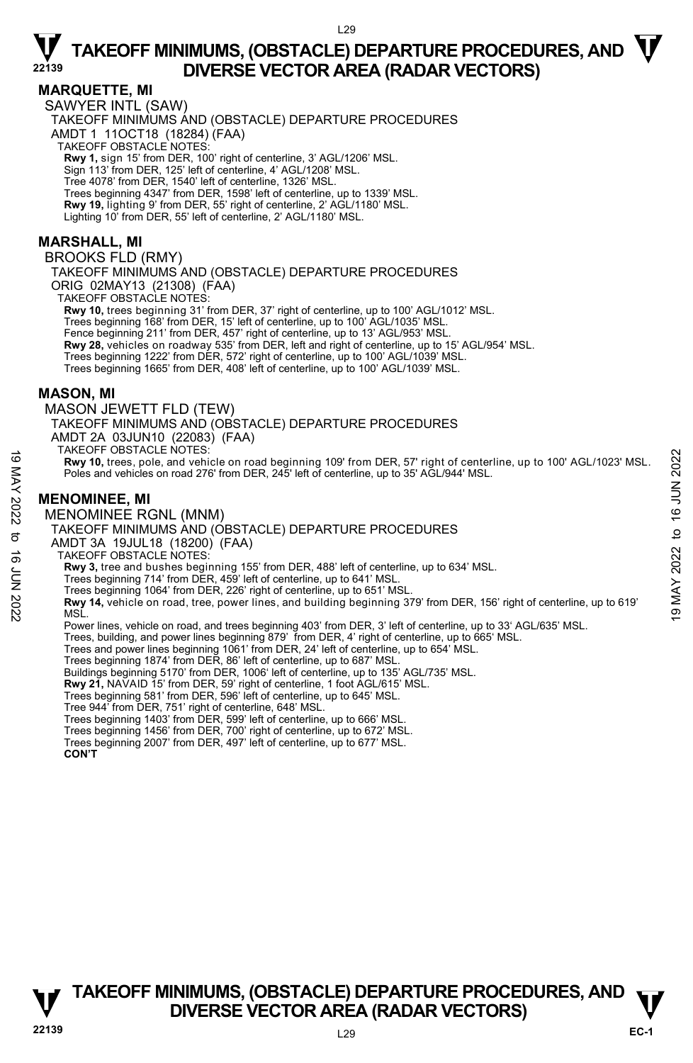### **MARQUETTE, MI**

SAWYER INTL (SAW)

TAKEOFF MINIMUMS AND (OBSTACLE) DEPARTURE PROCEDURES AMDT 1 11OCT18 (18284) (FAA) TAKEOFF OBSTACLE NOTES:

**Rwy 1,** sign 15' from DER, 100' right of centerline, 3' AGL/1206' MSL.

Sign 113' from DER, 125' left of centerline, 4' AGL/1208' MSL.

Tree 4078' from DER, 1540' left of centerline, 1326' MSL.

Trees beginning 4347' from DER, 1598' left of centerline, up to 1339' MSL.

**Rwy 19,** lighting 9' from DER, 55' right of centerline, 2' AGL/1180' MSL.

Lighting 10' from DER, 55' left of centerline, 2' AGL/1180' MSL.

### **MARSHALL, MI**

BROOKS FLD (RMY)

TAKEOFF MINIMUMS AND (OBSTACLE) DEPARTURE PROCEDURES

ORIG 02MAY13 (21308) (FAA)

TAKEOFF OBSTACLE NOTES:

**Rwy 10,** trees beginning 31' from DER, 37' right of centerline, up to 100' AGL/1012' MSL. Trees beginning 168' from DER, 15' left of centerline, up to 100' AGL/1035' MSL. Fence beginning 211' from DER, 457' right of centerline, up to 13' AGL/953' MSL. **Rwy 28,** vehicles on roadway 535' from DER, left and right of centerline, up to 15' AGL/954' MSL. Trees beginning 1222' from DER, 572' right of centerline, up to 100' AGL/1039' MSL. Trees beginning 1665' from DER, 408' left of centerline, up to 100' AGL/1039' MSL.

### **MASON, MI**

MASON JEWETT FLD (TEW) TAKEOFF MINIMUMS AND (OBSTACLE) DEPARTURE PROCEDURES AMDT 2A 03JUN10 (22083) (FAA) TAKEOFF OBSTACLE NOTES:

**Rwy 10,** trees, pole, and vehicle on road beginning 109' from DER, 57' right of centerline, up to 100' AGL/1023' MSL. Poles and vehicles on road 276' from DER, 245' left of centerline, up to 35' AGL/944' MSL. **Rwy 10, trees, pole, and vehicle on road beginning 109' from DER, 57' right of centerline, up to 100' AGL/1023' MSL.<br>
Poles and vehicles on road 276' from DER, 245' left of centerline, up to 35' AGL/944' MSL.<br>
MENOMINEE,** 

### **MENOMINEE, MI**

MENOMINEE RGNL (MNM)

TAKEOFF MINIMUMS AND (OBSTACLE) DEPARTURE PROCEDURES

AMDT 3A 19JUL18 (18200) (FAA)

TAKEOFF OBSTACLE NOTES:

**Rwy 3,** tree and bushes beginning 155' from DER, 488' left of centerline, up to 634' MSL.

Trees beginning 714' from DER, 459' left of centerline, up to 641' MSL.

Trees beginning 1064' from DER, 226' right of centerline, up to 651' MSL.

Power lines, vehicle on road, and trees beginning 403' from DER, 3' left of centerline, up to 33' AGL/635' MSL.

Trees, building, and power lines beginning 879' from DER, 4' right of centerline, up to 665' MSL.<br>Trees and power lines beginning 1061' from DER, 24' left of centerline, up to 654' MSL.

Trees beginning 1874' from DER, 86' left of centerline, up to 687' MSL.

Buildings beginning 5170' from DER, 1006' left of centerline, up to 135' AGL/735' MSL.

**Rwy 21,** NAVAID 15' from DER, 59' right of centerline, 1 foot AGL/615' MSL.<br>Trees beginning 581' from DER, 596' left of centerline, up to 645' MSL.

Tree 944' from DER, 751' right of centerline, 648' MSL.

Trees beginning 1403' from DER, 599' left of centerline, up to 666' MSL. Trees beginning 1456' from DER, 700' right of centerline, up to 672' MSL.

Trees beginning 2007' from DER, 497' left of centerline, up to 677' MSL.  **CON'T**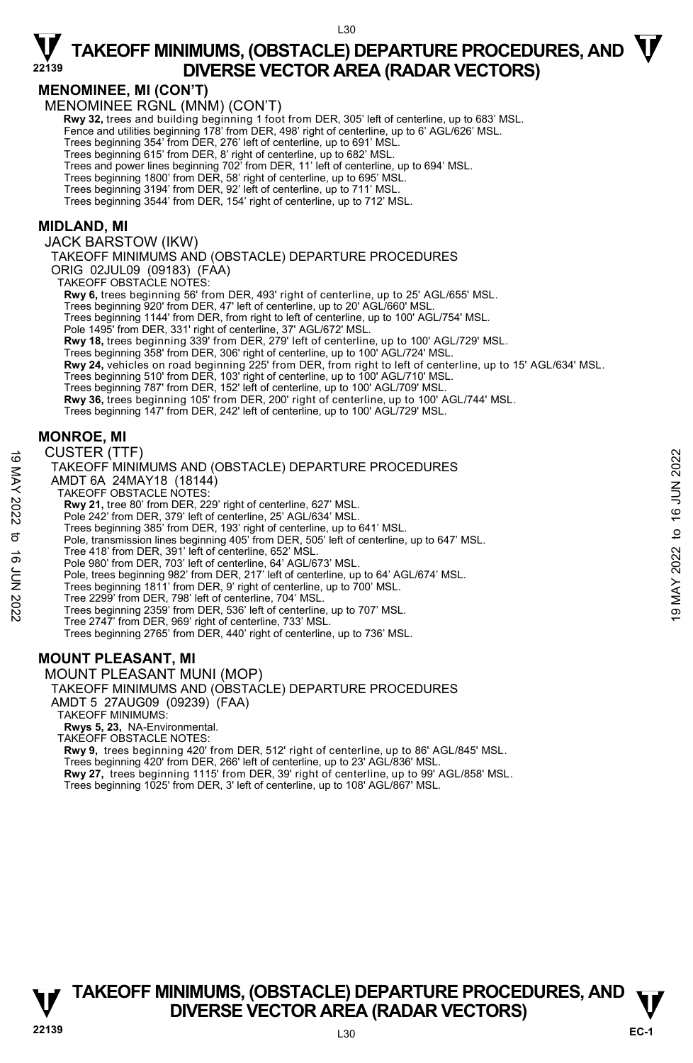### **MENOMINEE, MI (CON'T)**

MENOMINEE RGNL (MNM) (CON'T)

**Rwy 32,** trees and building beginning 1 foot from DER, 305' left of centerline, up to 683' MSL.<br>Fence and utilities beginning 178' from DER, 498' right of centerline, up to 6' AGL/626' MSL.

Trees beginning 354' from DER, 276' left of centerline, up to 691' MSL.

Trees beginning 615' from DER, 8' right of centerline, up to 682' MSL. Trees and power lines beginning 702' from DER, 11' left of centerline, up to 694' MSL.

Trees beginning 1800' from DER, 58' right of centerline, up to 695' MSL. Trees beginning 3194' from DER, 92' left of centerline, up to 711' MSL.

Trees beginning 3544' from DER, 154' right of centerline, up to 712' MSL.

#### **MIDLAND, MI**

JACK BARSTOW (IKW)

TAKEOFF MINIMUMS AND (OBSTACLE) DEPARTURE PROCEDURES

ORIG 02JUL09 (09183) (FAA) TAKEOFF OBSTACLE NOTES:

**Rwy 6,** trees beginning 56' from DER, 493' right of centerline, up to 25' AGL/655' MSL.

Trees beginning 920' from DER, 47' left of centerline, up to 20' AGL/660' MSL.

Trees beginning 1144' from DER, from right to left of centerline, up to 100' AGL/754' MSL.

Pole 1495' from DER, 331' right of centerline, 37' AGL/672' MSL.

**Rwy 18,** trees beginning 339' from DER, 279' left of centerline, up to 100' AGL/729' MSL.

Trees beginning 358' from DER, 306' right of centerline, up to 100' AGL/724' MSL.

**Rwy 24,** vehicles on road beginning 225' from DER, from right to left of centerline, up to 15' AGL/634' MSL.<br>Trees beginning 510' from DER, 103' right of centerline, up to 100' AGL/710' MSL.<br>Trees beginning 787' from DER,

**Rwy 36,** trees beginning 105' from DER, 200' right of centerline, up to 100' AGL/744' MSL.

Trees beginning 147' from DER, 242' left of centerline, up to 100' AGL/729' MSL.

#### **MONROE, MI**

CUSTER (TTF) TAKEOFF MINIMUMS AND (OBSTACLE) DEPARTURE PROCEDURES AMDT 6A 24MAY18 (18144) TAKEOFF OBSTACLE NOTES: **Rwy 21,** tree 80' from DER, 229' right of centerline, 627' MSL. Pole 242' from DER, 379' left of centerline, 25' AGL/634' MSL. Trees beginning 385' from DER, 193' right of centerline, up to 641' MSL. Pole, transmission lines beginning 405' from DER, 505' left of centerline, up to 647' MSL. Tree 418' from DER, 391' left of centerline, 652' MSL. Pole 980' from DER, 703' left of centerline, 64' AGL/673' MSL. Pole, trees beginning 982' from DER, 217' left of centerline, up to 64' AGL/674' MSL. Trees beginning 1811' from DER, 9' right of centerline, up to 700' MSL. Tree 2299' from DER, 798' left of centerline, 704' MSL. Trees beginning 2359' from DER, 536' left of centerline, up to 707' MSL. Tree 2747' from DER, 969' right of centerline, 733' MSL. Trees beginning 2765' from DER, 440' right of centerline, up to 736' MSL. CUSTER (TTF)<br>
TAKEOFF MINIMUMS AND (OBSTACLE) DEPARTURE PROCEDURES<br>
AMDT 6A 24MAY18 (18144)<br>
TAKEOFF OBSTACLE NOTES:<br>
Rwy 21, tree 80' from DER, 229' right of centerline, 627' MSL.<br>
These beginning 385' form of the stree

### **MOUNT PLEASANT, MI**

MOUNT PLEASANT MUNI (MOP)

#### TAKEOFF MINIMUMS AND (OBSTACLE) DEPARTURE PROCEDURES AMDT 5 27AUG09 (09239) (FAA)

TAKEOFF MINIMUMS:

**Rwys 5, 23,** NA-Environmental. TAKEOFF OBSTACLE NOTES:

**Rwy 9,** trees beginning 420' from DER, 512' right of centerline, up to 86' AGL/845' MSL. Trees beginning 420' from DER, 266' left of centerline, up to 23' AGL/836' MSL.<br>**Rwy 27,** trees beginning 1115' from DER, 39' right of centerline, up to 99' AGL/858' MSL.

Trees beginning 1025' from DER, 3' left of centerline, up to 108' AGL/867' MSL.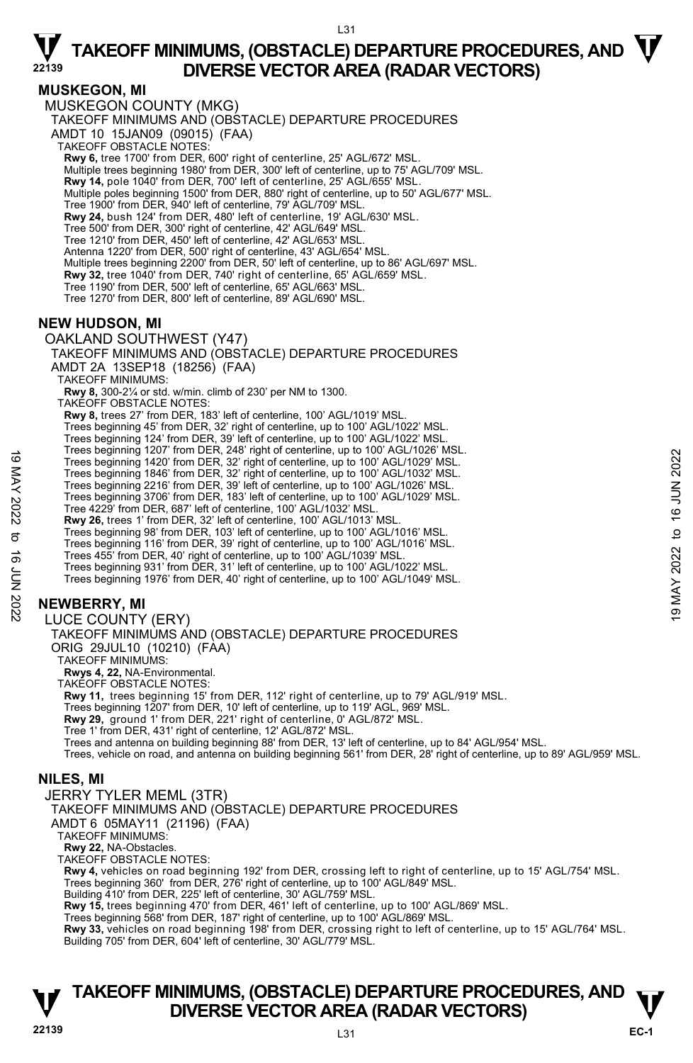L31

#### **MUSKEGON, MI**

MUSKEGON COUNTY (MKG) TAKEOFF MINIMUMS AND (OBSTACLE) DEPARTURE PROCEDURES AMDT 10 15JAN09 (09015) (FAA) TAKEOFF OBSTACLE NOTES: **Rwy 6,** tree 1700' from DER, 600' right of centerline, 25' AGL/672' MSL. Multiple trees beginning 1980' from DER, 300' left of centerline, up to 75' AGL/709' MSL. **Rwy 14,** pole 1040' from DER, 700' left of centerline, 25' AGL/655' MSL. Multiple poles beginning 1500' from DER, 880' right of centerline, up to 50' AGL/677' MSL. Tree 1900' from DER, 940' left of centerline, 79' AGL/709' MSL. **Rwy 24,** bush 124' from DER, 480' left of centerline, 19' AGL/630' MSL. Tree 500' from DER, 300' right of centerline, 42' AGL/649' MSL. Tree 1210' from DER, 450' left of centerline, 42' AGL/653' MSL. Antenna 1220' from DER, 500' right of centerline, 43' AGL/654' MSL. Multiple trees beginning 2200' from DER, 50' left of centerline, up to 86' AGL/697' MSL. **Rwy 32,** tree 1040' from DER, 740' right of centerline, 65' AGL/659' MSL. Tree 1190' from DER, 500' left of centerline, 65' AGL/663' MSL. Tree 1270' from DER, 800' left of centerline, 89' AGL/690' MSL. **NEW HUDSON, MI**  OAKLAND SOUTHWEST (Y47) TAKEOFF MINIMUMS AND (OBSTACLE) DEPARTURE PROCEDURES AMDT 2A 13SEP18 (18256) (FAA) TAKEOFF MINIMUMS: **Rwy 8,** 300-2¼ or std. w/min. climb of 230' per NM to 1300. TAKEOFF OBSTACLE NOTES: **Rwy 8,** trees 27' from DER, 183' left of centerline, 100' AGL/1019' MSL. Trees beginning 45' from DER, 32' right of centerline, up to 100' AGL/1022' MSL. Trees beginning 124' from DER, 39' left of centerline, up to 100' AGL/1022' MSL. Trees beginning 1207' from DER, 248' right of centerline, up to 100' AGL/1026' MSL. Trees beginning 1420' from DER, 32' right of centerline, up to 100' AGL/1029' MSL. Trees beginning 1846' from DER, 32' right of centerline, up to 100' AGL/1032' MSL. Trees beginning 2216' from DER, 39' left of centerline, up to 100' AGL/1026' MSL. Trees beginning 3706' from DER, 183' left of centerline, up to 100' AGL/1029' MSL. Tree 4229' from DER, 687' left of centerline, 100' AGL/1032' MSL. **Rwy 26,** trees 1' from DER, 32' left of centerline, 100' AGL/1013' MSL. Trees beginning 98' from DER, 103' left of centerline, up to 100' AGL/1016' MSL. Trees beginning 116' from DER, 39' right of centerline, up to 100' AGL/1016' MSL. Trees 455' from DER, 40' right of centerline, up to 100' AGL/1039' MSI Trees beginning 931' from DER, 31' left of centerline, up to 100' AGL/1022' MSL. Trees beginning 1976' from DER, 40' right of centerline, up to 100' AGL/1049' MSL. **NEWBERRY, MI**  LUCE COUNTY (ERY) TAKEOFF MINIMUMS AND (OBSTACLE) DEPARTURE PROCEDURES ORIG 29JUL10 (10210) (FAA) TAKEOFF MINIMUMS: **Rwys 4, 22,** NA-Environmental. TAKEOFF OBSTACLE NOTES: **Rwy 11,** trees beginning 15' from DER, 112' right of centerline, up to 79' AGL/919' MSL. Trees beginning 1207' from DER, 10' left of centerline, up to 119' AGL, 969' MSL. **Rwy 29,** ground 1' from DER, 221' right of centerline, 0' AGL/872' MSL. Tree 1' from DER, 431' right of centerline, 12' AGL/872' MSL. Trees beginning 1207 in DER, 242 ingular dietermine, up to 1007 AGL/1029 MSL.<br>
Trees beginning 1420' from DER, 32' right of centerline, up to 100' AGL/1029' MSL.<br>
Trees beginning 216' from DER, 32' right of centerline, up

Trees and antenna on building beginning 88' from DER, 13' left of centerline, up to 84' AGL/954' MSL.

Trees, vehicle on road, and antenna on building beginning 561' from DER, 28' right of centerline, up to 89' AGL/959' MSL.

### **NILES, MI**

JERRY TYLER MEML (3TR)

TAKEOFF MINIMUMS AND (OBSTACLE) DEPARTURE PROCEDURES

AMDT 6 05MAY11 (21196) (FAA)

TAKEOFF MINIMUMS:

**Rwy 22,** NA-Obstacles.

TAKEOFF OBSTACLE NOTES:

**Rwy 4,** vehicles on road beginning 192' from DER, crossing left to right of centerline, up to 15' AGL/754' MSL.

Trees beginning 360' from DER, 276' right of centerline, up to 100' AGL/849' MSL.

Building 410' from DER, 225' left of centerline, 30' AGL/759' MSL.

**Rwy 15,** trees beginning 470' from DER, 461' left of centerline, up to 100' AGL/869' MSL.

Trees beginning 568' from DER, 187' right of centerline, up to 100' AGL/869' MSL.<br>**Rwy 33,** vehicles on road beginning 198' from DER, crossing right to left of centerline, up to 15' AGL/764' MSL. Building 705' from DER, 604' left of centerline, 30' AGL/779' MSL.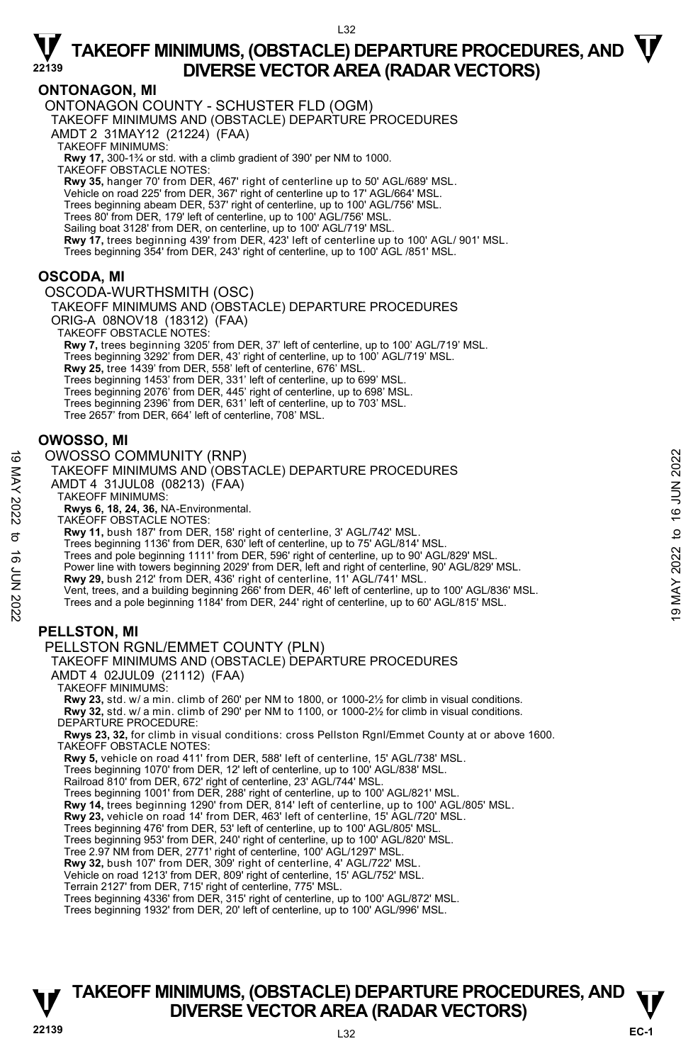L32

### **ONTONAGON, MI**

ONTONAGON COUNTY - SCHUSTER FLD (OGM) TAKEOFF MINIMUMS AND (OBSTACLE) DEPARTURE PROCEDURES AMDT 2 31MAY12 (21224) (FAA) TAKEOFF MINIMUMS: **Rwy 17,** 300-1¾ or std. with a climb gradient of 390' per NM to 1000. TAKEOFF OBSTACLE NOTES: **Rwy 35,** hanger 70' from DER, 467' right of centerline up to 50' AGL/689' MSL. Vehicle on road 225' from DER, 367' right of centerline up to 17' AGL/664' MSL. Trees beginning abeam DER, 537' right of centerline, up to 100' AGL/756' MSL. Trees 80' from DER, 179' left of centerline, up to 100' AGL/756' MSL. Sailing boat 3128' from DER, on centerline, up to 100' AGL/719' MSL. **Rwy 17,** trees beginning 439' from DER, 423' left of centerline up to 100' AGL/ 901' MSL.<br>Trees beginning 354' from DER, 243' right of centerline, up to 100' AGL /851' MSL.

### **OSCODA, MI**

OSCODA-WURTHSMITH (OSC)

TAKEOFF MINIMUMS AND (OBSTACLE) DEPARTURE PROCEDURES ORIG-A 08NOV18 (18312) (FAA)

TAKEOFF OBSTACLE NOTES:

**Rwy 7,** trees beginning 3205' from DER, 37' left of centerline, up to 100' AGL/719' MSL. Trees beginning 3292' from DER, 43' right of centerline, up to 100' AGL/719' MSL.<br>**Rwy 25,** tree 1439' from DER, 558' left of centerline, 676' MSL. Trees beginning 1453' from DER, 331' left of centerline, up to 699' MSL. Trees beginning 2076' from DER, 445' right of centerline, up to 698' MSL. Trees beginning 2396' from DER, 631' left of centerline, up to 703' MSL. Tree 2657' from DER, 664' left of centerline, 708' MSL.

### **OWOSSO, MI**

#### OWOSSO COMMUNITY (RNP)

TAKEOFF MINIMUMS AND (OBSTACLE) DEPARTURE PROCEDURES AMDT 4 31JUL08 (08213) (FAA) TAKEOFF MINIMUMS: **Rwys 6, 18, 24, 36,** NA-Environmental. TAKEOFF OBSTACLE NOTES: **Rwy 11,** bush 187' from DER, 158' right of centerline, 3' AGL/742' MSL. OWOSSO COMMUNITY (RNP)<br>
TAKEOFF MINIMUMS AND (OBSTACLE) DEPARTURE PROCEDURES<br>
AMDT 4 31JUL08 (08213) (FAA)<br>
TAKEOFF MINIMUMS:<br>
TAKEOFF MINIMUMS:<br>
TAKEOFF MINIMUMS:<br>
TAKEOFF MINIMUMS:<br>
TAKEOFF MINIMUMS:<br>
TAKEOFF MINIMUMS:

Trees beginning 1136' from DER, 630' left of centerline, up to 75' AGL/814' MSL.

Trees and pole beginning 1111' from DER, 596' right of centerline, up to 90' AGL/829' MSL.

Power line with towers beginning 2029' from DER, left and right of centerline, 90' AGL/829' MSL.

**Rwy 29,** bush 212' from DER, 436' right of centerline, 11' AGL/741' MSL.

Vent, trees, and a building beginning 266' from DER, 46' left of centerline, up to 100' AGL/836' MSL.

Trees and a pole beginning 1184' from DER, 244' right of centerline, up to 60' AGL/815' MSL.

### **PELLSTON, MI**

PELLSTON RGNL/EMMET COUNTY (PLN)

TAKEOFF MINIMUMS AND (OBSTACLE) DEPARTURE PROCEDURES AMDT 4 02JUL09 (21112) (FAA)

TAKEOFF MINIMUMS:

**Rwy 23,** std. w/ a min. climb of 260' per NM to 1800, or 1000-2½ for climb in visual conditions. **Rwy 32,** std. w/ a min. climb of 290' per NM to 1100, or 1000-2½ for climb in visual conditions. DEPARTURE PROCEDURE:

**Rwys 23, 32,** for climb in visual conditions: cross Pellston Rgnl/Emmet County at or above 1600. TAKEOFF OBSTACLE NOTES:

**Rwy 5,** vehicle on road 411' from DER, 588' left of centerline, 15' AGL/738' MSL.

Trees beginning 1070' from DER, 12' left of centerline, up to 100' AGL/838' MSL.

Railroad 810' from DER, 672' right of centerline, 23' AGL/744' MSL.

Trees beginning 1001' from DER, 288' right of centerline, up to 100' AGL/821' MSL.<br>**Rwy 14,** trees beginning 1290' from DER, 814' left of centerline, up to 100' AGL/805' MSL.

**Rwy 23,** vehicle on road 14' from DER, 463' left of centerline, 15' AGL/720' MSL.

Trees beginning 476' from DER, 53' left of centerline, up to 100' AGL/805' MSL.

Trees beginning 953' from DER, 240' right of centerline, up to 100' AGL/820' MSL.

Tree 2.97 NM from DER, 2771' right of centerline, 100' AGL/1297' MSL.

**Rwy 32,** bush 107' from DER, 309' right of centerline, 4' AGL/722' MSL.

Vehicle on road 1213' from DER, 809' right of centerline, 15' AGL/752' MSL.

Terrain 2127' from DER, 715' right of centerline, 775' MSL.

Trees beginning 4336' from DER, 315' right of centerline, up to 100' AGL/872' MSL.

Trees beginning 1932' from DER, 20' left of centerline, up to 100' AGL/996' MSL.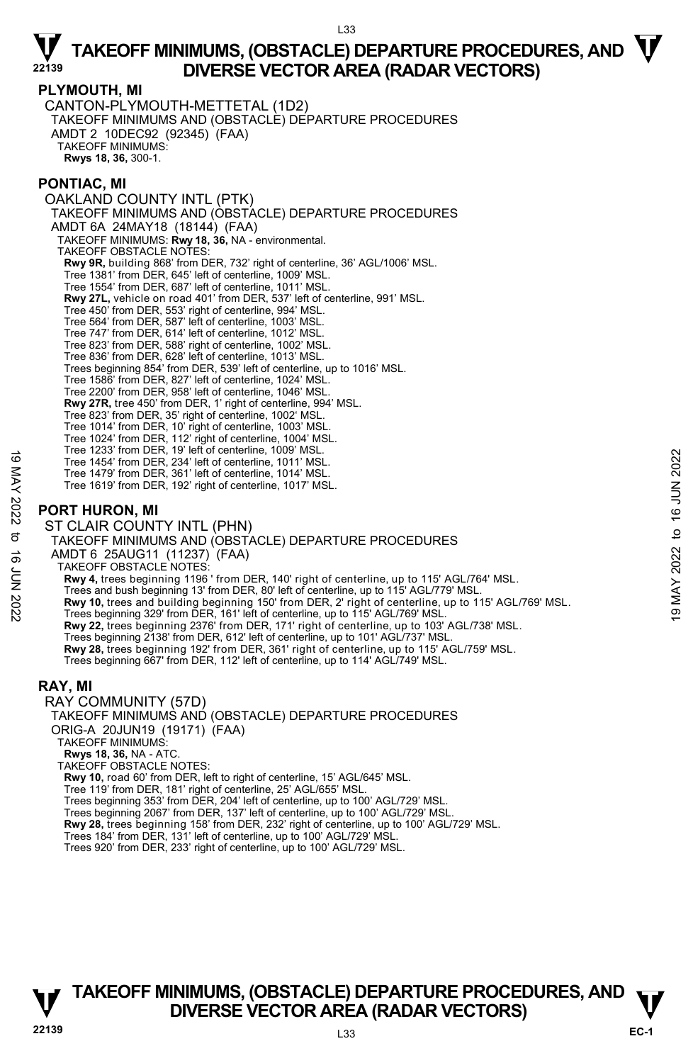#### **PLYMOUTH, MI**

CANTON-PLYMOUTH-METTETAL (1D2) TAKEOFF MINIMUMS AND (OBSTACLE) DEPARTURE PROCEDURES AMDT 2 10DEC92 (92345) (FAA) TAKEOFF MINIMUMS: **Rwys 18, 36,** 300-1.

### **PONTIAC, MI**

OAKLAND COUNTY INTL (PTK) TAKEOFF MINIMUMS AND (ÒBSTÁCLE) DEPARTURE PROCEDURES AMDT 6A 24MAY18 (18144) (FAA) TAKEOFF MINIMUMS: **Rwy 18, 36,** NA - environmental. TAKEOFF OBSTACLE NOTES: **Rwy 9R,** building 868' from DER, 732' right of centerline, 36' AGL/1006' MSL. Tree 1381' from DER, 645' left of centerline, 1009' MSL. Tree 1554' from DER, 687' left of centerline, 1011' MSL. **Rwy 27L,** vehicle on road 401' from DER, 537' left of centerline, 991' MSL. Tree 450' from DER, 553' right of centerline, 994' MSL. Tree 564' from DER, 587' left of centerline, 1003' MSL. Tree 747' from DER, 614' left of centerline, 1012' MSL. Tree 823' from DER, 588' right of centerline, 1002' MSL. Tree 836' from DER, 628' left of centerline, 1013' MSL. Trees beginning 854' from DER, 539' left of centerline, up to 1016' MSL. Tree 1586' from DER, 827' left of centerline, 1024' MSL. Tree 2200' from DER, 958' left of centerline, 1046' MSL. **Rwy 27R,** tree 450' from DER, 1' right of centerline, 994' MSL. Tree 823' from DER, 35' right of centerline, 1002' MSL. Tree 1014' from DER, 10' right of centerline, 1003' MSL. Tree 1024' from DER, 112' right of centerline, 1004' MSL. Tree 1233' from DER, 19' left of centerline, 1009' MSL. Tree 1454' from DER, 234' left of centerline, 1011' MSL. Tree 1479' from DER, 361' left of centerline, 1014' MSL. Tree 1619' from DER, 192' right of centerline, 1017' MSL. **PORT HURON, MI**  ST CLAIR COUNTY INTL (PHN) TAKEOFF MINIMUMS AND (OBSTACLE) DEPARTURE PROCEDURES AMDT 6 25AUG11 (11237) (FAA) Tree 1454' from DER, 234' left of centerline, 1011' MSL.<br>
Tree 1454' from DER, 234' left of centerline, 1014' MSL.<br>
Tree 1479' from DER, 381' left of centerline, 1014' MSL.<br>
Tree 1619' from DER, 192' right of centerline, 1

TAKEOFF OBSTACLE NOTES:

**Rwy 4,** trees beginning 1196 ' from DER, 140' right of centerline, up to 115' AGL/764' MSL.

Trees and bush beginning 13' from DER, 80' left of centerline, up to 115' AGL/779' MSL.

- 
- 
- **Rwy 22,** trees beginning 2376' from DER, 171' right of centerline, up to 103' AGL/738' MSL.
- Trees beginning 2138' from DER, 612' left of centerline, up to 101' AGL/737' MSL.<br>**Rwy 28,** trees beginning 192' from DER, 361' right of centerline, up to 115' AGL/759' MSL.
- Trees beginning 667' from DER, 112' left of centerline, up to 114' AGL/749' MSL.

### **RAY, MI**

RAY COMMUNITY (57D) TAKEOFF MINIMUMS AND (OBSTACLE) DEPARTURE PROCEDURES ORIG-A 20JUN19 (19171) (FAA)

TAKEOFF MINIMUMS:

**Rwys 18, 36,** NA - ATC. TAKEOFF OBSTACLE NOTES:

**Rwy 10,** road 60' from DER, left to right of centerline, 15' AGL/645' MSL.

- Tree 119' from DER, 181' right of centerline, 25' AGL/655' MSL.
- Trees beginning 353' from DER, 204' left of centerline, up to 100' AGL/729' MSL.

Trees beginning 2067' from DER, 137' left of centerline, up to 100' AGL/729' MSL.

- **Rwy 28,** trees beginning 158' from DER, 232' right of centerline, up to 100' AGL/729' MSL.<br>Trees 184' from DER, 131' left of centerline, up to 100' AGL/729' MSL.<br>Trees 920' from DER, 233' right of centerline, up to 100' A
-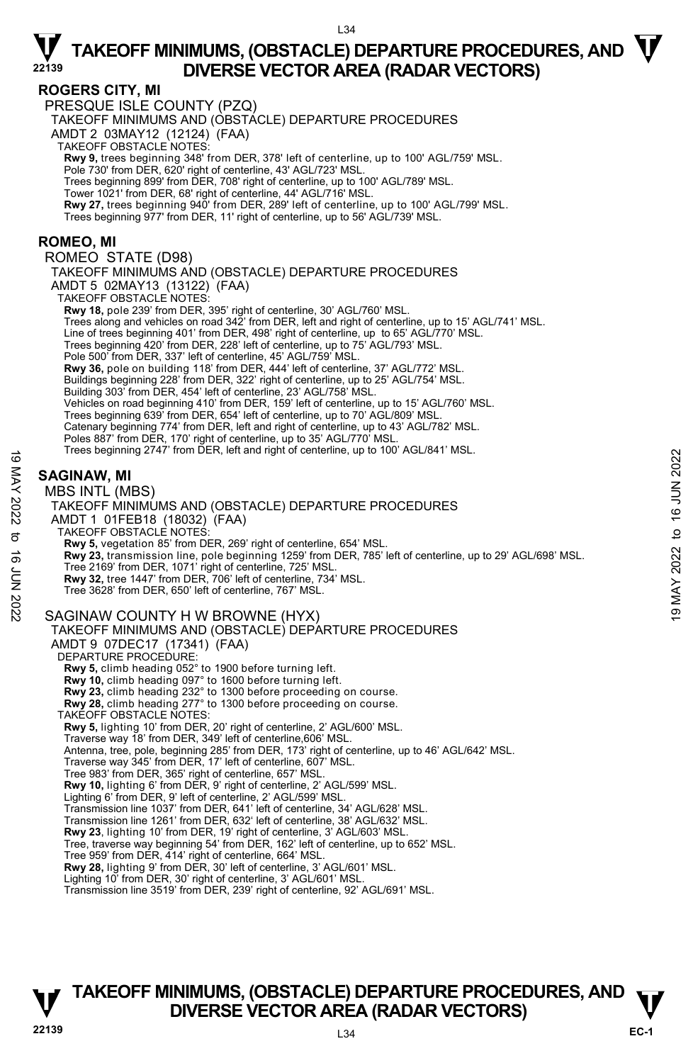### **ROGERS CITY, MI**

PRESQUE ISLE COUNTY (PZQ)

TAKEOFF MINIMUMS AND (OBSTACLE) DEPARTURE PROCEDURES

AMDT 2 03MAY12 (12124) (FAA)

TAKEOFF OBSTACLE NOTES:

**Rwy 9,** trees beginning 348' from DER, 378' left of centerline, up to 100' AGL/759' MSL. Pole 730' from DER, 620' right of centerline, 43' AGL/723' MSL.

Trees beginning 899' from DER, 708' right of centerline, up to 100' AGL/789' MSL.

Tower 1021' from DER, 68' right of centerline, 44' AGL/716' MSL.

**Rwy 27,** trees beginning 940' from DER, 289' left of centerline, up to 100' AGL/799' MSL.<br>Trees beginning 977' from DER, 11' right of centerline, up to 56' AGL/739' MSL.

**ROMEO, MI** 

ROMEO STATE (D98)

TAKEOFF MINIMUMS AND (OBSTACLE) DEPARTURE PROCEDURES AMDT 5 02MAY13 (13122) (FAA) TAKEOFF OBSTACLE NOTES: **Rwy 18,** pole 239' from DER, 395' right of centerline, 30' AGL/760' MSL. Trees along and vehicles on road 342' from DER, left and right of centerline, up to 15' AGL/741' MSL. Line of trees beginning 401' from DER, 498' right of centerline, up to 65' AGL/770' MSL. Trees beginning 420' from DER, 228' left of centerline, up to 75' AGL/793' MSL. Pole 500' from DER, 337' left of centerline, 45' AGL/759' MSL.<br>**Rwy 36,** pole on building 118' from DER, 444' left of centerline, 37' AGL/772' MSL. Buildings beginning 228' from DER, 322' right of centerline, up to 25' AGL/754' MSL. Building 303' from DER, 454' left of centerline, 23' AGL/758' MSL.

Vehicles on road beginning 410' from DER, 159' left of centerline, up to 15' AGL/760' MSL.<br>Trees beginning 639' from DER, 654' left of centerline, up to 70' AGL/809' MSL.

Catenary beginning 774' from DER, left and right of centerline, up to 43' AGL/782' MSL.

Poles 887' from DER, 170' right of centerline, up to 35' AGL/770' MSL.<br>Trees beginning 2747' from DER, left and right of centerline, up to 100' AGL/841' MSL.

### **SAGINAW, MI**

#### MBS INTL (MBS)

TAKEOFF MINIMUMS AND (OBSTACLE) DEPARTURE PROCEDURES AMDT 1 01FEB18 (18032) (FAA) TAKEOFF OBSTACLE NOTES: **Rwy 5,** vegetation 85' from DER, 269' right of centerline, 654' MSL. **Rwy 23,** transmission line, pole beginning 1259' from DER, 785' left of centerline, up to 29' AGL/698' MSL.<br>Tree 2169' from DER, 1071' right of centerline, 725' MSL. **Rwy 32,** tree 1447' from DER, 706' left of centerline, 734' MSL. Tree 3628' from DER, 650' left of centerline, 767' MSL. SAGINAW COUNTY H W BROWNE (HYX) TAKEOFF MINIMUMS AND (OBSTACLE) DEPARTURE PROCEDURES AMDT 9 07DEC17 (17341) (FAA) DEPARTURE PROCEDURE: **Rwy 5,** climb heading 052° to 1900 before turning left. **Rwy 10,** climb heading 097° to 1600 before turning left. **Rwy 23,** climb heading 232° to 1300 before proceeding on course. **Rwy 28,** climb heading 277° to 1300 before proceeding on course. TAKEOFF OBSTACLE NOTES: **Rwy 5,** lighting 10' from DER, 20' right of centerline, 2' AGL/600' MSL. Traverse way 18' from DER, 349' left of centerline,606' MSL. Antenna, tree, pole, beginning 285' from DER, 173' right of centerline, up to 46' AGL/642' MSL. Traverse way 345' from DER, 17' left of centerline, 607' MSL. Tree 983' from DER, 365' right of centerline, 657' MSL. **Rwy 10,** lighting 6' from DER, 9' right of centerline, 2' AGL/599' MSL. Lighting 6' from DER, 9' left of centerline, 2' AGL/599' MSL. Transmission line 1037' from DER, 641' left of centerline, 34' AGL/628' MSL. Transmission line 1261' from DER, 632' left of centerline, 38' AGL/632' MSL. **Rwy 23**, lighting 10' from DER, 19' right of centerline, 3' AGL/603' MSL. Tree, traverse way beginning 54' from DER, 162' left of centerline, up to 652' MSL. Tree 959' from DER, 414' right of centerline, 664' MSL. **Rwy 28,** lighting 9' from DER, 30' left of centerline, 3' AGL/601' MSL. Lighting 10' from DER, 30' right of centerline, 3' AGL/601' MSL. Transmission line 3519' from DER, 239' right of centerline, 92' AGL/691' MSL. These beginning 2747 Hoffi DER, ield and right of celleratine, up to 100 AGL/641 MSL.<br>
SAGINAW, MI<br>
MBS INTL (MBS)<br>
TAKEOFF MINIMUMS AND (OBSTACLE) DEPARTURE PROCEDURES<br>
AND TO 10 FEB18 (18032) (FAA)<br>
TAKEOFF DISTACLE NOT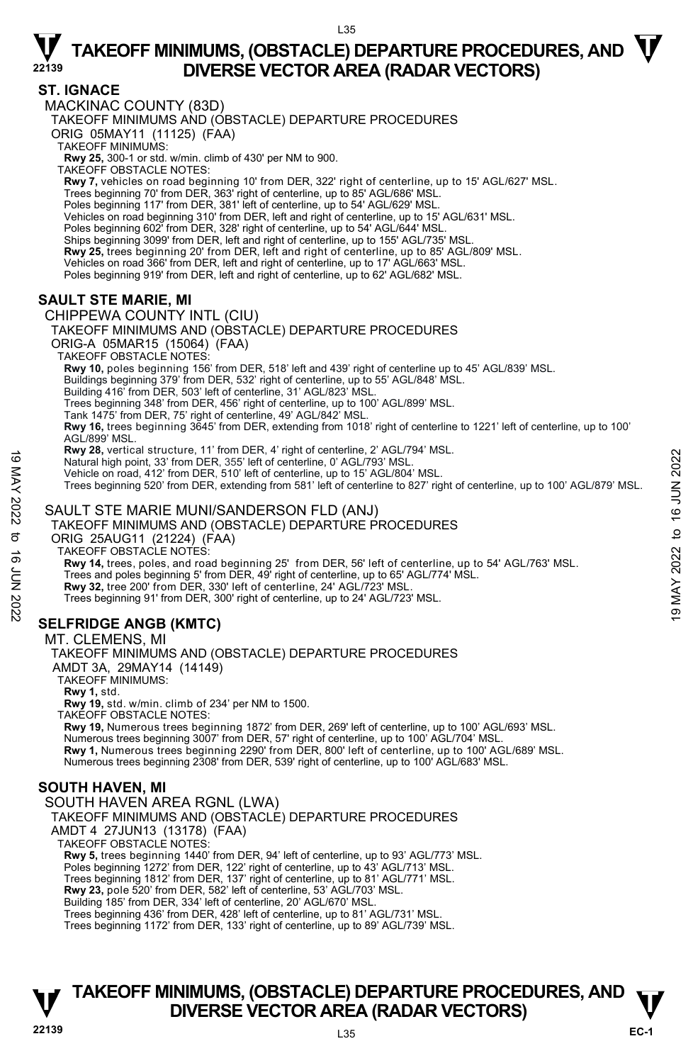### **ST. IGNACE**

MACKINAC COUNTY (83D) TAKEOFF MINIMUMS AND (OBSTACLE) DEPARTURE PROCEDURES ORIG 05MAY11 (11125) (FAA) TAKEOFF MINIMUMS: **Rwy 25,** 300-1 or std. w/min. climb of 430' per NM to 900. TAKEOFF OBSTACLE NOTES: **Rwy 7,** vehicles on road beginning 10' from DER, 322' right of centerline, up to 15' AGL/627' MSL. Trees beginning 70' from DER, 363' right of centerline, up to 85' AGL/686' MSL. Poles beginning 117' from DER, 381' left of centerline, up to 54' AGL/629' MSL.<br>Vehicles on road beginning 310' from DER, left and right of centerline, up to 15' AGL/631' MSL. Poles beginning 602' from DER, 328' right of centerline, up to 54' AGL/644' MSL. Ships beginning 3099' from DER, left and right of centerline, up to 155' AGL/735' MSL. **Rwy 25,** trees beginning 20' from DER, left and right of centerline, up to 85' AGL/809' MSL. Vehicles on road 366' from DER, left and right of centerline, up to 17' AGL/663' MSL. Poles beginning 919' from DER, left and right of centerline, up to 62' AGL/682' MSL. **SAULT STE MARIE, MI**  CHIPPEWA COUNTY INTL (CIU) TAKEOFF MINIMUMS AND (OBSTACLE) DEPARTURE PROCEDURES ORIG-A 05MAR15 (15064) (FAA) TAKEOFF OBSTACLE NOTES: **Rwy 10,** poles beginning 156' from DER, 518' left and 439' right of centerline up to 45' AGL/839' MSL. Buildings beginning 379' from DER, 532' right of centerline, up to 55' AGL/848' MSL. Building 416' from DER, 503' left of centerline, 31' AGL/823' MSL. Trees beginning 348' from DER, 456' right of centerline, up to 100' AGL/899' MSL. Tank 1475' from DER, 75' right of centerline, 49' AGL/842' MSL. **Rwy 16,** trees beginning 3645' from DER, extending from 1018' right of centerline to 1221' left of centerline, up to 100' AGL/899' MSL. **Rwy 28,** vertical structure, 11' from DER, 4' right of centerline, 2' AGL/794' MSL. Natural high point, 33' from DER, 355' left of centerline, 0' AGL/793' MSL. Vehicle on road, 412' from DER, 510' left of centerline, up to 15' AGL/804' MSL. Trees beginning 520' from DER, extending from 581' left of centerline to 827' right of centerline, up to 100' AGL/879' MSL. Natural high point, 33 from DER, 355 left of centerline, 0'AGL/793' MSL.<br>
Vatural high point, 33 from DER, 510' left of centerline, up to 15' AGL/804' MSL.<br>
Vehicle on road, 412' from DER, 510' left of centerline, up to 1

### SAULT STE MARIE MUNI/SANDERSON FLD (ANJ)

TAKEOFF MINIMUMS AND (OBSTACLE) DEPARTURE PROCEDURES

ORIG 25AUG11 (21224) (FAA)

TAKEOFF OBSTACLE NOTES:

**Rwy 14,** trees, poles, and road beginning 25' from DER, 56' left of centerline, up to 54' AGL/763' MSL.<br>Trees and poles beginning 5' from DER, 49' right of centerline, up to 65' AGL/774' MSL.

**Rwy 32,** tree 200' from DER, 330' left of centerline, 24' AGL/723' MSL.

Trees beginning 91' from DER, 300' right of centerline, up to 24' AGL/723' MSL.

### **SELFRIDGE ANGB (KMTC)**

#### MT. CLEMENS, MI

TAKEOFF MINIMUMS AND (OBSTACLE) DEPARTURE PROCEDURES

AMDT 3A, 29MAY14 (14149)

TAKEOFF MINIMUMS:

**Rwy 1,** std.

**Rwy 19,** std. w/min. climb of 234' per NM to 1500.

TAKEOFF OBSTACLE NOTES:

**Rwy 19,** Numerous trees beginning 1872' from DER, 269' left of centerline, up to 100' AGL/693' MSL. Numerous trees beginning 3007' from DER, 57' right of centerline, up to 100' AGL/704' MSL. **Rwy 1,** Numerous trees beginning 2290' from DER, 800' left of centerline, up to 100' AGL/689' MSL. Numerous trees beginning 2308' from DER, 539' right of centerline, up to 100' AGL/683' MSL.

### **SOUTH HAVEN, MI**

### SOUTH HAVEN AREA RGNL (LWA)

TAKEOFF MINIMUMS AND (OBSTACLE) DEPARTURE PROCEDURES

AMDT 4 27JUN13 (13178) (FAA)

TAKEOFF OBSTACLE NOTES:

**Rwy 5,** trees beginning 1440' from DER, 94' left of centerline, up to 93' AGL/773' MSL.

Poles beginning 1272' from DER, 122' right of centerline, up to 43' AGL/713' MSL.

Trees beginning 1812' from DER, 137' right of centerline, up to 81' AGL/771' MSL.<br>**Rwy 23,** pole 520' from DER, 582' left of centerline, 53' AGL/703' MSL.

Building 185' from DER, 334' left of centerline, 20' AGL/670' MSL.

Trees beginning 436' from DER, 428' left of centerline, up to 81' AGL/731' MSL.

Trees beginning 1172' from DER, 133' right of centerline, up to 89' AGL/739' MSL.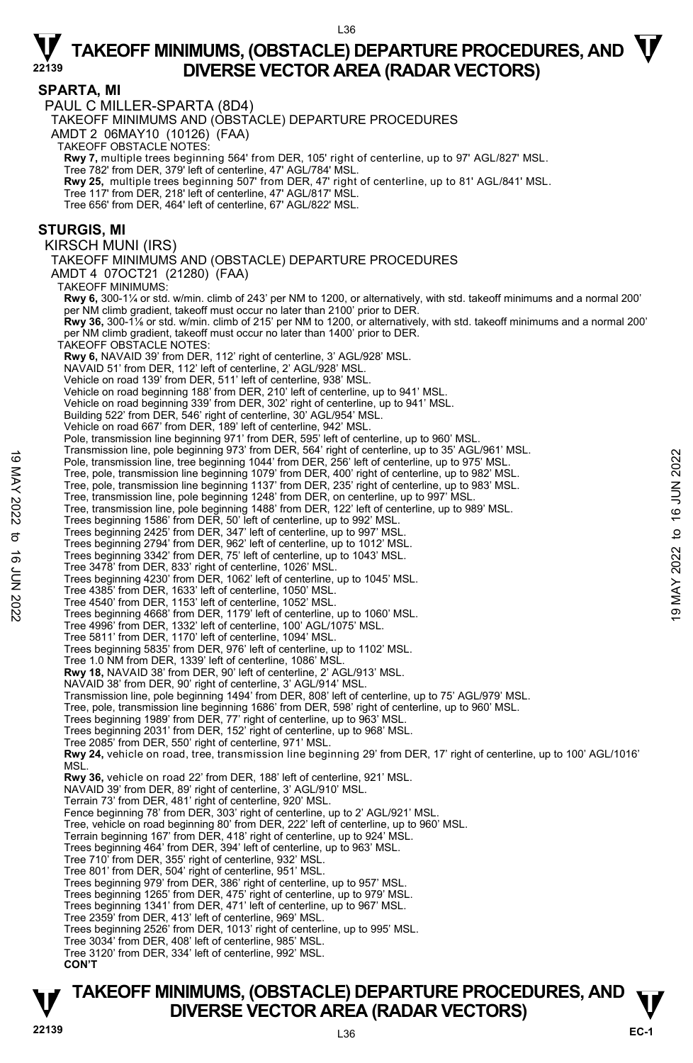#### $L36$

### $\nabla$  TAKEOFF MINIMUMS, (OBSTACLE) DEPARTURE PROCEDURES, AND  $\nabla$ **DIVERSE VECTOR AREA (RADAR VECTORS)**

#### **SPARTA, MI**

PAUL C MILLER-SPARTA (8D4)

TAKEOFF MINIMUMS AND (OBSTACLE) DEPARTURE PROCEDURES

AMDT 2 06MAY10 (10126) (FAA)

TAKEOFF OBSTACLE NOTES:

**Rwy 7,** multiple trees beginning 564' from DER, 105' right of centerline, up to 97' AGL/827' MSL.<br>Tree 782' from DER, 379' left of centerline, 47' AGL/784' MSL.

**Rwy 25,** multiple trees beginning 507' from DER, 47' right of centerline, up to 81' AGL/841' MSL.

Tree 117' from DER, 218' left of centerline, 47' AGL/817' MSL.

Tree 656' from DER, 464' left of centerline, 67' AGL/822' MSL.

#### **STURGIS, MI**

KIRSCH MUNI (IRS)

TAKEOFF MINIMUMS AND (OBSTACLE) DEPARTURE PROCEDURES AMDT 4 07OCT21 (21280) (FAA)

TAKEOFF MINIMUMS: **Rwy 6,** 300-1¼ or std. w/min. climb of 243' per NM to 1200, or alternatively, with std. takeoff minimums and a normal 200' er NM climb gradient, takeoff must occur no later than 2100' prior to DER.  **Rwy 36,** 300-1⅛ or std. w/min. climb of 215' per NM to 1200, or alternatively, with std. takeoff minimums and a normal 200' per NM climb gradient, takeoff must occur no later than 1400' prior to DER. TAKEOFF OBSTACLE NOTES: **Rwy 6,** NAVAID 39' from DER, 112' right of centerline, 3' AGL/928' MSL. NAVAID 51' from DER, 112' left of centerline, 2' AGL/928' MSL. Vehicle on road 139' from DER, 511' left of centerline, 938' MSL. Vehicle on road beginning 188' from DER, 210' left of centerline, up to 941' MSL. Vehicle on road beginning 339' from DER, 302' right of centerline, up to 941' MSL. Building 522' from DER, 546' right of centerline, 30' AGL/954' MSL. Vehicle on road 667' from DER, 189' left of centerline, 942' MSL. Pole, transmission line beginning 971' from DER, 595' left of centerline, up to 960' MSL. Transmission line, pole beginning 973' from DER, 564' right of centerline, up to 35' AGL/961' MSL. Pole, transmission line, tree beginning 1044' from DER, 256' left of centerline, up to 975' MSL. Tree, pole, transmission line beginning 1079' from DER, 400' right of centerline, up to 982' MSL. Tree, pole, transmission line beginning 1137' from DER, 235' right of centerline, up to 983' MSL. Tree, transmission line, pole beginning 1248' from DER, on centerline, up to 997' MSL. Tree, transmission line, pole beginning 1488' from DER, 122' left of centerline, up to 989' MSL. Trees beginning 1586' from DER, 50' left of centerline, up to 992' MSL.<br>Trees beginning 2425' from DER, 347' left of centerline, up to 997' MSL.<br>Trees beginning 2794' from DER, 962' left of centerline, up to 1012' MSL. Trees beginning 3342' from DER, 75' left of centerline, up to 1043' MSL. Tree 3478' from DER, 833' right of centerline, 1026' MSL. Trees beginning 4230' from DER, 1062' left of centerline, up to 1045' MSL. Tree 4385' from DER, 1633' left of centerline, 1050' MSL. Tree 4540' from DER, 1153' left of centerline, 1052' MSL. Trees beginning 4668' from DER, 1179' left of centerline, up to 1060' MSL. Tree 4996' from DER, 1332' left of centerline, 100' AGL/1075' MSL. Tree 5811' from DER, 1170' left of centerline, 1094' MSL. Trees beginning 5835' from DER, 976' left of centerline, up to 1102' MSL. Tree 1.0 NM from DER, 1339' left of centerline, 1086' MSL. **Rwy 18,** NAVAID 38' from DER, 90' left of centerline, 2' AGL/913' MSL. NAVAID 38' from DER, 90' right of centerline, 3' AGL/914' MSL. Transmission line, pole beginning 1494' from DER, 808' left of centerline, up to 75' AGL/979' MSL. Tree, pole, transmission line beginning 1686' from DER, 598' right of centerline, up to 960' MSL. Trees beginning 1989' from DER, 77' right of centerline, up to 963' MSL. Trees beginning 2031' from DER, 152' right of centerline, up to 968' MSL. Tree 2085' from DER, 550' right of centerline, 971' MSL. **Rwy 24,** vehicle on road, tree, transmission line beginning 29' from DER, 17' right of centerline, up to 100' AGL/1016'<br>MSL. **Rwy 36,** vehicle on road 22' from DER, 188' left of centerline, 921' MSL. NAVAID 39' from DER, 89' right of centerline, 3' AGL/910' MSL. Terrain 73' from DER, 481' right of centerline, 920' MSL. Fence beginning 78' from DER, 303' right of centerline, up to 2' AGL/921' MSL. Tree, vehicle on road beginning 80' from DER, 222' left of centerline, up to 960' MSL. Terrain beginning 167' from DER, 418' right of centerline, up to 924' MSL. Trees beginning 464' from DER, 394' left of centerline, up to 963' MSL. Tree 710' from DER, 355' right of centerline, 932' MSL. Tree 801' from DER, 504' right of centerline, 951' MSL. Trees beginning 979' from DER, 386' right of centerline, up to 957' MSL. Trees beginning 1265' from DER, 475' right of centerline, up to 979' MSL. Trees beginning 1341' from DER, 471' left of centerline, up to 967' MSL. Tree 2359' from DER, 413' left of centerline, 969' MSL. Trees beginning 2526' from DER, 1013' right of centerline, up to 995' MSL. Tree 3034' from DER, 408' left of centerline, 985' MSL. Tree 3120' from DER, 334' left of centerline, 992' MSL. Framsmission line, pute beginning 973 of norm DER, 1050' MBL.<br>
The performance, puter beginning 1014' from DER, 256' left of centerline, up to 975' MSL.<br>
Tree, pole, transmission line beginning 1079' from DER, 256' left o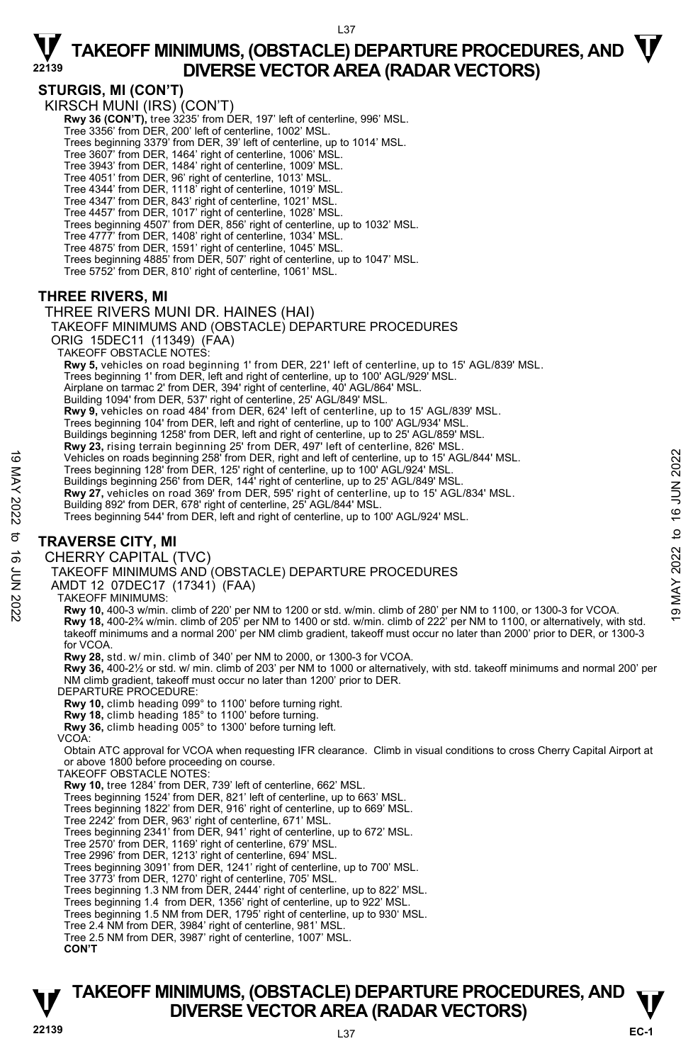### $\nabla$  TAKEOFF MINIMUMS, (OBSTACLE) DEPARTURE PROCEDURES, AND  $\nabla$ **DIVERSE VECTOR AREA (RADAR VECTORS) STURGIS, MI (CON'T)**  KIRSCH MUNI (IRS) (CON'T) Rwy 36 (CON'T), tree 3235' from DER, 197' left of centerline, 996' MSL. Tree 3356' from DER, 200' left of centerline, 1002' MSL. Trees beginning 3379' from DER, 39' left of centerline, up to 1014' MSL. Tree 3607' from DER, 1464' right of centerline, 1006' MSL. Tree 3943' from DER, 1484' right of centerline, 1009' MSL. Tree 4051' from DER, 96' right of centerline, 1013' MSL. Tree 4344' from DER, 1118' right of centerline, 1019' MSL. Tree 4347' from DER, 843' right of centerline, 1021' MSL.<br>Tree 4457' from DER, 1017' right of centerline, 1028' MSL.<br>Trees beginning 4507' from DER, 856' right of centerline, up to 1032' MSL. Tree 4777' from DER, 1408' right of centerline, 1034' MSL. Tree 4875' from DER, 1591' right of centerline, 1045' MSL. Trees beginning 4885' from DER, 507' right of centerline, up to 1047' MSL. Tree 5752' from DER, 810' right of centerline, 1061' MSL.

### **THREE RIVERS, MI**

### THREE RIVERS MUNI DR. HAINES (HAI)

TAKEOFF MINIMUMS AND (OBSTACLE) DEPARTURE PROCEDURES

ORIG 15DEC11 (11349) (FAA) TAKEOFF OBSTACLE NOTES:

 **Rwy 5,** vehicles on road beginning 1' from DER, 221' left of centerline, up to 15' AGL/839' MSL.

Trees beginning 1' from DER, left and right of centerline, up to 100' AGL/929' MSL.

Airplane on tarmac 2' from DER, 394' right of centerline, 40' AGL/864' MSL.

Building 1094' from DER, 537' right of centerline, 25' AGL/849' MSL.

**Rwy 9,** vehicles on road 484' from DER, 624' left of centerline, up to 15' AGL/839' MSL.

Trees beginning 104' from DER, left and right of centerline, up to 100' AGL/934' MSL.

Buildings beginning 1258' from DER, left and right of centerline, up to 25' AGL/859' MSL.

**Rwy 23,** rising terrain beginning 25' from DER, 497' left of centerline, 826' MSL.<br>Vehicles on roads beginning 258' from DER, right and left of centerline, up to 15' AGL/844' MSL.

Trees beginning 128' from DER, 125' right of centerline, up to 100' AGL/924' MSL.

Buildings beginning 256' from DER, 144' right of centerline, up to 25' AGL/849' MSL.<br>**Rwy 27,** vehicles on road 369' from DER, 595' right of centerline, up to 15' AGL/834' MSL. Building 892' from DER, 678' right of centerline, 25' AGL/844' MSL.

Trees beginning 544' from DER, left and right of centerline, up to 100' AGL/924' MSL.

### **TRAVERSE CITY, MI**

CHERRY CAPITAL (TVC)

TAKEOFF MINIMUMS AND (OBSTACLE) DEPARTURE PROCEDURES

AMDT 12 07DEC17 (17341) (FAA)

TAKEOFF MINIMUMS:

**Rwy 10,** 400-3 w/min. climb of 220' per NM to 1200 or std. w/min. climb of 280' per NM to 1100, or 1300-3 for VCOA. **Rwy 18,** 400-2¾ w/min. climb of 205' per NM to 1400 or std. w/min. climb of 222' per NM to 1100, or alternatively, with std. takeoff minimums and a normal 200' per NM climb gradient, takeoff must occur no later than 2000' prior to DER, or 1300-3 for VCOA. Vehicles on roads beginning 258° from DER, right and left of centerline, up to 15' AGL/844' MSL.<br>
Trees beginning 126° from DER, 144' right of centerline, up to 10' AGL/924' MSL.<br>
Buildings beginning 126° from DER, 144' r

**Rwy 28,** std. w/ min. climb of 340' per NM to 2000, or 1300-3 for VCOA.

**Rwy 36,** 400-2½ or std. w/ min. climb of 203' per NM to 1000 or alternatively, with std. takeoff minimums and normal 200' per NM climb gradient, takeoff must occur no later than 1200' prior to DER. DEPARTURE PROCEDURE:

**Rwy 10,** climb heading 099° to 1100' before turning right.

**Rwy 18,** climb heading 185° to 1100' before turning. **Rwy 36,** climb heading 005° to 1300' before turning left.

VCOA:

Obtain ATC approval for VCOA when requesting IFR clearance. Climb in visual conditions to cross Cherry Capital Airport at or above 1800 before proceeding on course. TAKEOFF OBSTACLE NOTES:

**Rwy 10,** tree 1284' from DER, 739' left of centerline, 662' MSL.

Trees beginning 1524' from DER, 821' left of centerline, up to 663' MSL.

Trees beginning 1822' from DER, 916' right of centerline, up to 669' MSL.

Tree 2242' from DER, 963' right of centerline, 671' MSL.

Trees beginning 2341' from DER, 941' right of centerline, up to 672' MSL.

Tree 2570' from DER, 1169' right of centerline, 679' MSL. Tree 2996' from DER, 1213' right of centerline, 694' MSL.

Trees beginning 3091' from DER, 1241' right of centerline, up to 700' MSL.

Tree 3773' from DER, 1270' right of centerline, 705' MSL. Trees beginning 1.3 NM from DER, 2444' right of centerline, up to 822' MSL.

Trees beginning 1.4 from DER, 1356' right of centerline, up to 922' MSL.

Trees beginning 1.5 NM from DER, 1795' right of centerline, up to 930' MSL. Tree 2.4 NM from DER, 3984' right of centerline, 981' MSL.

Tree 2.5 NM from DER, 3987' right of centerline, 1007' MSL.

**CON'T**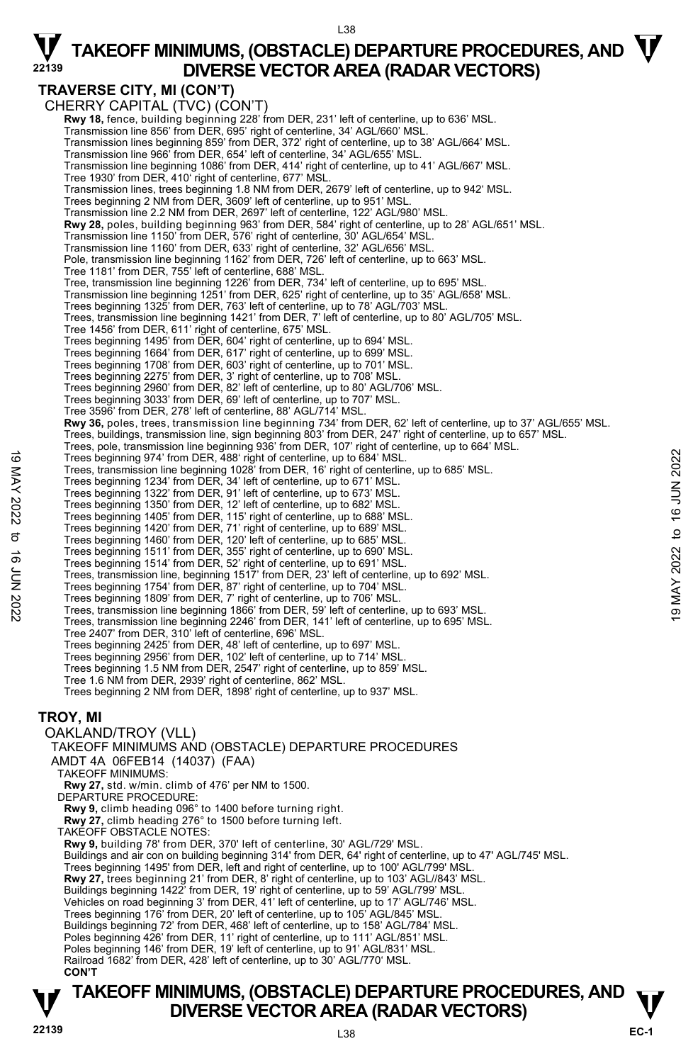### **TRAVERSE CITY, MI (CON'T)**

CHERRY CAPITAL (TVC) (CON'T)  **Rwy 18,** fence, building beginning 228' from DER, 231' left of centerline, up to 636' MSL. Transmission line 856' from DER, 695' right of centerline, 34' AGL/660' MSL. Transmission lines beginning 859' from DER, 372' right of centerline, up to 38' AGL/664' MSL. Transmission line 966' from DER, 654' left of centerline, 34' AGL/655' MSL. Transmission line beginning 1086' from DER, 414' right of centerline, up to 41' AGL/667' MSL. Tree 1930' from DER, 410' right of centerline, 677' MSL. Transmission lines, trees beginning 1.8 NM from DER, 2679' left of centerline, up to 942' MSL. Trees beginning 2 NM from DER, 3609' left of centerline, up to 951' MSI Transmission line 2.2 NM from DER, 2697' left of centerline, 122' AGL/980' MSL.  **Rwy 28,** poles, building beginning 963' from DER, 584' right of centerline, up to 28' AGL/651' MSL. Transmission line 1150' from DER, 576' right of centerline, 30' AGL/654' MSL. Transmission line 1160' from DER, 633' right of centerline, 32' AGL/656' MSL. Pole, transmission line beginning 1162' from DER, 726' left of centerline, up to 663' MSL. Tree 1181' from DER, 755' left of centerline, 688' MSL. Tree, transmission line beginning 1226' from DER, 734' left of centerline, up to 695' MSL.<br>Transmission line beginning 1251' from DER, 625' right of centerline, up to 35' AGL/658' MSL. Trees beginning 1325' from DER, 763' left of centerline, up to 78' AGL/703' MSL. Trees, transmission line beginning 1421' from DER, 7' left of centerline, up to 80' AGL/705' MSL. Tree 1456' from DER, 611' right of centerline, 675' MSL. Trees beginning 1495' from DER, 604' right of centerline, up to 694' MSL. Trees beginning 1664' from DER, 617' right of centerline, up to 699' MSL. Trees beginning 1708' from DER, 603' right of centerline, up to 701' MSL.<br>Trees beginning 2275' from DER, 3' right of centerline, up to 708' MSL.<br>Trees beginning 2960' from DER, 82' left of centerline, up to 80' AGL/706' M Trees beginning 3033' from DER, 69' left of centerline, up to 707' MSL. Tree 3596' from DER, 278' left of centerline, 88' AGL/714' MSL. **Rwy 36,** poles, trees, transmission line beginning 734' from DER, 62' left of centerline, up to 37' AGL/655' MSL. Trees, buildings, transmission line, sign beginning 803' from DER, 247' right of centerline, up to 657' MSL. Trees, pole, transmission line beginning 936' from DER, 107' right of centerline, up to 664' MSL.<br>Trees beginning 974' from DER, 488' right of centerline, up to 684' MSL. Trees, transmission line beginning 1028' from DER, 16' right of centerline, up to 685' MSL. Trees beginning 1234' from DER, 34' left of centerline, up to 671' MSL. Trees beginning 1322' from DER, 91' left of centerline, up to 673' MSL. Trees beginning 1350' from DER, 12' left of centerline, up to 682' MSL. Trees beginning 1405' from DER, 115' right of centerline, up to 688' MSL. Trees beginning 1420' from DER, 71' right of centerline, up to 689' MSL. Trees beginning 1460' from DER, 120' left of centerline, up to 685' MSL. Trees beginning 1511' from DER, 355' right of centerline, up to 690' MSL. Trees beginning 1514' from DER, 52' right of centerline, up to 691' MSL. Trees, transmission line, beginning 1517' from DER, 23' left of centerline, up to 692' MSL. Trees beginning 1754' from DER, 87' right of centerline, up to 704' MSL. Trees beginning 974' from DER, 488' right of centerline, up to 684' MSL.<br>
Trees transmission line beginning 1028' from DER, 16' right of centerline, up to 685' MSL.<br>
Trees beginning 1234' from DER, 34' left of centerline, Tree 2407' from DER, 310' left of centerline, 696' MSL. Trees beginning 2425' from DER, 48' left of centerline, up to 697' MSL. Trees beginning 2956' from DER, 102' left of centerline, up to 714' MSL. Trees beginning 1.5 NM from DER, 2547' right of centerline, up to 859' MSL. Tree 1.6 NM from DER, 2939' right of centerline, 862' MSL. Trees beginning 2 NM from DER, 1898' right of centerline, up to 937' MSL. **TROY, MI**  OAKLAND/TROY (VLL) TAKEOFF MINIMUMS AND (OBSTACLE) DEPARTURE PROCEDURES AMDT 4A 06FEB14 (14037) (FAA) TAKEOFF MINIMUMS: **Rwy 27,** std. w/min. climb of 476' per NM to 1500. DEPARTURE PROCEDURE: **Rwy 9,** climb heading 096° to 1400 before turning right. **Rwy 27,** climb heading 276° to 1500 before turning left. TAKEOFF OBSTACLE NOTES: **Rwy 9,** building 78' from DER, 370' left of centerline, 30' AGL/729' MSL.<br>Buildings and air con on building beginning 314' from DER, 64' right of centerline, up to 47' AGL/745' MSL. Trees beginning 1495' from DER, left and right of centerline, up to 100' AGL/799' MSL. **Rwy 27,** trees beginning 21' from DER, 8' right of centerline, up to 103' AGL//843' MSL.<br>Buildings beginning 1422' from DER, 19' right of centerline, up to 59' AGL/799' MSL. Vehicles on road beginning 3' from DER, 41' left of centerline, up to 17' AGL/746' MSL. Trees beginning 176' from DER, 20' left of centerline, up to 105' AGL/845' MSL. Buildings beginning 72' from DER, 468' left of centerline, up to 158' AGL/784' MSL. Poles beginning 426' from DER, 11' right of centerline, up to 111' AGL/851' MSL. Poles beginning 146' from DER, 19' left of centerline, up to 91' AGL/831' MSL. Railroad 1682' from DER, 428' left of centerline, up to 30' AGL/770' MSL. **CON'T**